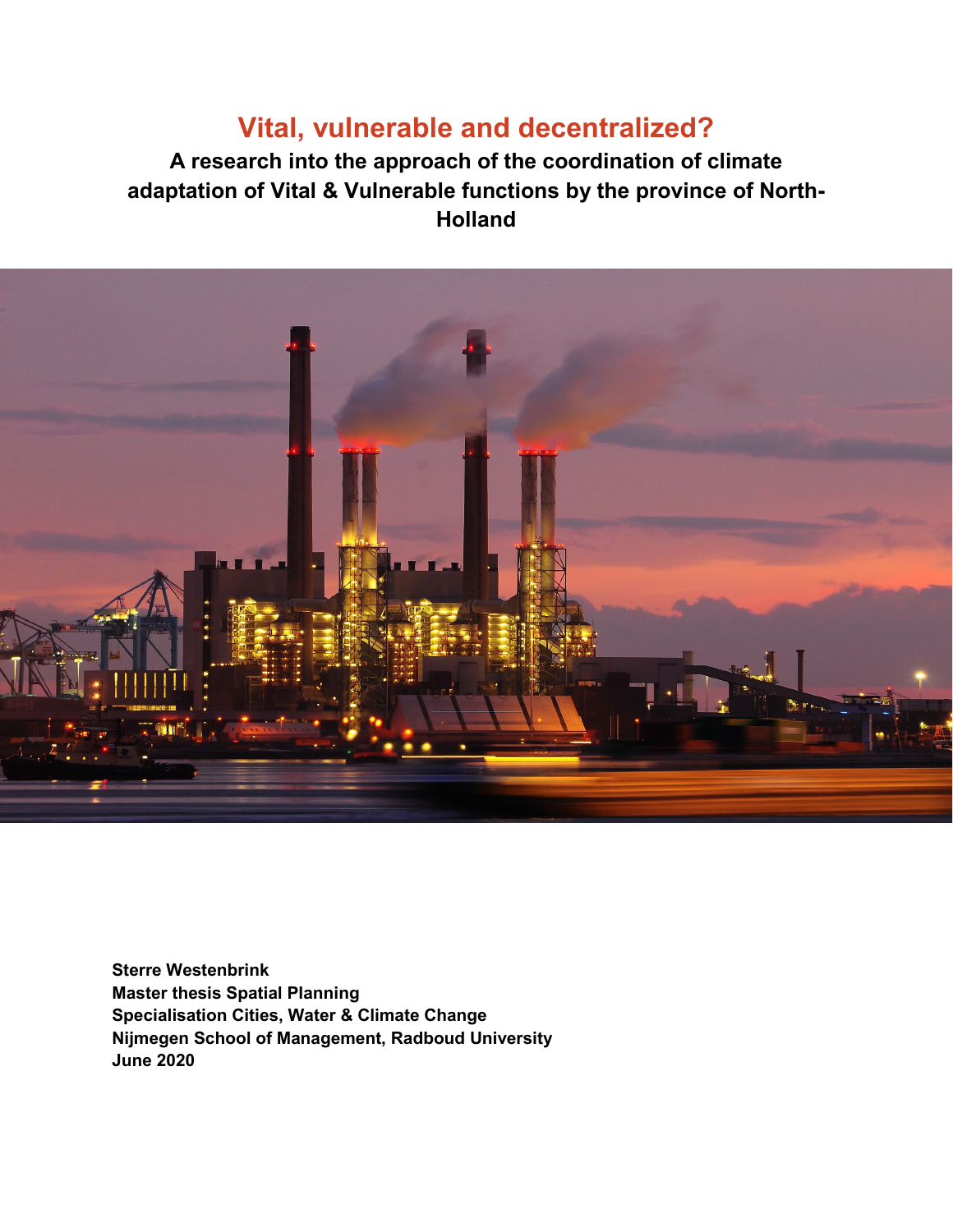# **Vital, vulnerable and decentralized?**

**A research into the approach of the coordination of climate adaptation of Vital & Vulnerable functions by the province of North-Holland** 



**Sterre Westenbrink Master thesis Spatial Planning Specialisation Cities, Water & Climate Change Nijmegen School of Management, Radboud University June 2020**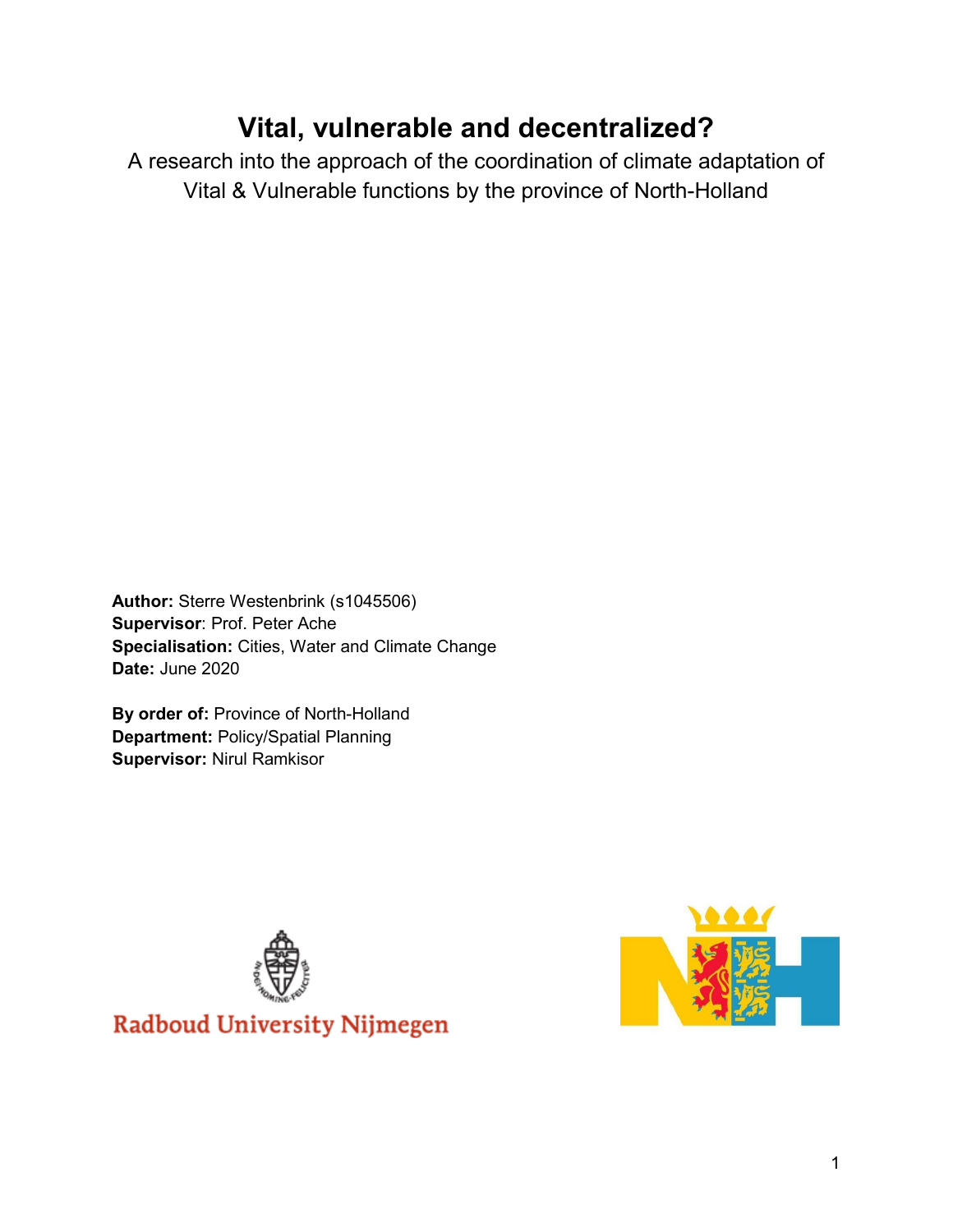# **Vital, vulnerable and decentralized?**

A research into the approach of the coordination of climate adaptation of Vital & Vulnerable functions by the province of North-Holland

**Author:** Sterre Westenbrink (s1045506) **Supervisor**: Prof. Peter Ache **Specialisation:** Cities, Water and Climate Change **Date:** June 2020

**By order of:** Province of North-Holland **Department:** Policy/Spatial Planning **Supervisor:** Nirul Ramkisor



**Radboud University Nijmegen** 

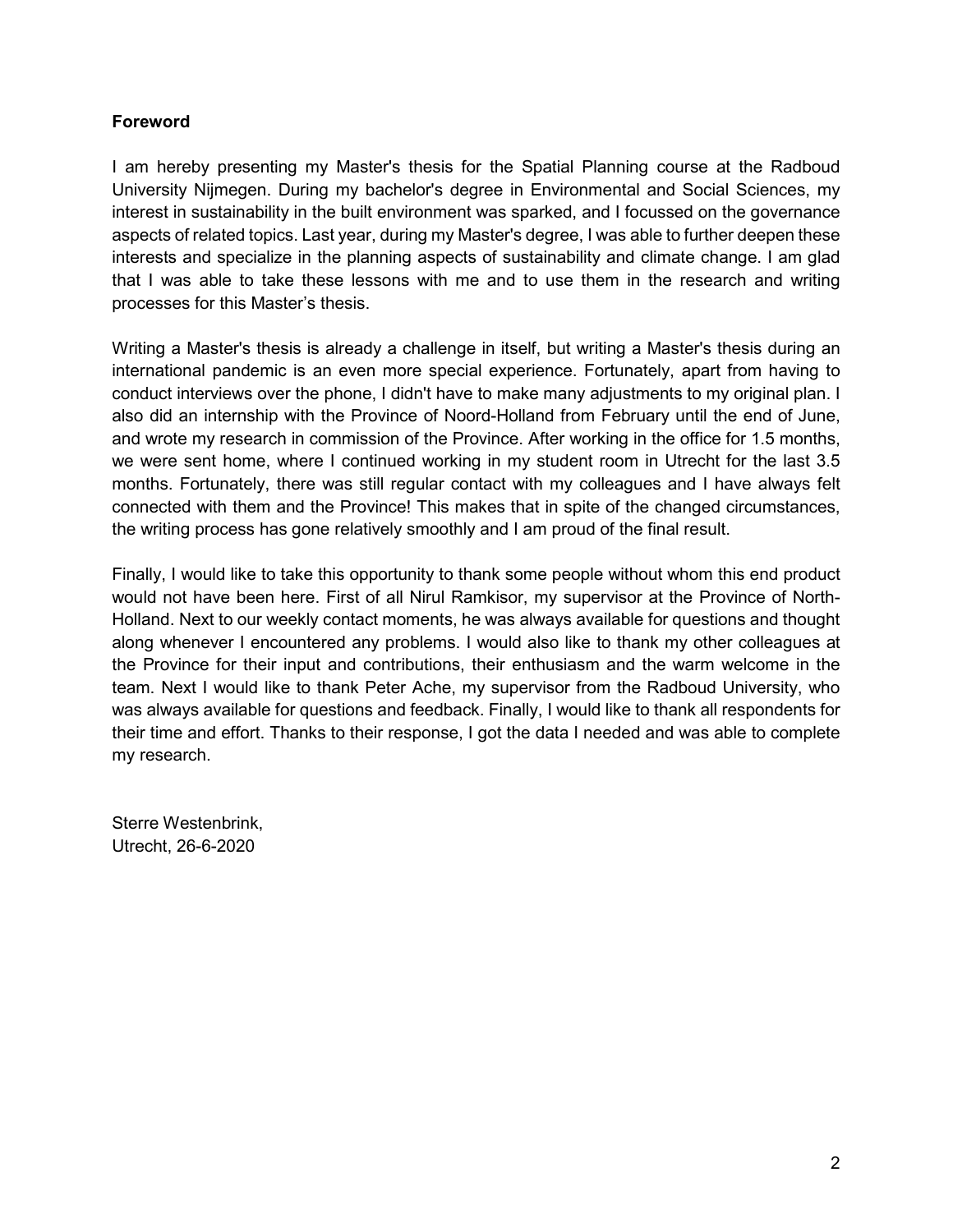### **Foreword**

I am hereby presenting my Master's thesis for the Spatial Planning course at the Radboud University Nijmegen. During my bachelor's degree in Environmental and Social Sciences, my interest in sustainability in the built environment was sparked, and I focussed on the governance aspects of related topics. Last year, during my Master's degree, I was able to further deepen these interests and specialize in the planning aspects of sustainability and climate change. I am glad that I was able to take these lessons with me and to use them in the research and writing processes for this Master's thesis.

Writing a Master's thesis is already a challenge in itself, but writing a Master's thesis during an international pandemic is an even more special experience. Fortunately, apart from having to conduct interviews over the phone, I didn't have to make many adjustments to my original plan. I also did an internship with the Province of Noord-Holland from February until the end of June, and wrote my research in commission of the Province. After working in the office for 1.5 months, we were sent home, where I continued working in my student room in Utrecht for the last 3.5 months. Fortunately, there was still regular contact with my colleagues and I have always felt connected with them and the Province! This makes that in spite of the changed circumstances, the writing process has gone relatively smoothly and I am proud of the final result.

Finally, I would like to take this opportunity to thank some people without whom this end product would not have been here. First of all Nirul Ramkisor, my supervisor at the Province of North-Holland. Next to our weekly contact moments, he was always available for questions and thought along whenever I encountered any problems. I would also like to thank my other colleagues at the Province for their input and contributions, their enthusiasm and the warm welcome in the team. Next I would like to thank Peter Ache, my supervisor from the Radboud University, who was always available for questions and feedback. Finally, I would like to thank all respondents for their time and effort. Thanks to their response, I got the data I needed and was able to complete my research.

Sterre Westenbrink, Utrecht, 26-6-2020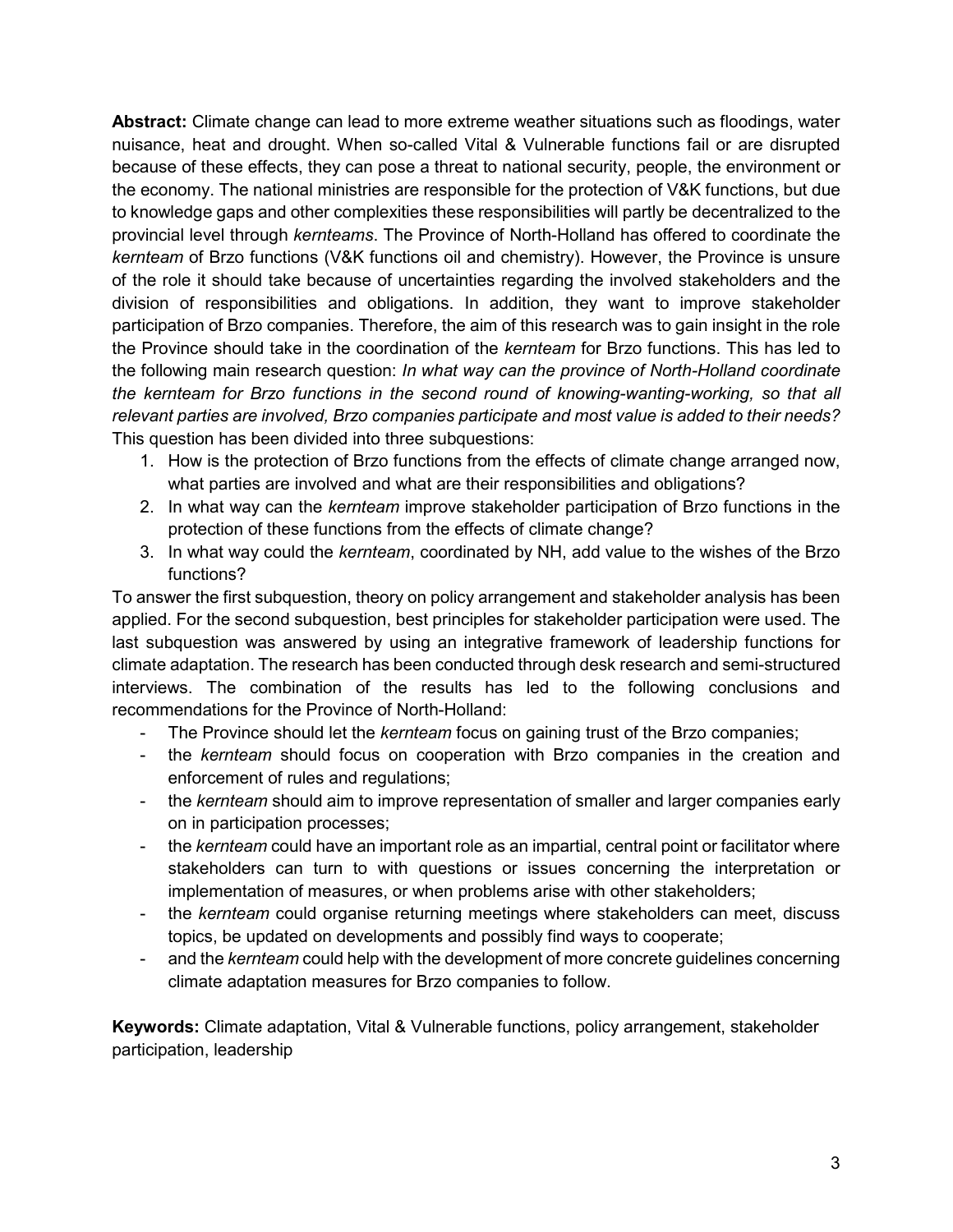**Abstract:** Climate change can lead to more extreme weather situations such as floodings, water nuisance, heat and drought. When so-called Vital & Vulnerable functions fail or are disrupted because of these effects, they can pose a threat to national security, people, the environment or the economy. The national ministries are responsible for the protection of V&K functions, but due to knowledge gaps and other complexities these responsibilities will partly be decentralized to the provincial level through *kernteams*. The Province of North-Holland has offered to coordinate the *kernteam* of Brzo functions (V&K functions oil and chemistry). However, the Province is unsure of the role it should take because of uncertainties regarding the involved stakeholders and the division of responsibilities and obligations. In addition, they want to improve stakeholder participation of Brzo companies. Therefore, the aim of this research was to gain insight in the role the Province should take in the coordination of the *kernteam* for Brzo functions. This has led to the following main research question: *In what way can the province of North-Holland coordinate the kernteam for Brzo functions in the second round of knowing-wanting-working, so that all relevant parties are involved, Brzo companies participate and most value is added to their needs?*  This question has been divided into three subquestions:

- 1. How is the protection of Brzo functions from the effects of climate change arranged now, what parties are involved and what are their responsibilities and obligations?
- 2. In what way can the *kernteam* improve stakeholder participation of Brzo functions in the protection of these functions from the effects of climate change?
- 3. In what way could the *kernteam*, coordinated by NH, add value to the wishes of the Brzo functions?

To answer the first subquestion, theory on policy arrangement and stakeholder analysis has been applied. For the second subquestion, best principles for stakeholder participation were used. The last subquestion was answered by using an integrative framework of leadership functions for climate adaptation. The research has been conducted through desk research and semi-structured interviews. The combination of the results has led to the following conclusions and recommendations for the Province of North-Holland:

- The Province should let the *kernteam* focus on gaining trust of the Brzo companies;
- the *kernteam* should focus on cooperation with Brzo companies in the creation and enforcement of rules and regulations;
- the *kernteam* should aim to improve representation of smaller and larger companies early on in participation processes;
- the *kernteam* could have an important role as an impartial, central point or facilitator where stakeholders can turn to with questions or issues concerning the interpretation or implementation of measures, or when problems arise with other stakeholders;
- the *kernteam* could organise returning meetings where stakeholders can meet, discuss topics, be updated on developments and possibly find ways to cooperate;
- and the *kernteam* could help with the development of more concrete guidelines concerning climate adaptation measures for Brzo companies to follow.

**Keywords:** Climate adaptation, Vital & Vulnerable functions, policy arrangement, stakeholder participation, leadership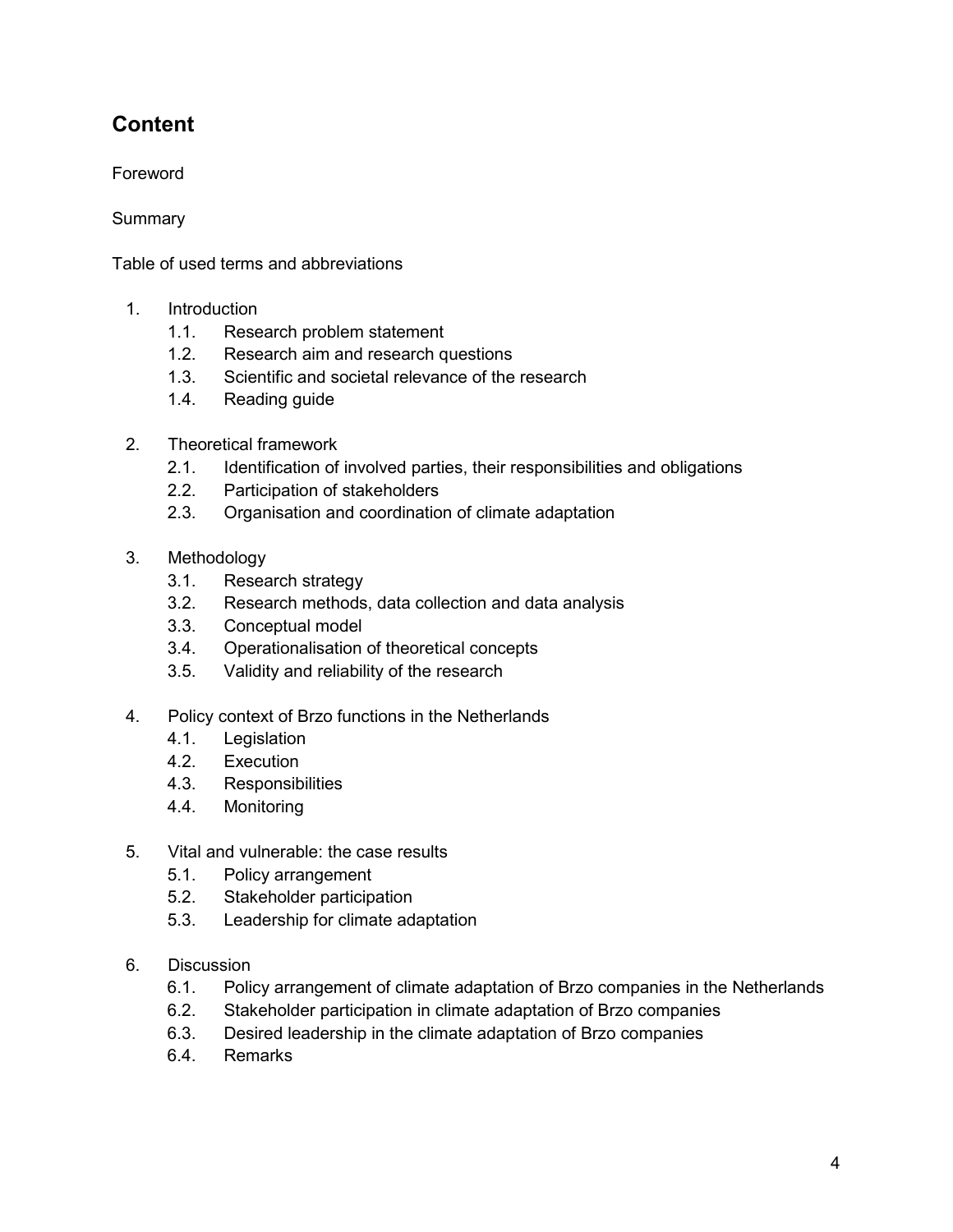# **Content**

Foreword

**Summary** 

Table of used terms and abbreviations

- 1. Introduction
	- 1.1. Research problem statement
	- 1.2. Research aim and research questions
	- 1.3. Scientific and societal relevance of the research
	- 1.4. Reading guide
- 2. Theoretical framework
	- 2.1. Identification of involved parties, their responsibilities and obligations
	- 2.2. Participation of stakeholders
	- 2.3. Organisation and coordination of climate adaptation
- 3. Methodology
	- 3.1. Research strategy
	- 3.2. Research methods, data collection and data analysis
	- 3.3. Conceptual model
	- 3.4. Operationalisation of theoretical concepts
	- 3.5. Validity and reliability of the research
- 4. Policy context of Brzo functions in the Netherlands
	- 4.1. Legislation
	- 4.2. Execution
	- 4.3. Responsibilities
	- 4.4. Monitoring
- 5. Vital and vulnerable: the case results
	- 5.1. Policy arrangement
	- 5.2. Stakeholder participation
	- 5.3. Leadership for climate adaptation
- 6. Discussion
	- 6.1. Policy arrangement of climate adaptation of Brzo companies in the Netherlands
	- 6.2. Stakeholder participation in climate adaptation of Brzo companies
	- 6.3. Desired leadership in the climate adaptation of Brzo companies
	- 6.4. Remarks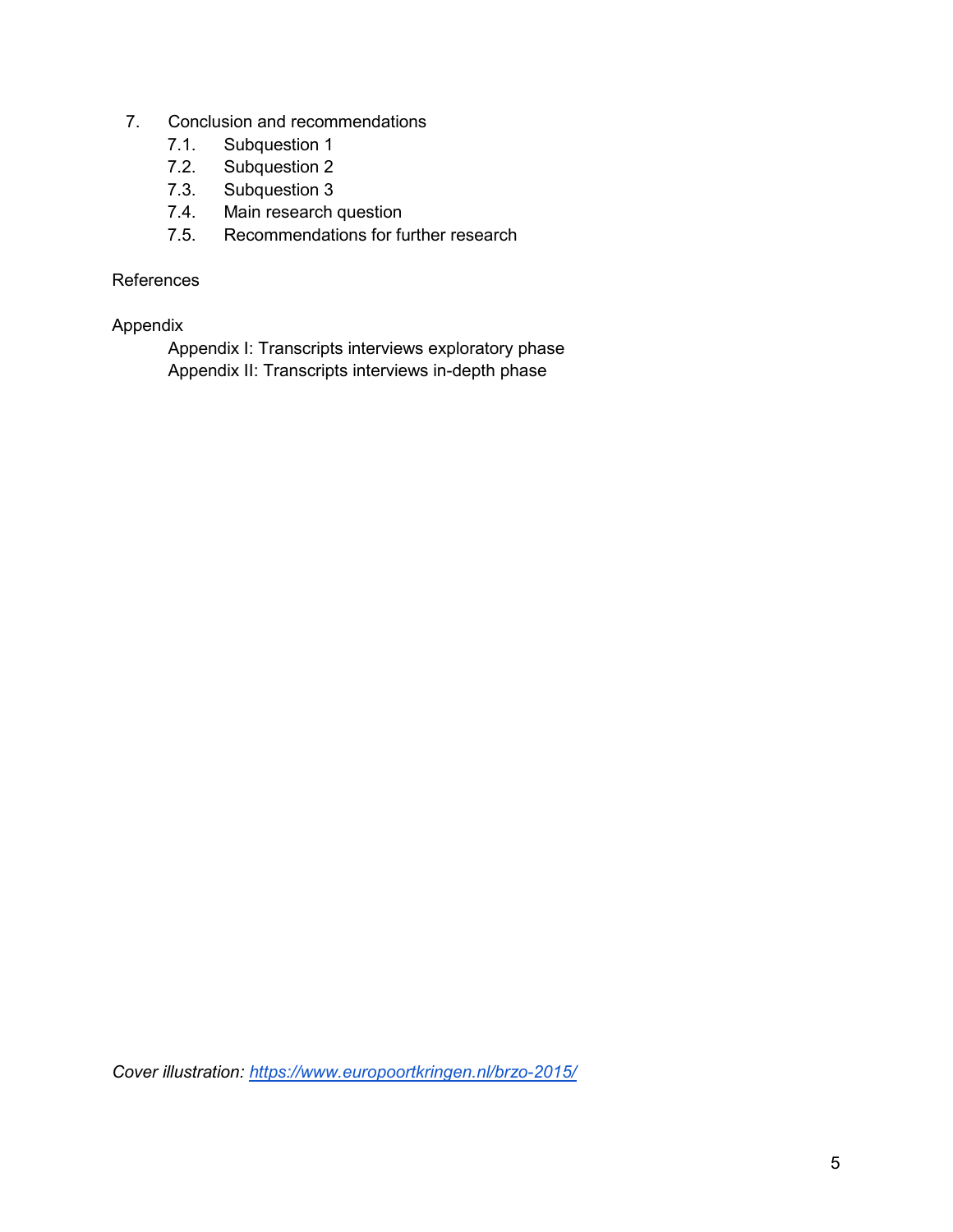- 7. Conclusion and recommendations
	- 7.1. Subquestion 1
	- 7.2. Subquestion 2<br>7.3. Subquestion 3
	- Subquestion 3
	- 7.4. Main research question
	- 7.5. Recommendations for further research

### References

### Appendix

Appendix I: Transcripts interviews exploratory phase Appendix II: Transcripts interviews in-depth phase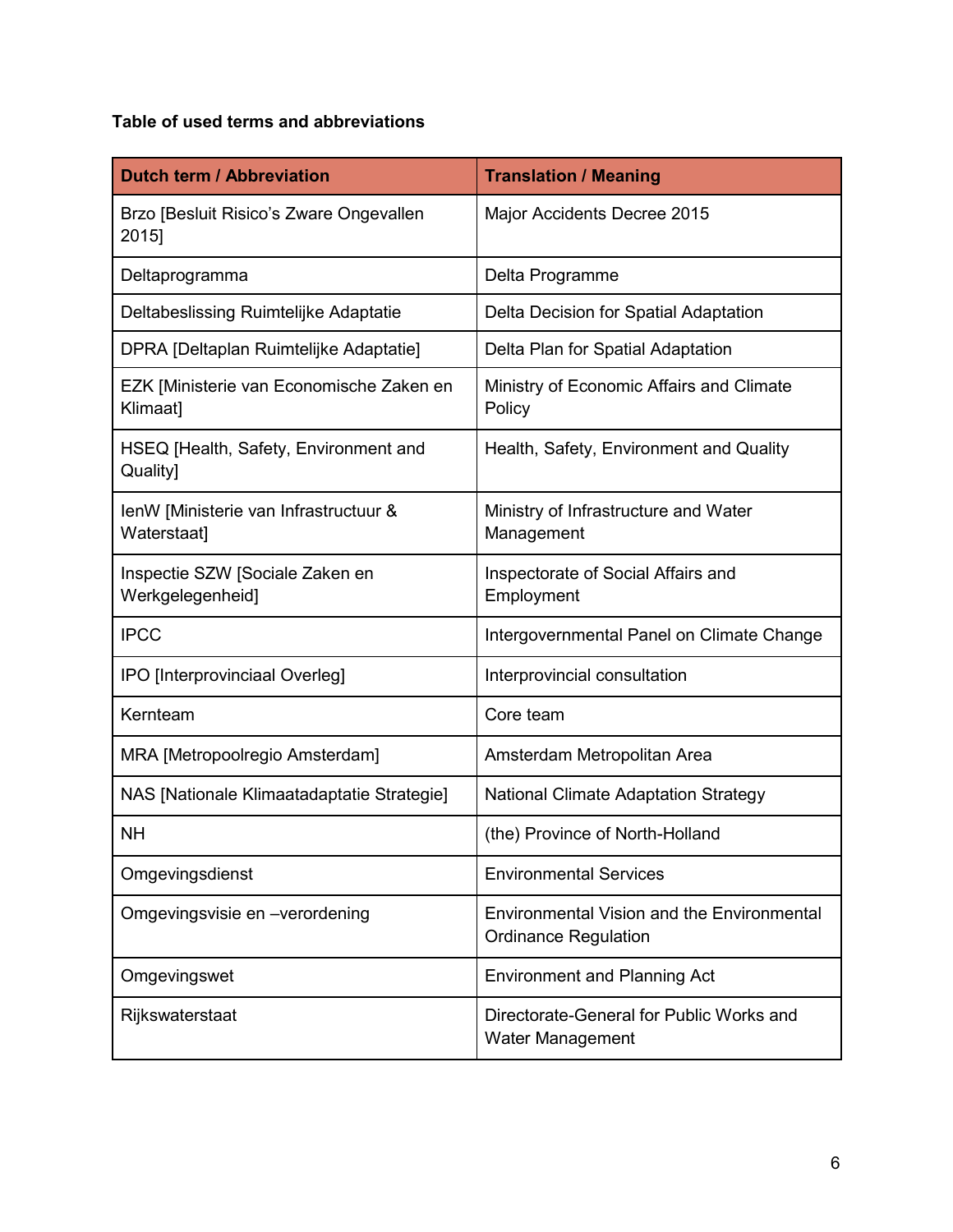# **Table of used terms and abbreviations**

| <b>Dutch term / Abbreviation</b>                     | <b>Translation / Meaning</b>                                                     |
|------------------------------------------------------|----------------------------------------------------------------------------------|
| Brzo [Besluit Risico's Zware Ongevallen<br>2015]     | Major Accidents Decree 2015                                                      |
| Deltaprogramma                                       | Delta Programme                                                                  |
| Deltabeslissing Ruimtelijke Adaptatie                | Delta Decision for Spatial Adaptation                                            |
| DPRA [Deltaplan Ruimtelijke Adaptatie]               | Delta Plan for Spatial Adaptation                                                |
| EZK [Ministerie van Economische Zaken en<br>Klimaat] | Ministry of Economic Affairs and Climate<br>Policy                               |
| HSEQ [Health, Safety, Environment and<br>Quality]    | Health, Safety, Environment and Quality                                          |
| IenW [Ministerie van Infrastructuur &<br>Waterstaat] | Ministry of Infrastructure and Water<br>Management                               |
| Inspectie SZW [Sociale Zaken en<br>Werkgelegenheid]  | Inspectorate of Social Affairs and<br>Employment                                 |
| <b>IPCC</b>                                          | Intergovernmental Panel on Climate Change                                        |
| IPO [Interprovinciaal Overleg]                       | Interprovincial consultation                                                     |
| Kernteam                                             | Core team                                                                        |
| MRA [Metropoolregio Amsterdam]                       | Amsterdam Metropolitan Area                                                      |
| NAS [Nationale Klimaatadaptatie Strategie]           | <b>National Climate Adaptation Strategy</b>                                      |
| <b>NH</b>                                            | (the) Province of North-Holland                                                  |
| Omgevingsdienst                                      | <b>Environmental Services</b>                                                    |
| Omgevingsvisie en -verordening                       | <b>Environmental Vision and the Environmental</b><br><b>Ordinance Regulation</b> |
| Omgevingswet                                         | <b>Environment and Planning Act</b>                                              |
| Rijkswaterstaat                                      | Directorate-General for Public Works and<br><b>Water Management</b>              |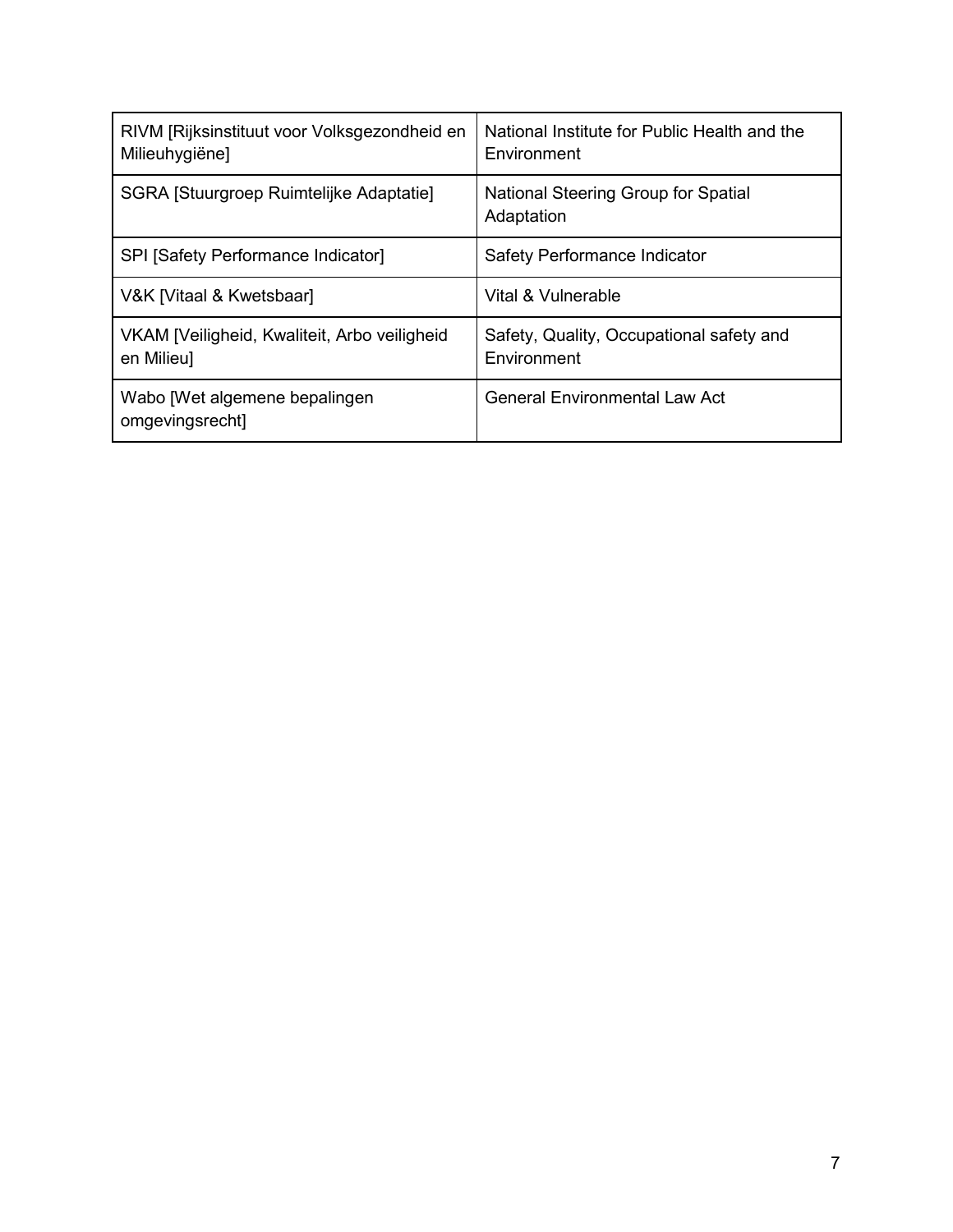| RIVM [Rijksinstituut voor Volksgezondheid en<br>Milieuhygiëne] | National Institute for Public Health and the<br>Environment |
|----------------------------------------------------------------|-------------------------------------------------------------|
| SGRA [Stuurgroep Ruimtelijke Adaptatie]                        | National Steering Group for Spatial<br>Adaptation           |
| SPI [Safety Performance Indicator]                             | Safety Performance Indicator                                |
| V&K [Vitaal & Kwetsbaar]                                       | Vital & Vulnerable                                          |
| VKAM [Veiligheid, Kwaliteit, Arbo veiligheid<br>en Milieu]     | Safety, Quality, Occupational safety and<br>Environment     |
| Wabo [Wet algemene bepalingen]<br>omgevingsrecht]              | <b>General Environmental Law Act</b>                        |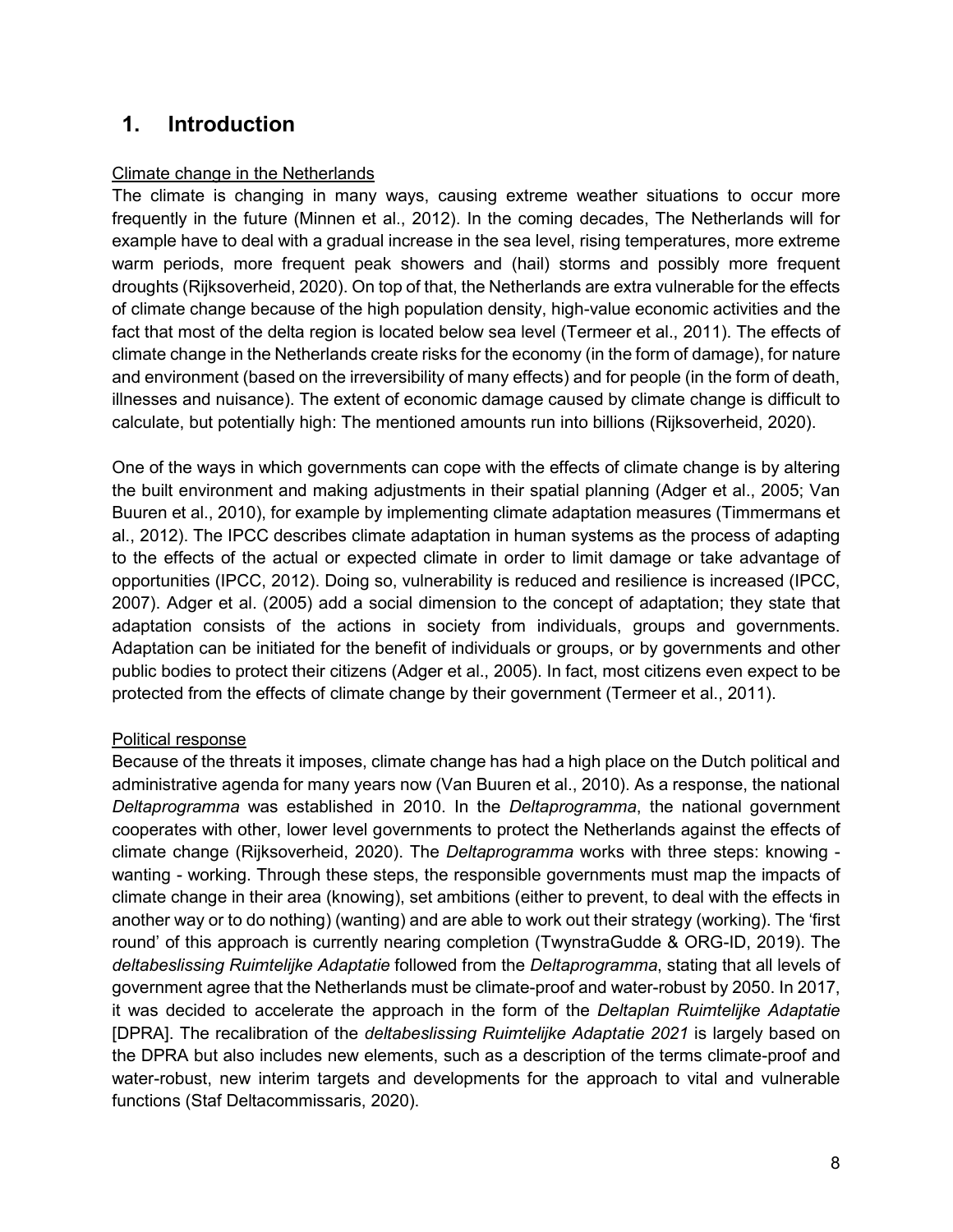# **1. Introduction**

### Climate change in the Netherlands

The climate is changing in many ways, causing extreme weather situations to occur more frequently in the future (Minnen et al., 2012). In the coming decades, The Netherlands will for example have to deal with a gradual increase in the sea level, rising temperatures, more extreme warm periods, more frequent peak showers and (hail) storms and possibly more frequent droughts (Rijksoverheid, 2020). On top of that, the Netherlands are extra vulnerable for the effects of climate change because of the high population density, high-value economic activities and the fact that most of the delta region is located below sea level (Termeer et al., 2011). The effects of climate change in the Netherlands create risks for the economy (in the form of damage), for nature and environment (based on the irreversibility of many effects) and for people (in the form of death, illnesses and nuisance). The extent of economic damage caused by climate change is difficult to calculate, but potentially high: The mentioned amounts run into billions (Rijksoverheid, 2020).

One of the ways in which governments can cope with the effects of climate change is by altering the built environment and making adjustments in their spatial planning (Adger et al., 2005; Van Buuren et al., 2010), for example by implementing climate adaptation measures (Timmermans et al., 2012). The IPCC describes climate adaptation in human systems as the process of adapting to the effects of the actual or expected climate in order to limit damage or take advantage of opportunities (IPCC, 2012). Doing so, vulnerability is reduced and resilience is increased (IPCC, 2007). Adger et al. (2005) add a social dimension to the concept of adaptation; they state that adaptation consists of the actions in society from individuals, groups and governments. Adaptation can be initiated for the benefit of individuals or groups, or by governments and other public bodies to protect their citizens (Adger et al., 2005). In fact, most citizens even expect to be protected from the effects of climate change by their government (Termeer et al., 2011).

### Political response

Because of the threats it imposes, climate change has had a high place on the Dutch political and administrative agenda for many years now (Van Buuren et al., 2010). As a response, the national *Deltaprogramma* was established in 2010. In the *Deltaprogramma*, the national government cooperates with other, lower level governments to protect the Netherlands against the effects of climate change (Rijksoverheid, 2020). The *Deltaprogramma* works with three steps: knowing wanting - working. Through these steps, the responsible governments must map the impacts of climate change in their area (knowing), set ambitions (either to prevent, to deal with the effects in another way or to do nothing) (wanting) and are able to work out their strategy (working). The 'first round' of this approach is currently nearing completion (TwynstraGudde & ORG-ID, 2019). The *deltabeslissing Ruimtelijke Adaptatie* followed from the *Deltaprogramma*, stating that all levels of government agree that the Netherlands must be climate-proof and water-robust by 2050. In 2017, it was decided to accelerate the approach in the form of the *Deltaplan Ruimtelijke Adaptatie* [DPRA]. The recalibration of the *deltabeslissing Ruimtelijke Adaptatie 2021* is largely based on the DPRA but also includes new elements, such as a description of the terms climate-proof and water-robust, new interim targets and developments for the approach to vital and vulnerable functions (Staf Deltacommissaris, 2020).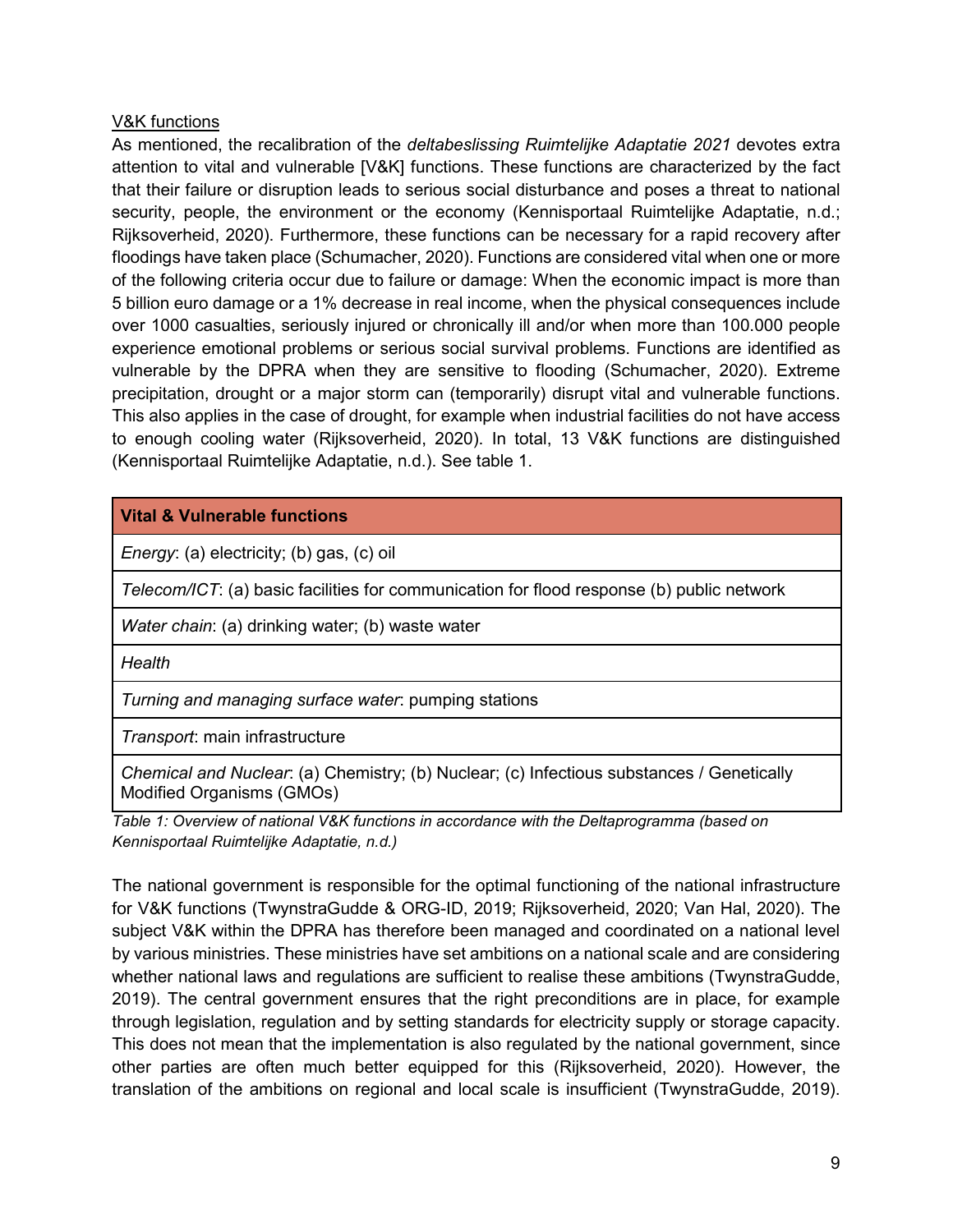### V&K functions

As mentioned, the recalibration of the *deltabeslissing Ruimtelijke Adaptatie 2021* devotes extra attention to vital and vulnerable [V&K] functions. These functions are characterized by the fact that their failure or disruption leads to serious social disturbance and poses a threat to national security, people, the environment or the economy (Kennisportaal Ruimtelijke Adaptatie, n.d.; Rijksoverheid, 2020). Furthermore, these functions can be necessary for a rapid recovery after floodings have taken place (Schumacher, 2020). Functions are considered vital when one or more of the following criteria occur due to failure or damage: When the economic impact is more than 5 billion euro damage or a 1% decrease in real income, when the physical consequences include over 1000 casualties, seriously injured or chronically ill and/or when more than 100.000 people experience emotional problems or serious social survival problems. Functions are identified as vulnerable by the DPRA when they are sensitive to flooding (Schumacher, 2020). Extreme precipitation, drought or a major storm can (temporarily) disrupt vital and vulnerable functions. This also applies in the case of drought, for example when industrial facilities do not have access to enough cooling water (Rijksoverheid, 2020). In total, 13 V&K functions are distinguished (Kennisportaal Ruimtelijke Adaptatie, n.d.). See table 1.

# **Vital & Vulnerable functions**

*Energy*: (a) electricity; (b) gas, (c) oil

*Telecom/ICT*: (a) basic facilities for communication for flood response (b) public network

*Water chain*: (a) drinking water; (b) waste water

*Health*

*Turning and managing surface water*: pumping stations

*Transport*: main infrastructure

*Chemical and Nuclear*: (a) Chemistry; (b) Nuclear; (c) Infectious substances / Genetically Modified Organisms (GMOs)

*Table 1: Overview of national V&K functions in accordance with the Deltaprogramma (based on Kennisportaal Ruimtelijke Adaptatie, n.d.)*

The national government is responsible for the optimal functioning of the national infrastructure for V&K functions (TwynstraGudde & ORG-ID, 2019; Rijksoverheid, 2020; Van Hal, 2020). The subject V&K within the DPRA has therefore been managed and coordinated on a national level by various ministries. These ministries have set ambitions on a national scale and are considering whether national laws and regulations are sufficient to realise these ambitions (TwynstraGudde, 2019). The central government ensures that the right preconditions are in place, for example through legislation, regulation and by setting standards for electricity supply or storage capacity. This does not mean that the implementation is also regulated by the national government, since other parties are often much better equipped for this (Rijksoverheid, 2020). However, the translation of the ambitions on regional and local scale is insufficient (TwynstraGudde, 2019).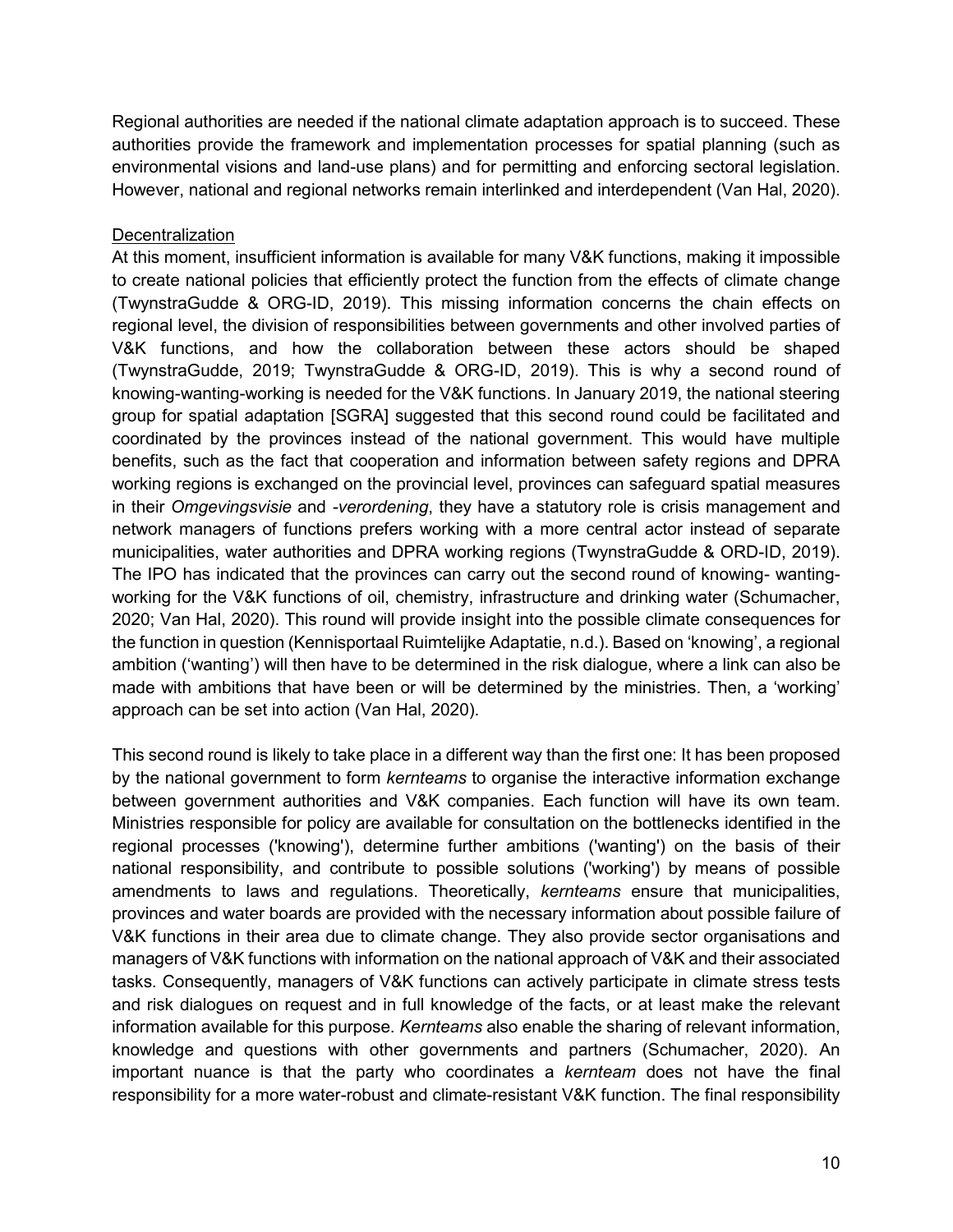Regional authorities are needed if the national climate adaptation approach is to succeed. These authorities provide the framework and implementation processes for spatial planning (such as environmental visions and land-use plans) and for permitting and enforcing sectoral legislation. However, national and regional networks remain interlinked and interdependent (Van Hal, 2020).

### **Decentralization**

At this moment, insufficient information is available for many V&K functions, making it impossible to create national policies that efficiently protect the function from the effects of climate change (TwynstraGudde & ORG-ID, 2019). This missing information concerns the chain effects on regional level, the division of responsibilities between governments and other involved parties of V&K functions, and how the collaboration between these actors should be shaped (TwynstraGudde, 2019; TwynstraGudde & ORG-ID, 2019). This is why a second round of knowing-wanting-working is needed for the V&K functions. In January 2019, the national steering group for spatial adaptation [SGRA] suggested that this second round could be facilitated and coordinated by the provinces instead of the national government. This would have multiple benefits, such as the fact that cooperation and information between safety regions and DPRA working regions is exchanged on the provincial level, provinces can safeguard spatial measures in their *Omgevingsvisie* and *-verordening*, they have a statutory role is crisis management and network managers of functions prefers working with a more central actor instead of separate municipalities, water authorities and DPRA working regions (TwynstraGudde & ORD-ID, 2019). The IPO has indicated that the provinces can carry out the second round of knowing- wantingworking for the V&K functions of oil, chemistry, infrastructure and drinking water (Schumacher, 2020; Van Hal, 2020). This round will provide insight into the possible climate consequences for the function in question (Kennisportaal Ruimtelijke Adaptatie, n.d.). Based on 'knowing', a regional ambition ('wanting') will then have to be determined in the risk dialogue, where a link can also be made with ambitions that have been or will be determined by the ministries. Then, a 'working' approach can be set into action (Van Hal, 2020).

This second round is likely to take place in a different way than the first one: It has been proposed by the national government to form *kernteams* to organise the interactive information exchange between government authorities and V&K companies. Each function will have its own team. Ministries responsible for policy are available for consultation on the bottlenecks identified in the regional processes ('knowing'), determine further ambitions ('wanting') on the basis of their national responsibility, and contribute to possible solutions ('working') by means of possible amendments to laws and regulations. Theoretically, *kernteams* ensure that municipalities, provinces and water boards are provided with the necessary information about possible failure of V&K functions in their area due to climate change. They also provide sector organisations and managers of V&K functions with information on the national approach of V&K and their associated tasks. Consequently, managers of V&K functions can actively participate in climate stress tests and risk dialogues on request and in full knowledge of the facts, or at least make the relevant information available for this purpose. *Kernteams* also enable the sharing of relevant information, knowledge and questions with other governments and partners (Schumacher, 2020). An important nuance is that the party who coordinates a *kernteam* does not have the final responsibility for a more water-robust and climate-resistant V&K function. The final responsibility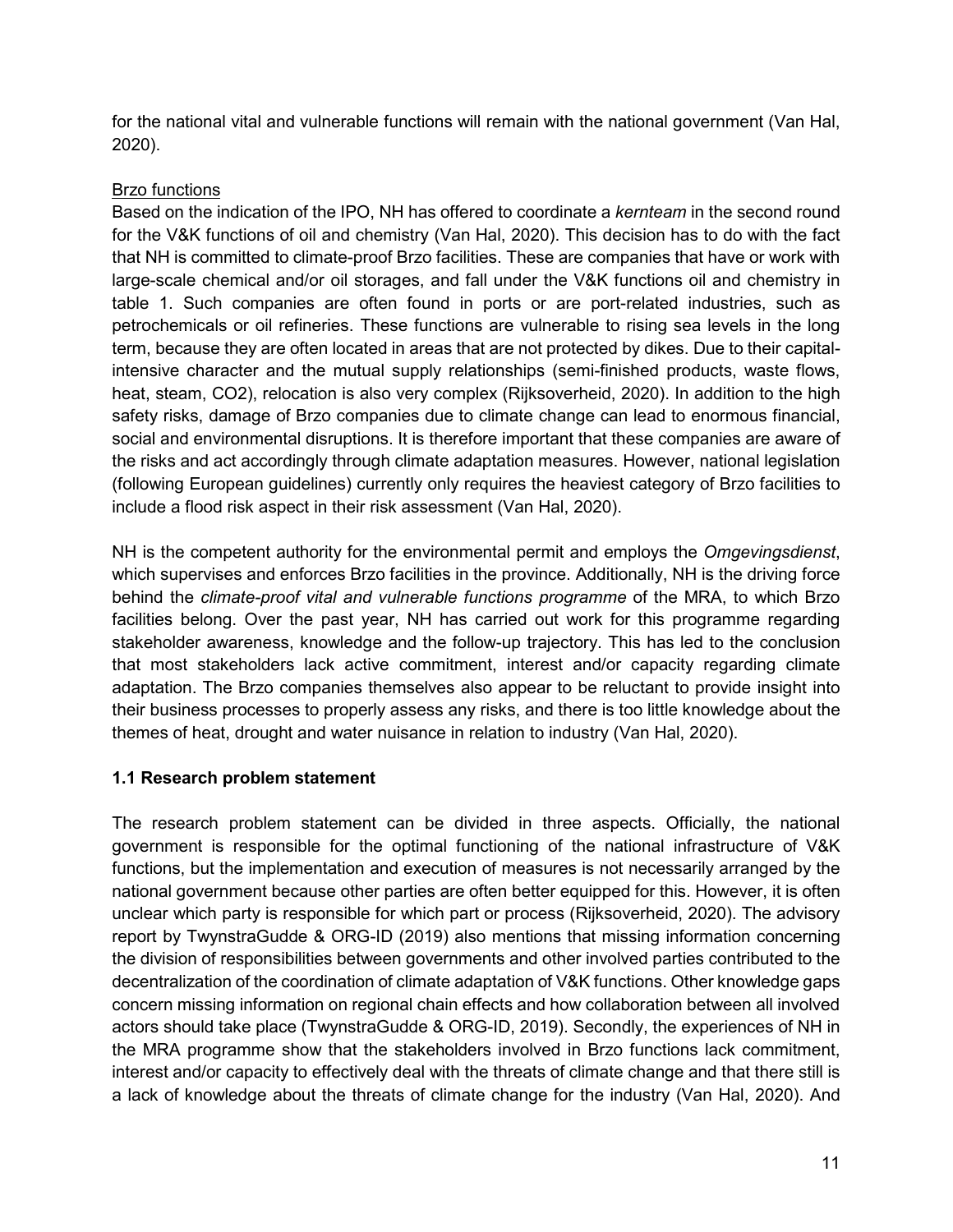for the national vital and vulnerable functions will remain with the national government (Van Hal, 2020).

# Brzo functions

Based on the indication of the IPO, NH has offered to coordinate a *kernteam* in the second round for the V&K functions of oil and chemistry (Van Hal, 2020). This decision has to do with the fact that NH is committed to climate-proof Brzo facilities. These are companies that have or work with large-scale chemical and/or oil storages, and fall under the V&K functions oil and chemistry in table 1. Such companies are often found in ports or are port-related industries, such as petrochemicals or oil refineries. These functions are vulnerable to rising sea levels in the long term, because they are often located in areas that are not protected by dikes. Due to their capitalintensive character and the mutual supply relationships (semi-finished products, waste flows, heat, steam, CO2), relocation is also very complex (Rijksoverheid, 2020). In addition to the high safety risks, damage of Brzo companies due to climate change can lead to enormous financial, social and environmental disruptions. It is therefore important that these companies are aware of the risks and act accordingly through climate adaptation measures. However, national legislation (following European guidelines) currently only requires the heaviest category of Brzo facilities to include a flood risk aspect in their risk assessment (Van Hal, 2020).

NH is the competent authority for the environmental permit and employs the *Omgevingsdienst*, which supervises and enforces Brzo facilities in the province. Additionally, NH is the driving force behind the *climate-proof vital and vulnerable functions programme* of the MRA, to which Brzo facilities belong. Over the past year, NH has carried out work for this programme regarding stakeholder awareness, knowledge and the follow-up trajectory. This has led to the conclusion that most stakeholders lack active commitment, interest and/or capacity regarding climate adaptation. The Brzo companies themselves also appear to be reluctant to provide insight into their business processes to properly assess any risks, and there is too little knowledge about the themes of heat, drought and water nuisance in relation to industry (Van Hal, 2020).

# **1.1 Research problem statement**

The research problem statement can be divided in three aspects. Officially, the national government is responsible for the optimal functioning of the national infrastructure of V&K functions, but the implementation and execution of measures is not necessarily arranged by the national government because other parties are often better equipped for this. However, it is often unclear which party is responsible for which part or process (Rijksoverheid, 2020). The advisory report by TwynstraGudde & ORG-ID (2019) also mentions that missing information concerning the division of responsibilities between governments and other involved parties contributed to the decentralization of the coordination of climate adaptation of V&K functions. Other knowledge gaps concern missing information on regional chain effects and how collaboration between all involved actors should take place (TwynstraGudde & ORG-ID, 2019). Secondly, the experiences of NH in the MRA programme show that the stakeholders involved in Brzo functions lack commitment, interest and/or capacity to effectively deal with the threats of climate change and that there still is a lack of knowledge about the threats of climate change for the industry (Van Hal, 2020). And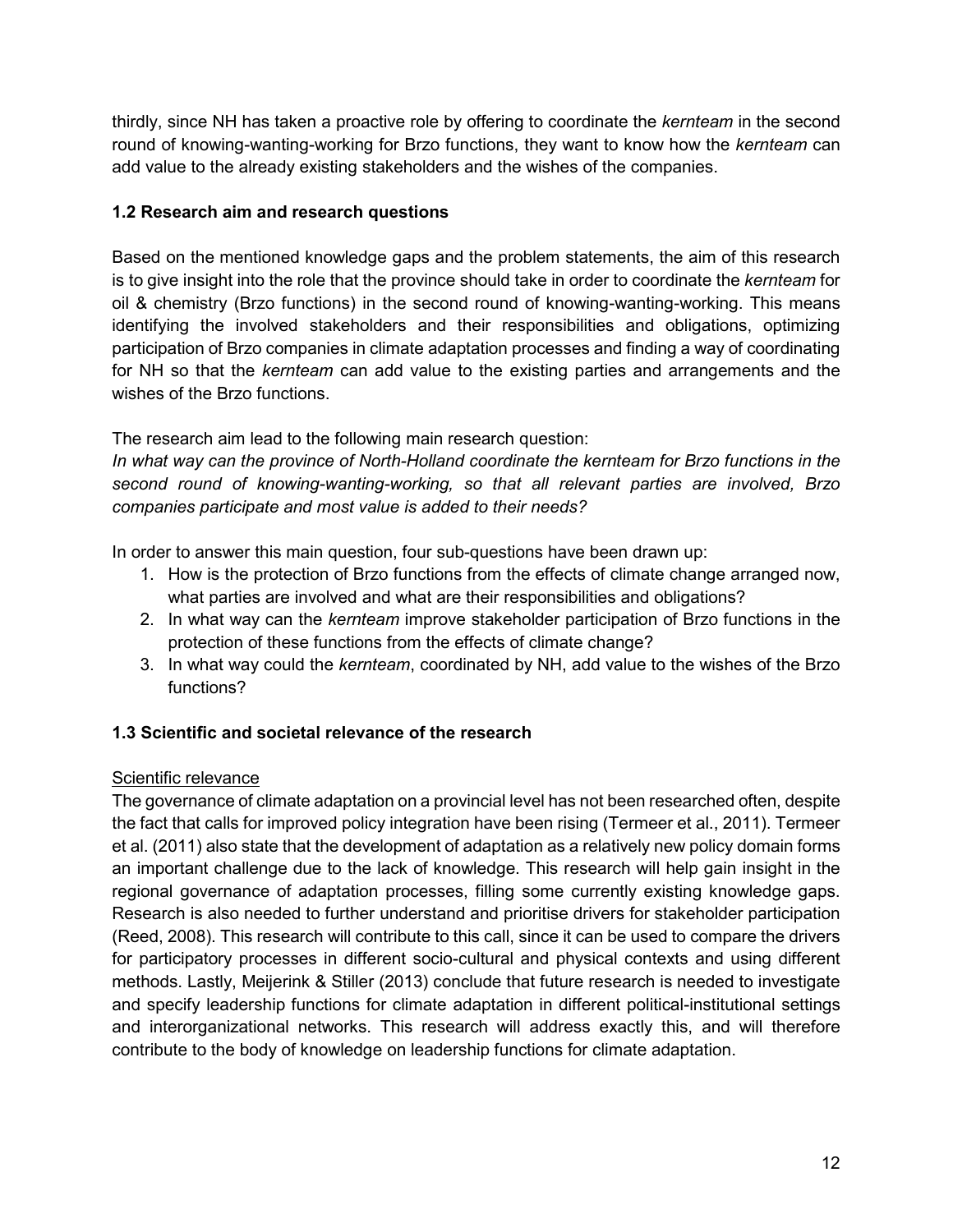thirdly, since NH has taken a proactive role by offering to coordinate the *kernteam* in the second round of knowing-wanting-working for Brzo functions, they want to know how the *kernteam* can add value to the already existing stakeholders and the wishes of the companies.

# **1.2 Research aim and research questions**

Based on the mentioned knowledge gaps and the problem statements, the aim of this research is to give insight into the role that the province should take in order to coordinate the *kernteam* for oil & chemistry (Brzo functions) in the second round of knowing-wanting-working. This means identifying the involved stakeholders and their responsibilities and obligations, optimizing participation of Brzo companies in climate adaptation processes and finding a way of coordinating for NH so that the *kernteam* can add value to the existing parties and arrangements and the wishes of the Brzo functions.

The research aim lead to the following main research question:

*In what way can the province of North-Holland coordinate the kernteam for Brzo functions in the second round of knowing-wanting-working, so that all relevant parties are involved, Brzo companies participate and most value is added to their needs?* 

In order to answer this main question, four sub-questions have been drawn up:

- 1. How is the protection of Brzo functions from the effects of climate change arranged now, what parties are involved and what are their responsibilities and obligations?
- 2. In what way can the *kernteam* improve stakeholder participation of Brzo functions in the protection of these functions from the effects of climate change?
- 3. In what way could the *kernteam*, coordinated by NH, add value to the wishes of the Brzo functions?

# **1.3 Scientific and societal relevance of the research**

# Scientific relevance

The governance of climate adaptation on a provincial level has not been researched often, despite the fact that calls for improved policy integration have been rising (Termeer et al., 2011). Termeer et al. (2011) also state that the development of adaptation as a relatively new policy domain forms an important challenge due to the lack of knowledge. This research will help gain insight in the regional governance of adaptation processes, filling some currently existing knowledge gaps. Research is also needed to further understand and prioritise drivers for stakeholder participation (Reed, 2008). This research will contribute to this call, since it can be used to compare the drivers for participatory processes in different socio-cultural and physical contexts and using different methods. Lastly, Meijerink & Stiller (2013) conclude that future research is needed to investigate and specify leadership functions for climate adaptation in different political-institutional settings and interorganizational networks. This research will address exactly this, and will therefore contribute to the body of knowledge on leadership functions for climate adaptation.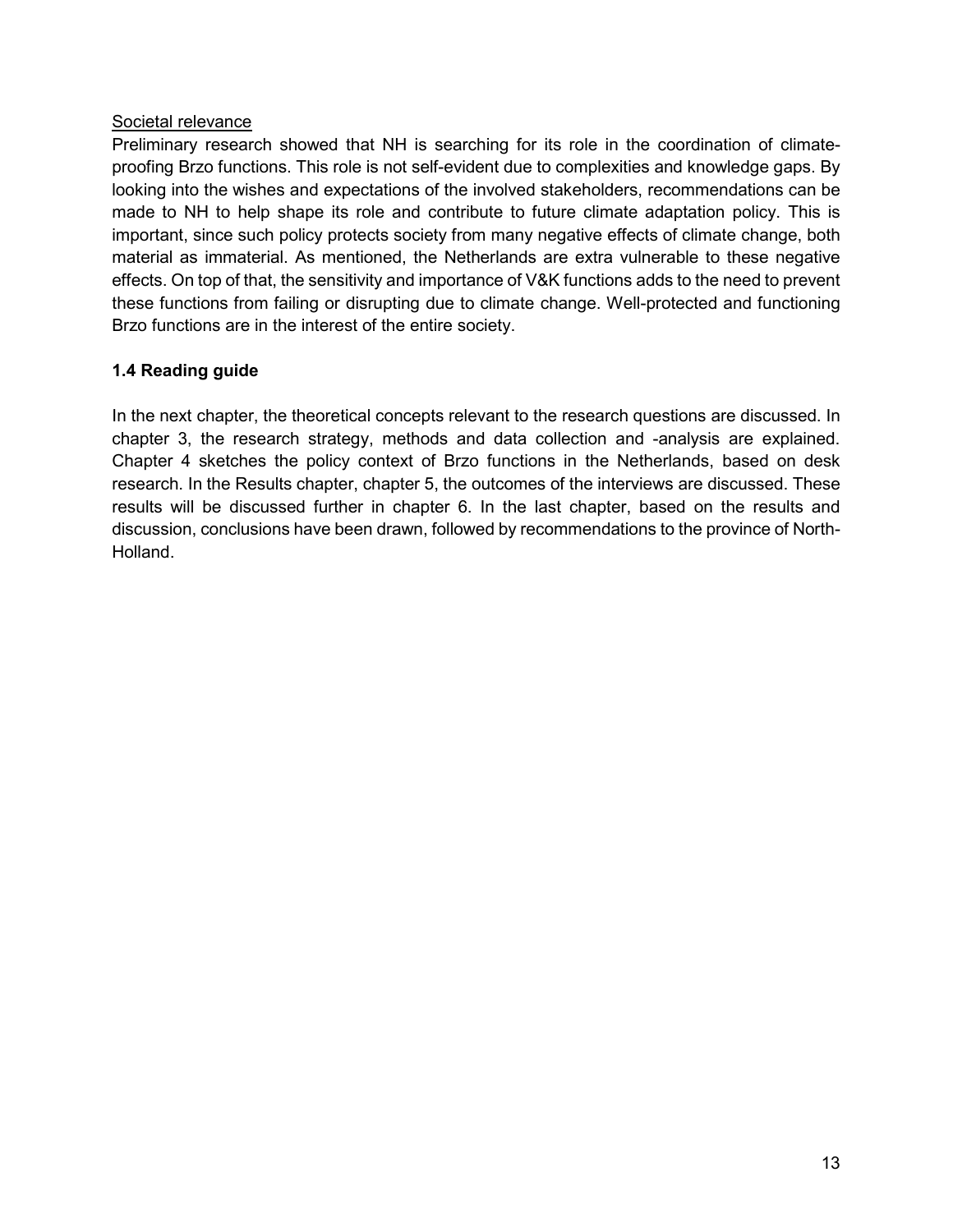### Societal relevance

Preliminary research showed that NH is searching for its role in the coordination of climateproofing Brzo functions. This role is not self-evident due to complexities and knowledge gaps. By looking into the wishes and expectations of the involved stakeholders, recommendations can be made to NH to help shape its role and contribute to future climate adaptation policy. This is important, since such policy protects society from many negative effects of climate change, both material as immaterial. As mentioned, the Netherlands are extra vulnerable to these negative effects. On top of that, the sensitivity and importance of V&K functions adds to the need to prevent these functions from failing or disrupting due to climate change. Well-protected and functioning Brzo functions are in the interest of the entire society.

# **1.4 Reading guide**

In the next chapter, the theoretical concepts relevant to the research questions are discussed. In chapter 3, the research strategy, methods and data collection and -analysis are explained. Chapter 4 sketches the policy context of Brzo functions in the Netherlands, based on desk research. In the Results chapter, chapter 5, the outcomes of the interviews are discussed. These results will be discussed further in chapter 6. In the last chapter, based on the results and discussion, conclusions have been drawn, followed by recommendations to the province of North-Holland.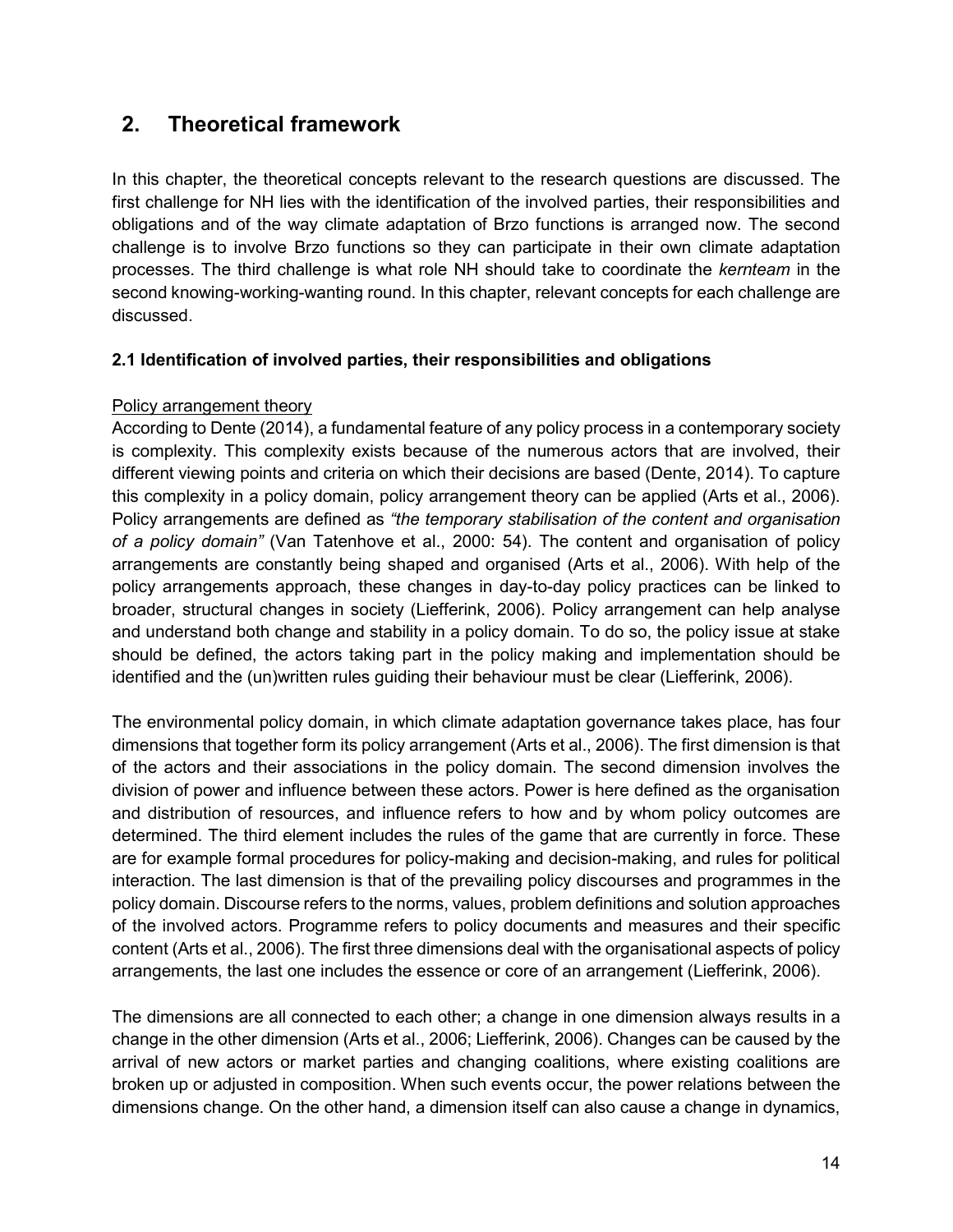# **2. Theoretical framework**

In this chapter, the theoretical concepts relevant to the research questions are discussed. The first challenge for NH lies with the identification of the involved parties, their responsibilities and obligations and of the way climate adaptation of Brzo functions is arranged now. The second challenge is to involve Brzo functions so they can participate in their own climate adaptation processes. The third challenge is what role NH should take to coordinate the *kernteam* in the second knowing-working-wanting round. In this chapter, relevant concepts for each challenge are discussed.

# **2.1 Identification of involved parties, their responsibilities and obligations**

# Policy arrangement theory

According to Dente (2014), a fundamental feature of any policy process in a contemporary society is complexity. This complexity exists because of the numerous actors that are involved, their different viewing points and criteria on which their decisions are based (Dente, 2014). To capture this complexity in a policy domain, policy arrangement theory can be applied (Arts et al., 2006). Policy arrangements are defined as *"the temporary stabilisation of the content and organisation of a policy domain"* (Van Tatenhove et al., 2000: 54). The content and organisation of policy arrangements are constantly being shaped and organised (Arts et al., 2006). With help of the policy arrangements approach, these changes in day-to-day policy practices can be linked to broader, structural changes in society (Liefferink, 2006). Policy arrangement can help analyse and understand both change and stability in a policy domain. To do so, the policy issue at stake should be defined, the actors taking part in the policy making and implementation should be identified and the (un)written rules guiding their behaviour must be clear (Liefferink, 2006).

The environmental policy domain, in which climate adaptation governance takes place, has four dimensions that together form its policy arrangement (Arts et al., 2006). The first dimension is that of the actors and their associations in the policy domain. The second dimension involves the division of power and influence between these actors. Power is here defined as the organisation and distribution of resources, and influence refers to how and by whom policy outcomes are determined. The third element includes the rules of the game that are currently in force. These are for example formal procedures for policy-making and decision-making, and rules for political interaction. The last dimension is that of the prevailing policy discourses and programmes in the policy domain. Discourse refers to the norms, values, problem definitions and solution approaches of the involved actors. Programme refers to policy documents and measures and their specific content (Arts et al., 2006). The first three dimensions deal with the organisational aspects of policy arrangements, the last one includes the essence or core of an arrangement (Liefferink, 2006).

The dimensions are all connected to each other; a change in one dimension always results in a change in the other dimension (Arts et al., 2006; Liefferink, 2006). Changes can be caused by the arrival of new actors or market parties and changing coalitions, where existing coalitions are broken up or adjusted in composition. When such events occur, the power relations between the dimensions change. On the other hand, a dimension itself can also cause a change in dynamics,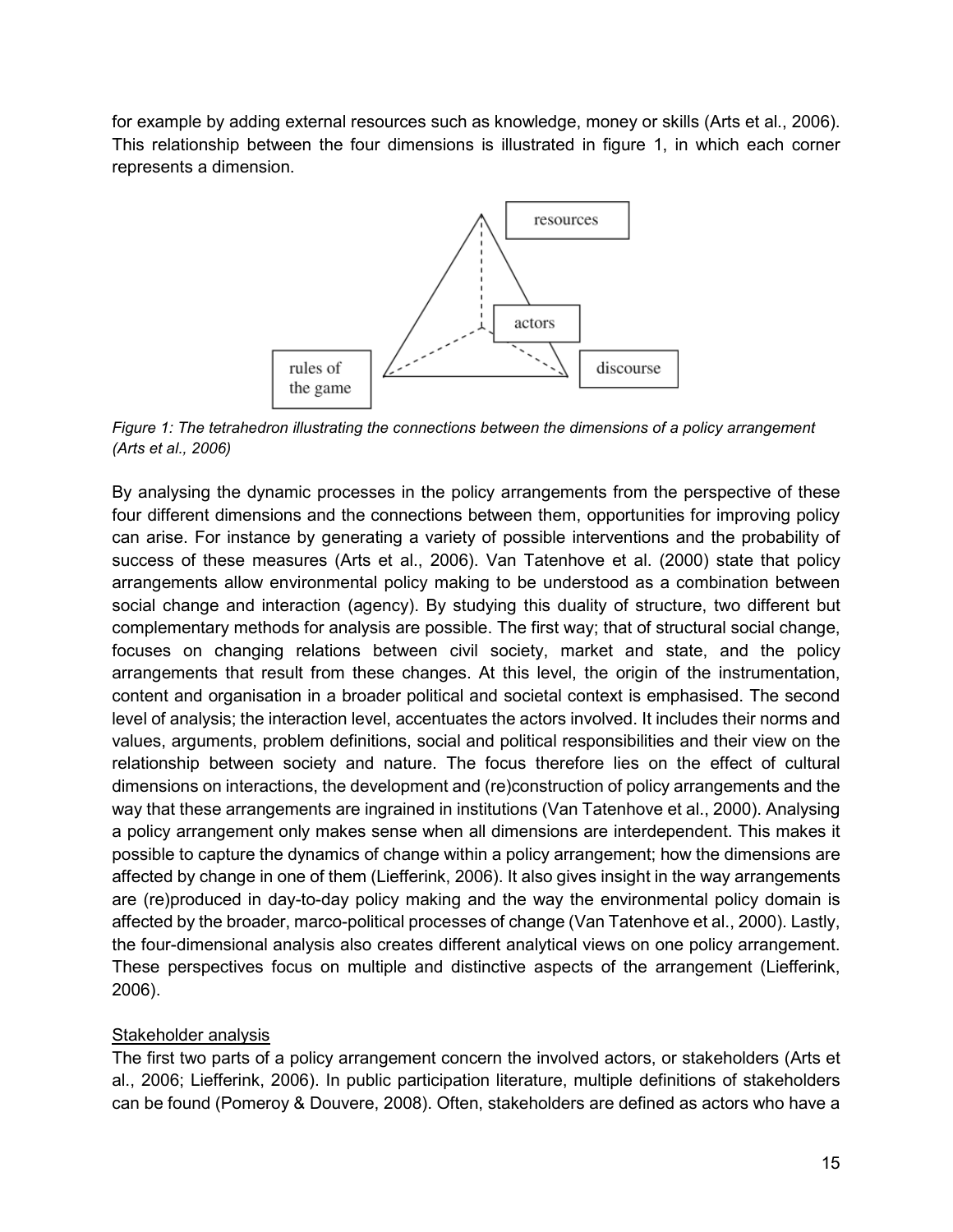for example by adding external resources such as knowledge, money or skills (Arts et al., 2006). This relationship between the four dimensions is illustrated in figure 1, in which each corner represents a dimension.



*Figure 1: The tetrahedron illustrating the connections between the dimensions of a policy arrangement (Arts et al., 2006)*

By analysing the dynamic processes in the policy arrangements from the perspective of these four different dimensions and the connections between them, opportunities for improving policy can arise. For instance by generating a variety of possible interventions and the probability of success of these measures (Arts et al., 2006). Van Tatenhove et al. (2000) state that policy arrangements allow environmental policy making to be understood as a combination between social change and interaction (agency). By studying this duality of structure, two different but complementary methods for analysis are possible. The first way; that of structural social change, focuses on changing relations between civil society, market and state, and the policy arrangements that result from these changes. At this level, the origin of the instrumentation, content and organisation in a broader political and societal context is emphasised. The second level of analysis; the interaction level, accentuates the actors involved. It includes their norms and values, arguments, problem definitions, social and political responsibilities and their view on the relationship between society and nature. The focus therefore lies on the effect of cultural dimensions on interactions, the development and (re)construction of policy arrangements and the way that these arrangements are ingrained in institutions (Van Tatenhove et al., 2000). Analysing a policy arrangement only makes sense when all dimensions are interdependent. This makes it possible to capture the dynamics of change within a policy arrangement; how the dimensions are affected by change in one of them (Liefferink, 2006). It also gives insight in the way arrangements are (re)produced in day-to-day policy making and the way the environmental policy domain is affected by the broader, marco-political processes of change (Van Tatenhove et al., 2000). Lastly, the four-dimensional analysis also creates different analytical views on one policy arrangement. These perspectives focus on multiple and distinctive aspects of the arrangement (Liefferink, 2006).

# Stakeholder analysis

The first two parts of a policy arrangement concern the involved actors, or stakeholders (Arts et al., 2006; Liefferink, 2006). In public participation literature, multiple definitions of stakeholders can be found (Pomeroy & Douvere, 2008). Often, stakeholders are defined as actors who have a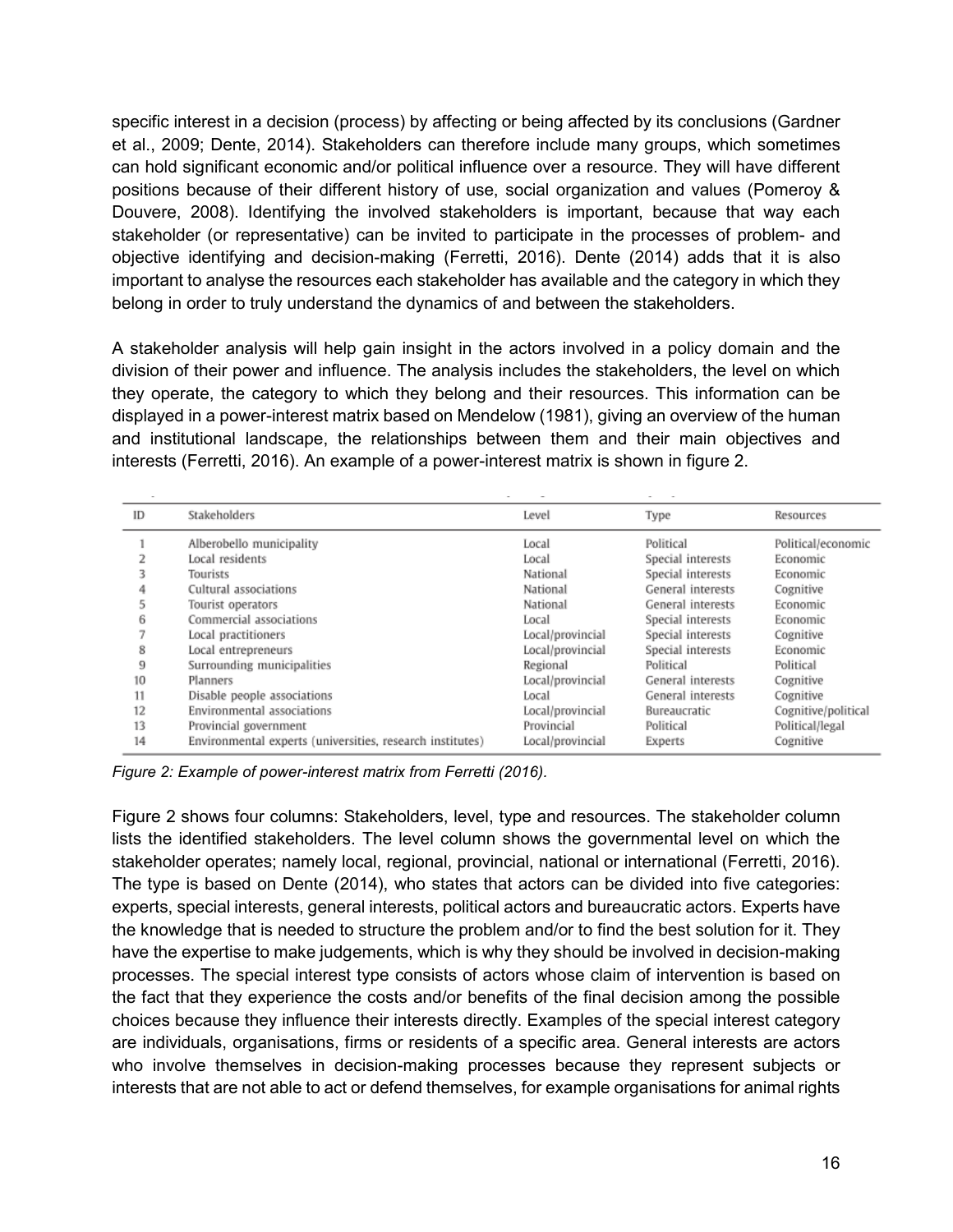specific interest in a decision (process) by affecting or being affected by its conclusions (Gardner et al., 2009; Dente, 2014). Stakeholders can therefore include many groups, which sometimes can hold significant economic and/or political influence over a resource. They will have different positions because of their different history of use, social organization and values (Pomeroy & Douvere, 2008). Identifying the involved stakeholders is important, because that way each stakeholder (or representative) can be invited to participate in the processes of problem- and objective identifying and decision-making (Ferretti, 2016). Dente (2014) adds that it is also important to analyse the resources each stakeholder has available and the category in which they belong in order to truly understand the dynamics of and between the stakeholders.

A stakeholder analysis will help gain insight in the actors involved in a policy domain and the division of their power and influence. The analysis includes the stakeholders, the level on which they operate, the category to which they belong and their resources. This information can be displayed in a power-interest matrix based on Mendelow (1981), giving an overview of the human and institutional landscape, the relationships between them and their main objectives and interests (Ferretti, 2016). An example of a power-interest matrix is shown in figure 2.

| ID | Stakeholders                                              | Level            | Type              | Resources           |
|----|-----------------------------------------------------------|------------------|-------------------|---------------------|
|    | Alberobello municipality                                  | Local            | Political         | Political/economic  |
|    | Local residents                                           | Local            | Special interests | Economic            |
|    | Tourists                                                  | National         | Special interests | Economic            |
|    | Cultural associations                                     | National         | General interests | Cognitive           |
|    | Tourist operators                                         | National         | General interests | Economic            |
| 6  | Commercial associations                                   | Local            | Special interests | Economic            |
|    | Local practitioners                                       | Local/provincial | Special interests | Cognitive           |
| 8  | Local entrepreneurs                                       | Local/provincial | Special interests | Economic            |
| 9  | Surrounding municipalities                                | Regional         | Political         | Political           |
| 10 | Planners                                                  | Local/provincial | General interests | Cognitive           |
| 11 | Disable people associations                               | Local            | General interests | Cognitive           |
| 12 | Environmental associations                                | Local/provincial | Bureaucratic      | Cognitive/political |
| 13 | Provincial government                                     | Provincial       | Political         | Political/legal     |
| 14 | Environmental experts (universities, research institutes) | Local/provincial | Experts           | Cognitive           |

*Figure 2: Example of power-interest matrix from Ferretti (2016).* 

Figure 2 shows four columns: Stakeholders, level, type and resources. The stakeholder column lists the identified stakeholders. The level column shows the governmental level on which the stakeholder operates; namely local, regional, provincial, national or international (Ferretti, 2016). The type is based on Dente (2014), who states that actors can be divided into five categories: experts, special interests, general interests, political actors and bureaucratic actors. Experts have the knowledge that is needed to structure the problem and/or to find the best solution for it. They have the expertise to make judgements, which is why they should be involved in decision-making processes. The special interest type consists of actors whose claim of intervention is based on the fact that they experience the costs and/or benefits of the final decision among the possible choices because they influence their interests directly. Examples of the special interest category are individuals, organisations, firms or residents of a specific area. General interests are actors who involve themselves in decision-making processes because they represent subjects or interests that are not able to act or defend themselves, for example organisations for animal rights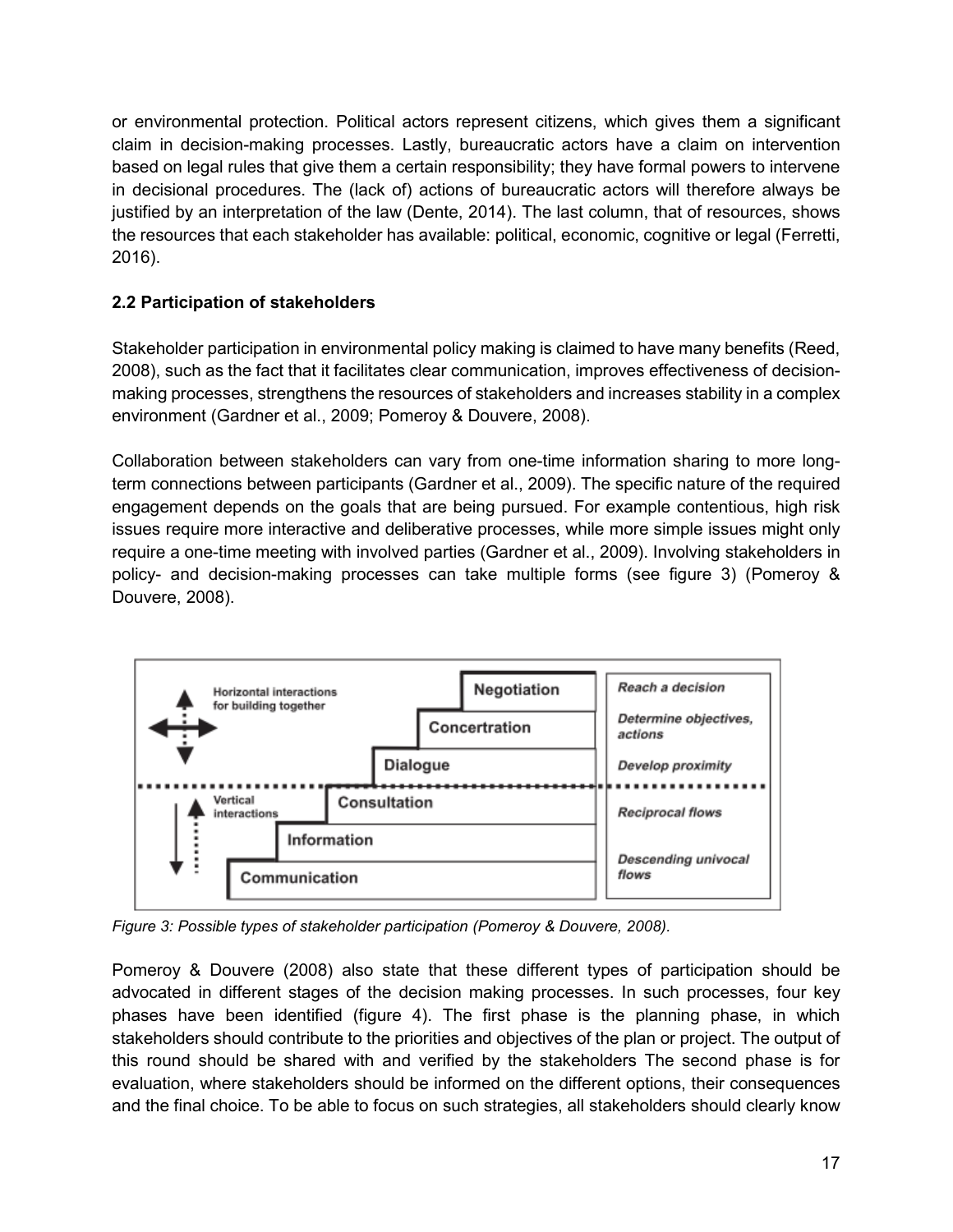or environmental protection. Political actors represent citizens, which gives them a significant claim in decision-making processes. Lastly, bureaucratic actors have a claim on intervention based on legal rules that give them a certain responsibility; they have formal powers to intervene in decisional procedures. The (lack of) actions of bureaucratic actors will therefore always be justified by an interpretation of the law (Dente, 2014). The last column, that of resources, shows the resources that each stakeholder has available: political, economic, cognitive or legal (Ferretti, 2016).

# **2.2 Participation of stakeholders**

Stakeholder participation in environmental policy making is claimed to have many benefits (Reed, 2008), such as the fact that it facilitates clear communication, improves effectiveness of decisionmaking processes, strengthens the resources of stakeholders and increases stability in a complex environment (Gardner et al., 2009; Pomeroy & Douvere, 2008).

Collaboration between stakeholders can vary from one-time information sharing to more longterm connections between participants (Gardner et al., 2009). The specific nature of the required engagement depends on the goals that are being pursued. For example contentious, high risk issues require more interactive and deliberative processes, while more simple issues might only require a one-time meeting with involved parties (Gardner et al., 2009). Involving stakeholders in policy- and decision-making processes can take multiple forms (see figure 3) (Pomeroy & Douvere, 2008).



*Figure 3: Possible types of stakeholder participation (Pomeroy & Douvere, 2008).* 

Pomeroy & Douvere (2008) also state that these different types of participation should be advocated in different stages of the decision making processes. In such processes, four key phases have been identified (figure 4). The first phase is the planning phase, in which stakeholders should contribute to the priorities and objectives of the plan or project. The output of this round should be shared with and verified by the stakeholders The second phase is for evaluation, where stakeholders should be informed on the different options, their consequences and the final choice. To be able to focus on such strategies, all stakeholders should clearly know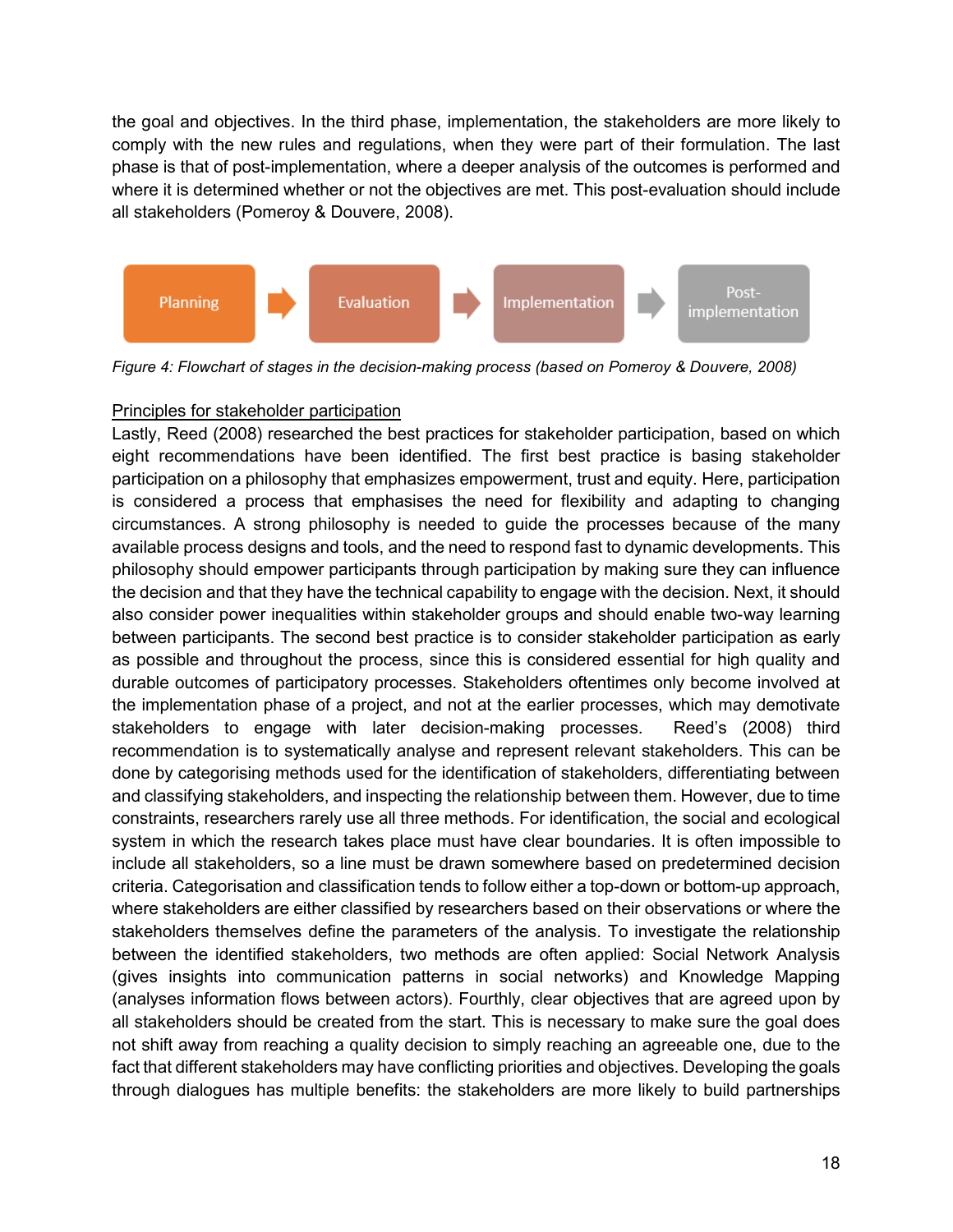the goal and objectives. In the third phase, implementation, the stakeholders are more likely to comply with the new rules and regulations, when they were part of their formulation. The last phase is that of post-implementation, where a deeper analysis of the outcomes is performed and where it is determined whether or not the objectives are met. This post-evaluation should include all stakeholders (Pomeroy & Douvere, 2008).



*Figure 4: Flowchart of stages in the decision-making process (based on Pomeroy & Douvere, 2008)*

# Principles for stakeholder participation

Lastly, Reed (2008) researched the best practices for stakeholder participation, based on which eight recommendations have been identified. The first best practice is basing stakeholder participation on a philosophy that emphasizes empowerment, trust and equity. Here, participation is considered a process that emphasises the need for flexibility and adapting to changing circumstances. A strong philosophy is needed to guide the processes because of the many available process designs and tools, and the need to respond fast to dynamic developments. This philosophy should empower participants through participation by making sure they can influence the decision and that they have the technical capability to engage with the decision. Next, it should also consider power inequalities within stakeholder groups and should enable two-way learning between participants. The second best practice is to consider stakeholder participation as early as possible and throughout the process, since this is considered essential for high quality and durable outcomes of participatory processes. Stakeholders oftentimes only become involved at the implementation phase of a project, and not at the earlier processes, which may demotivate stakeholders to engage with later decision-making processes. Reed's (2008) third recommendation is to systematically analyse and represent relevant stakeholders. This can be done by categorising methods used for the identification of stakeholders, differentiating between and classifying stakeholders, and inspecting the relationship between them. However, due to time constraints, researchers rarely use all three methods. For identification, the social and ecological system in which the research takes place must have clear boundaries. It is often impossible to include all stakeholders, so a line must be drawn somewhere based on predetermined decision criteria. Categorisation and classification tends to follow either a top-down or bottom-up approach, where stakeholders are either classified by researchers based on their observations or where the stakeholders themselves define the parameters of the analysis. To investigate the relationship between the identified stakeholders, two methods are often applied: Social Network Analysis (gives insights into communication patterns in social networks) and Knowledge Mapping (analyses information flows between actors). Fourthly, clear objectives that are agreed upon by all stakeholders should be created from the start. This is necessary to make sure the goal does not shift away from reaching a quality decision to simply reaching an agreeable one, due to the fact that different stakeholders may have conflicting priorities and objectives. Developing the goals through dialogues has multiple benefits: the stakeholders are more likely to build partnerships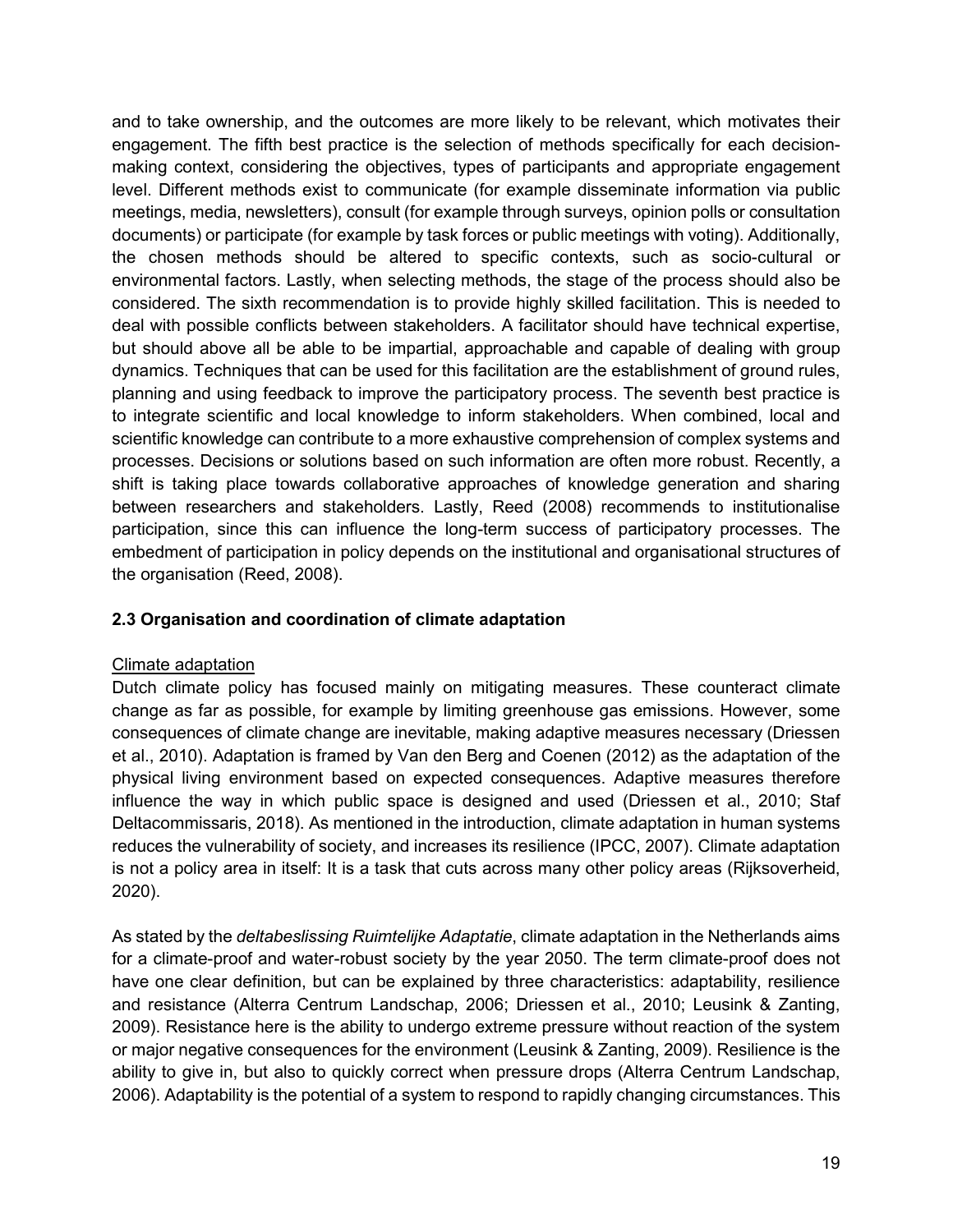and to take ownership, and the outcomes are more likely to be relevant, which motivates their engagement. The fifth best practice is the selection of methods specifically for each decisionmaking context, considering the objectives, types of participants and appropriate engagement level. Different methods exist to communicate (for example disseminate information via public meetings, media, newsletters), consult (for example through surveys, opinion polls or consultation documents) or participate (for example by task forces or public meetings with voting). Additionally, the chosen methods should be altered to specific contexts, such as socio-cultural or environmental factors. Lastly, when selecting methods, the stage of the process should also be considered. The sixth recommendation is to provide highly skilled facilitation. This is needed to deal with possible conflicts between stakeholders. A facilitator should have technical expertise, but should above all be able to be impartial, approachable and capable of dealing with group dynamics. Techniques that can be used for this facilitation are the establishment of ground rules, planning and using feedback to improve the participatory process. The seventh best practice is to integrate scientific and local knowledge to inform stakeholders. When combined, local and scientific knowledge can contribute to a more exhaustive comprehension of complex systems and processes. Decisions or solutions based on such information are often more robust. Recently, a shift is taking place towards collaborative approaches of knowledge generation and sharing between researchers and stakeholders. Lastly, Reed (2008) recommends to institutionalise participation, since this can influence the long-term success of participatory processes. The embedment of participation in policy depends on the institutional and organisational structures of the organisation (Reed, 2008).

### **2.3 Organisation and coordination of climate adaptation**

### Climate adaptation

Dutch climate policy has focused mainly on mitigating measures. These counteract climate change as far as possible, for example by limiting greenhouse gas emissions. However, some consequences of climate change are inevitable, making adaptive measures necessary (Driessen et al., 2010). Adaptation is framed by Van den Berg and Coenen (2012) as the adaptation of the physical living environment based on expected consequences. Adaptive measures therefore influence the way in which public space is designed and used (Driessen et al., 2010; Staf Deltacommissaris, 2018). As mentioned in the introduction, climate adaptation in human systems reduces the vulnerability of society, and increases its resilience (IPCC, 2007). Climate adaptation is not a policy area in itself: It is a task that cuts across many other policy areas (Rijksoverheid, 2020).

As stated by the *deltabeslissing Ruimtelijke Adaptatie*, climate adaptation in the Netherlands aims for a climate-proof and water-robust society by the year 2050. The term climate-proof does not have one clear definition, but can be explained by three characteristics: adaptability, resilience and resistance (Alterra Centrum Landschap, 2006; Driessen et al., 2010; Leusink & Zanting, 2009). Resistance here is the ability to undergo extreme pressure without reaction of the system or major negative consequences for the environment (Leusink & Zanting, 2009). Resilience is the ability to give in, but also to quickly correct when pressure drops (Alterra Centrum Landschap, 2006). Adaptability is the potential of a system to respond to rapidly changing circumstances. This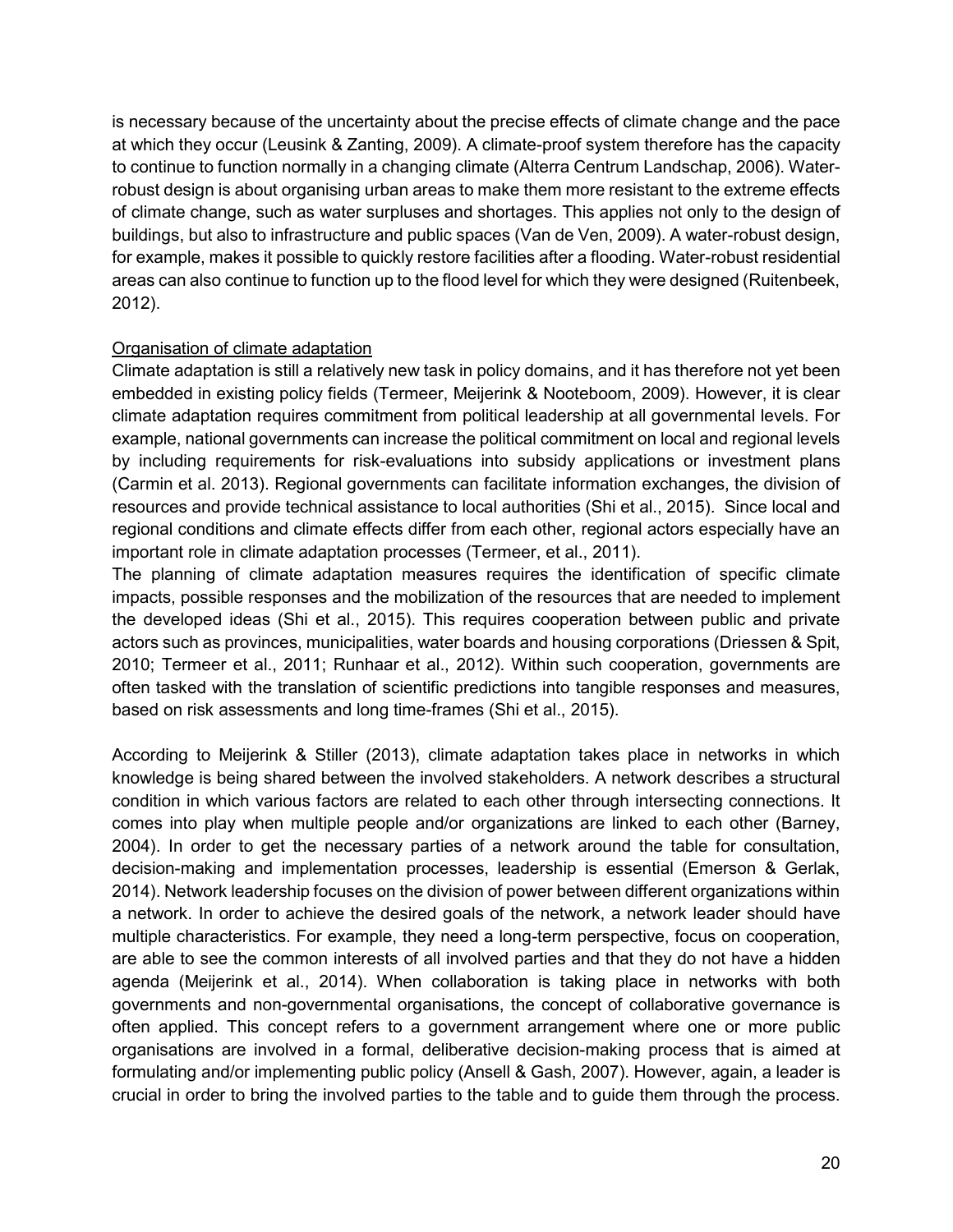is necessary because of the uncertainty about the precise effects of climate change and the pace at which they occur (Leusink & Zanting, 2009). A climate-proof system therefore has the capacity to continue to function normally in a changing climate (Alterra Centrum Landschap, 2006). Waterrobust design is about organising urban areas to make them more resistant to the extreme effects of climate change, such as water surpluses and shortages. This applies not only to the design of buildings, but also to infrastructure and public spaces (Van de Ven, 2009). A water-robust design, for example, makes it possible to quickly restore facilities after a flooding. Water-robust residential areas can also continue to function up to the flood level for which they were designed (Ruitenbeek, 2012).

### Organisation of climate adaptation

Climate adaptation is still a relatively new task in policy domains, and it has therefore not yet been embedded in existing policy fields (Termeer, Meijerink & Nooteboom, 2009). However, it is clear climate adaptation requires commitment from political leadership at all governmental levels. For example, national governments can increase the political commitment on local and regional levels by including requirements for risk-evaluations into subsidy applications or investment plans (Carmin et al. 2013). Regional governments can facilitate information exchanges, the division of resources and provide technical assistance to local authorities (Shi et al., 2015). Since local and regional conditions and climate effects differ from each other, regional actors especially have an important role in climate adaptation processes (Termeer, et al., 2011).

The planning of climate adaptation measures requires the identification of specific climate impacts, possible responses and the mobilization of the resources that are needed to implement the developed ideas (Shi et al., 2015). This requires cooperation between public and private actors such as provinces, municipalities, water boards and housing corporations (Driessen & Spit, 2010; Termeer et al., 2011; Runhaar et al., 2012). Within such cooperation, governments are often tasked with the translation of scientific predictions into tangible responses and measures, based on risk assessments and long time-frames (Shi et al., 2015).

According to Meijerink & Stiller (2013), climate adaptation takes place in networks in which knowledge is being shared between the involved stakeholders. A network describes a structural condition in which various factors are related to each other through intersecting connections. It comes into play when multiple people and/or organizations are linked to each other (Barney, 2004). In order to get the necessary parties of a network around the table for consultation, decision-making and implementation processes, leadership is essential (Emerson & Gerlak, 2014). Network leadership focuses on the division of power between different organizations within a network. In order to achieve the desired goals of the network, a network leader should have multiple characteristics. For example, they need a long-term perspective, focus on cooperation, are able to see the common interests of all involved parties and that they do not have a hidden agenda (Meijerink et al., 2014). When collaboration is taking place in networks with both governments and non-governmental organisations, the concept of collaborative governance is often applied. This concept refers to a government arrangement where one or more public organisations are involved in a formal, deliberative decision-making process that is aimed at formulating and/or implementing public policy (Ansell & Gash, 2007). However, again, a leader is crucial in order to bring the involved parties to the table and to guide them through the process.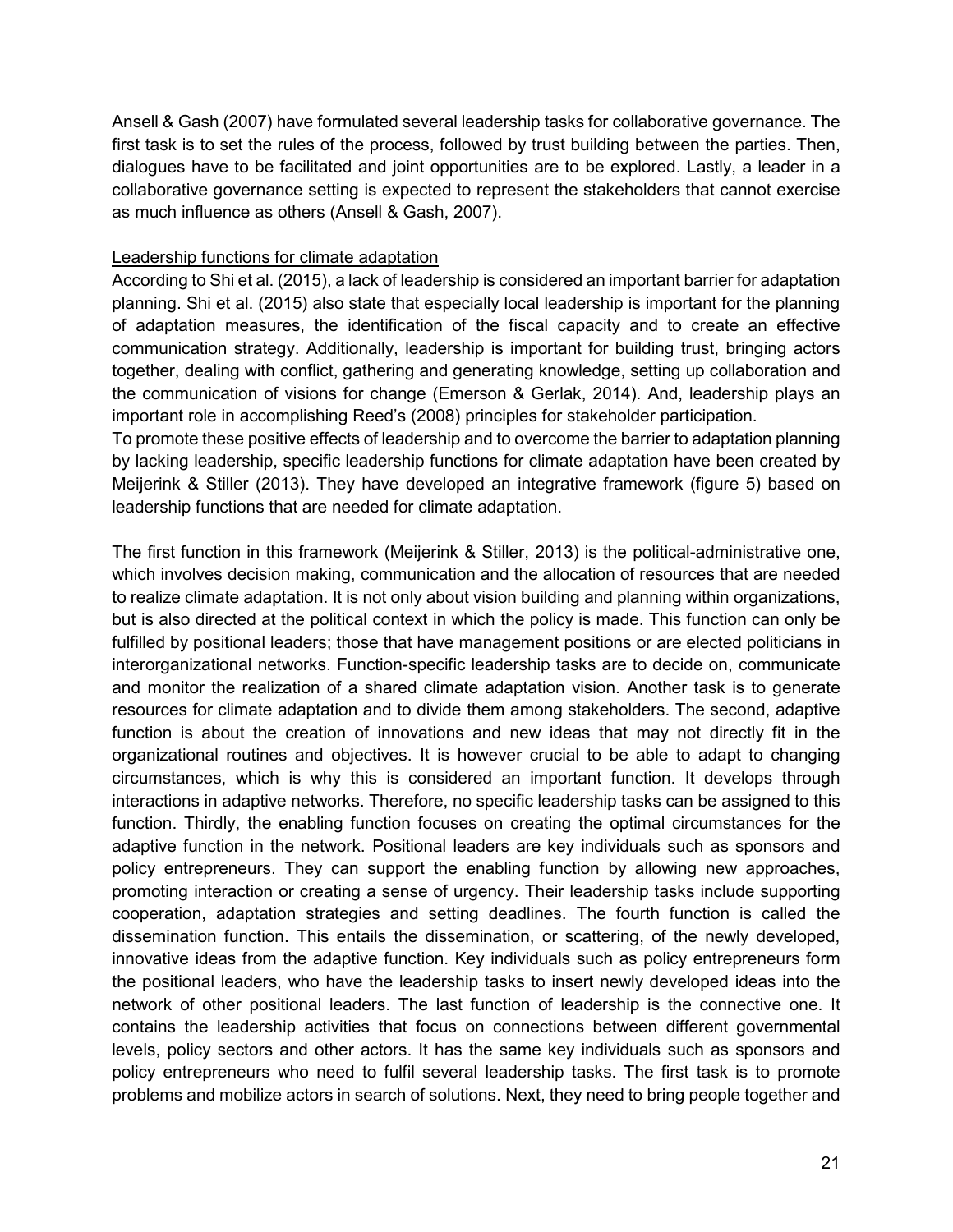Ansell & Gash (2007) have formulated several leadership tasks for collaborative governance. The first task is to set the rules of the process, followed by trust building between the parties. Then, dialogues have to be facilitated and joint opportunities are to be explored. Lastly, a leader in a collaborative governance setting is expected to represent the stakeholders that cannot exercise as much influence as others (Ansell & Gash, 2007).

### Leadership functions for climate adaptation

According to Shi et al. (2015), a lack of leadership is considered an important barrier for adaptation planning. Shi et al. (2015) also state that especially local leadership is important for the planning of adaptation measures, the identification of the fiscal capacity and to create an effective communication strategy. Additionally, leadership is important for building trust, bringing actors together, dealing with conflict, gathering and generating knowledge, setting up collaboration and the communication of visions for change (Emerson & Gerlak, 2014). And, leadership plays an important role in accomplishing Reed's (2008) principles for stakeholder participation.

To promote these positive effects of leadership and to overcome the barrier to adaptation planning by lacking leadership, specific leadership functions for climate adaptation have been created by Meijerink & Stiller (2013). They have developed an integrative framework (figure 5) based on leadership functions that are needed for climate adaptation.

The first function in this framework (Meijerink & Stiller, 2013) is the political-administrative one, which involves decision making, communication and the allocation of resources that are needed to realize climate adaptation. It is not only about vision building and planning within organizations, but is also directed at the political context in which the policy is made. This function can only be fulfilled by positional leaders; those that have management positions or are elected politicians in interorganizational networks. Function-specific leadership tasks are to decide on, communicate and monitor the realization of a shared climate adaptation vision. Another task is to generate resources for climate adaptation and to divide them among stakeholders. The second, adaptive function is about the creation of innovations and new ideas that may not directly fit in the organizational routines and objectives. It is however crucial to be able to adapt to changing circumstances, which is why this is considered an important function. It develops through interactions in adaptive networks. Therefore, no specific leadership tasks can be assigned to this function. Thirdly, the enabling function focuses on creating the optimal circumstances for the adaptive function in the network. Positional leaders are key individuals such as sponsors and policy entrepreneurs. They can support the enabling function by allowing new approaches, promoting interaction or creating a sense of urgency. Their leadership tasks include supporting cooperation, adaptation strategies and setting deadlines. The fourth function is called the dissemination function. This entails the dissemination, or scattering, of the newly developed, innovative ideas from the adaptive function. Key individuals such as policy entrepreneurs form the positional leaders, who have the leadership tasks to insert newly developed ideas into the network of other positional leaders. The last function of leadership is the connective one. It contains the leadership activities that focus on connections between different governmental levels, policy sectors and other actors. It has the same key individuals such as sponsors and policy entrepreneurs who need to fulfil several leadership tasks. The first task is to promote problems and mobilize actors in search of solutions. Next, they need to bring people together and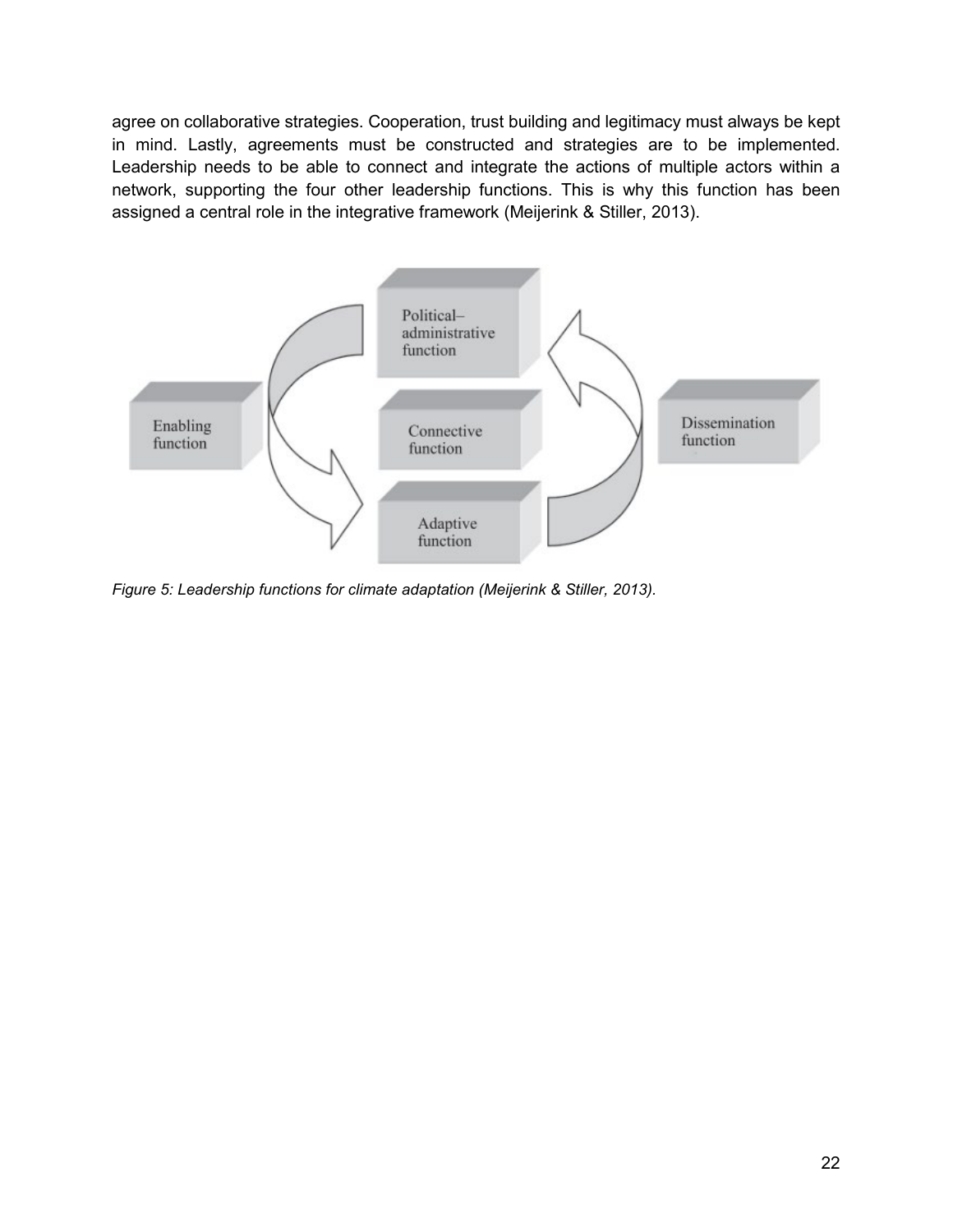agree on collaborative strategies. Cooperation, trust building and legitimacy must always be kept in mind. Lastly, agreements must be constructed and strategies are to be implemented. Leadership needs to be able to connect and integrate the actions of multiple actors within a network, supporting the four other leadership functions. This is why this function has been assigned a central role in the integrative framework (Meijerink & Stiller, 2013).



*Figure 5: Leadership functions for climate adaptation (Meijerink & Stiller, 2013).*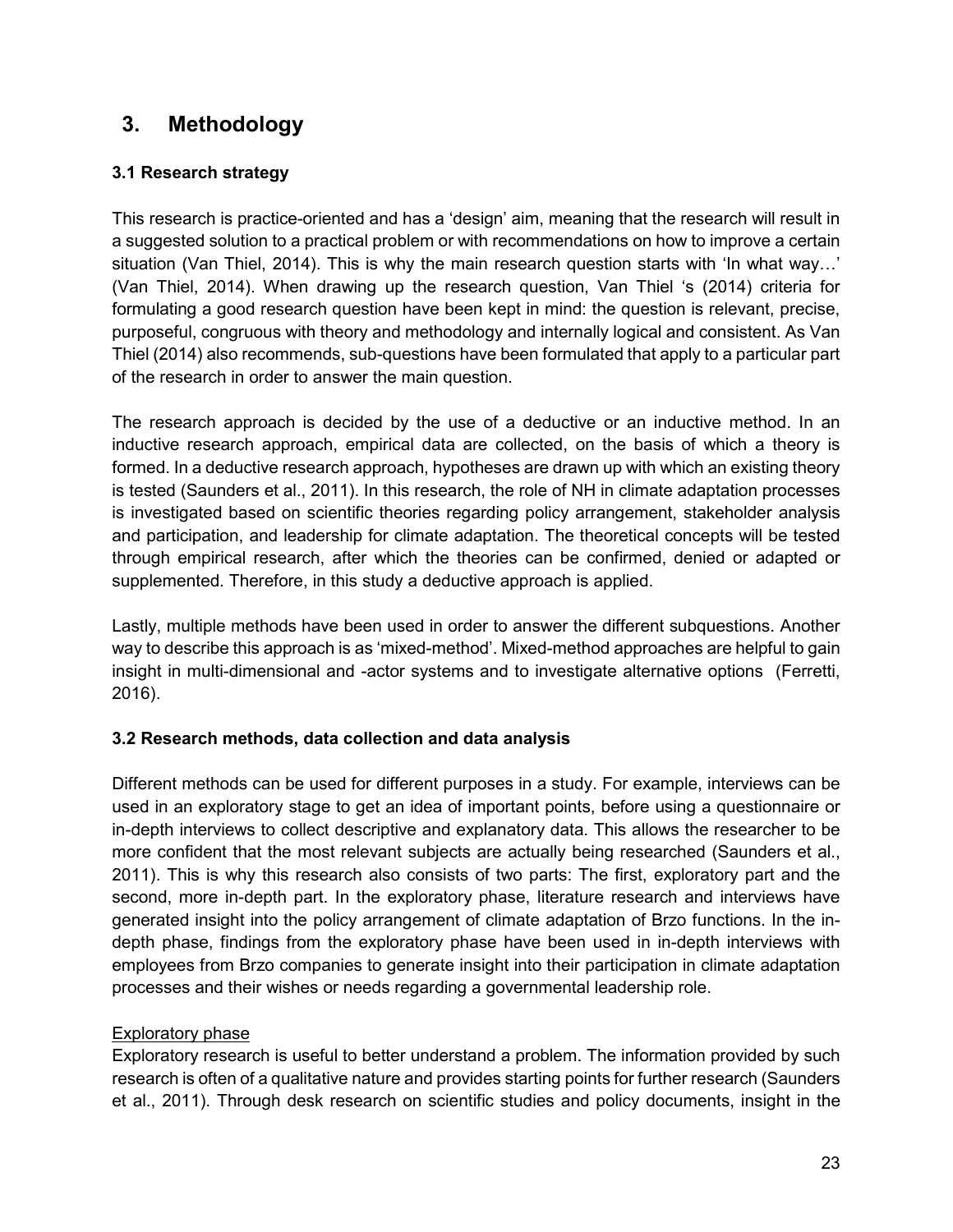# **3. Methodology**

# **3.1 Research strategy**

This research is practice-oriented and has a 'design' aim, meaning that the research will result in a suggested solution to a practical problem or with recommendations on how to improve a certain situation (Van Thiel, 2014). This is why the main research question starts with 'In what way…' (Van Thiel, 2014). When drawing up the research question, Van Thiel 's (2014) criteria for formulating a good research question have been kept in mind: the question is relevant, precise, purposeful, congruous with theory and methodology and internally logical and consistent. As Van Thiel (2014) also recommends, sub-questions have been formulated that apply to a particular part of the research in order to answer the main question.

The research approach is decided by the use of a deductive or an inductive method. In an inductive research approach, empirical data are collected, on the basis of which a theory is formed. In a deductive research approach, hypotheses are drawn up with which an existing theory is tested (Saunders et al., 2011). In this research, the role of NH in climate adaptation processes is investigated based on scientific theories regarding policy arrangement, stakeholder analysis and participation, and leadership for climate adaptation. The theoretical concepts will be tested through empirical research, after which the theories can be confirmed, denied or adapted or supplemented. Therefore, in this study a deductive approach is applied.

Lastly, multiple methods have been used in order to answer the different subquestions. Another way to describe this approach is as 'mixed-method'. Mixed-method approaches are helpful to gain insight in multi-dimensional and -actor systems and to investigate alternative options (Ferretti, 2016).

# **3.2 Research methods, data collection and data analysis**

Different methods can be used for different purposes in a study. For example, interviews can be used in an exploratory stage to get an idea of important points, before using a questionnaire or in-depth interviews to collect descriptive and explanatory data. This allows the researcher to be more confident that the most relevant subjects are actually being researched (Saunders et al., 2011). This is why this research also consists of two parts: The first, exploratory part and the second, more in-depth part. In the exploratory phase, literature research and interviews have generated insight into the policy arrangement of climate adaptation of Brzo functions. In the indepth phase, findings from the exploratory phase have been used in in-depth interviews with employees from Brzo companies to generate insight into their participation in climate adaptation processes and their wishes or needs regarding a governmental leadership role.

# Exploratory phase

Exploratory research is useful to better understand a problem. The information provided by such research is often of a qualitative nature and provides starting points for further research (Saunders et al., 2011). Through desk research on scientific studies and policy documents, insight in the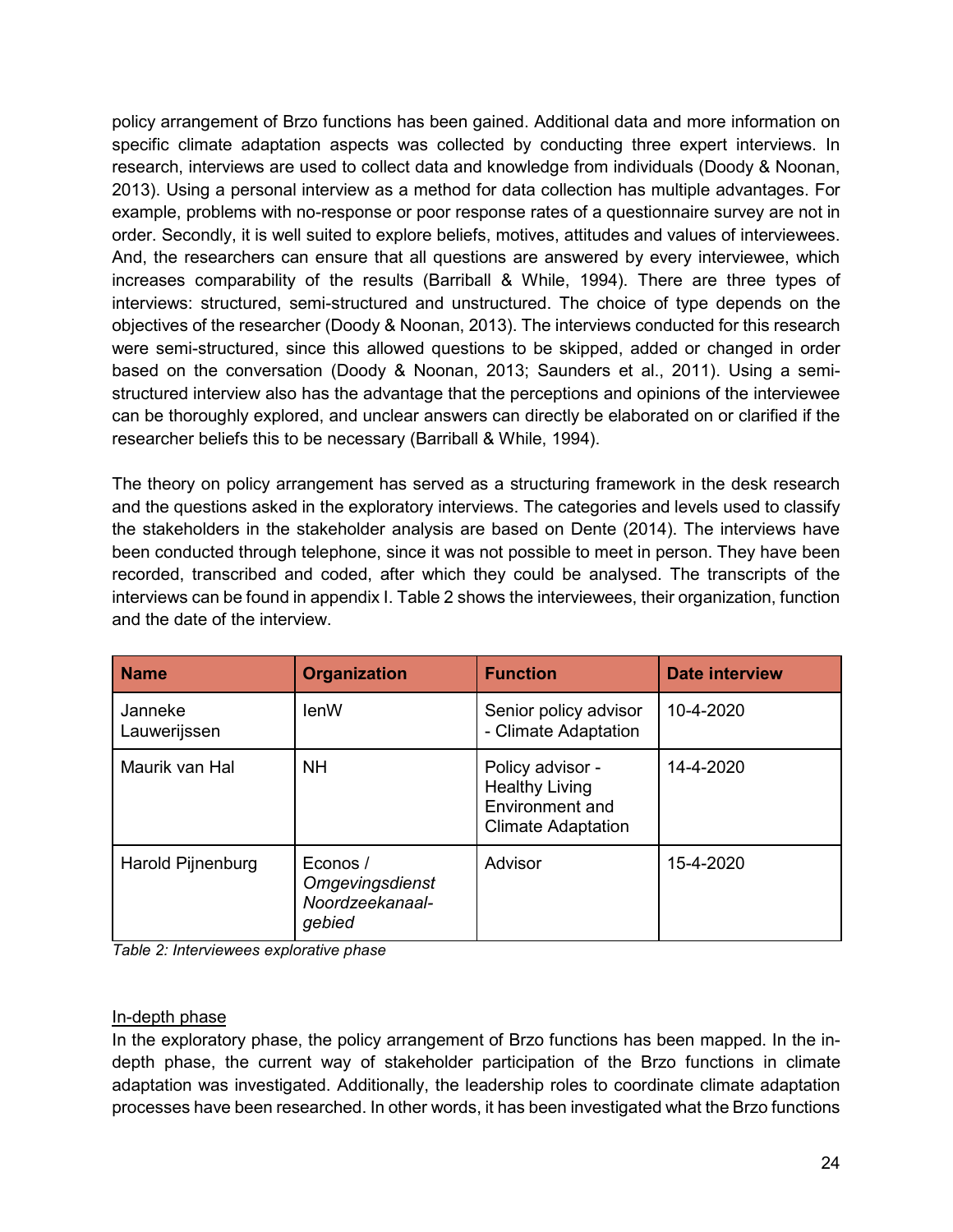policy arrangement of Brzo functions has been gained. Additional data and more information on specific climate adaptation aspects was collected by conducting three expert interviews. In research, interviews are used to collect data and knowledge from individuals (Doody & Noonan, 2013). Using a personal interview as a method for data collection has multiple advantages. For example, problems with no-response or poor response rates of a questionnaire survey are not in order. Secondly, it is well suited to explore beliefs, motives, attitudes and values of interviewees. And, the researchers can ensure that all questions are answered by every interviewee, which increases comparability of the results (Barriball & While, 1994). There are three types of interviews: structured, semi-structured and unstructured. The choice of type depends on the objectives of the researcher (Doody & Noonan, 2013). The interviews conducted for this research were semi-structured, since this allowed questions to be skipped, added or changed in order based on the conversation (Doody & Noonan, 2013; Saunders et al., 2011). Using a semistructured interview also has the advantage that the perceptions and opinions of the interviewee can be thoroughly explored, and unclear answers can directly be elaborated on or clarified if the researcher beliefs this to be necessary (Barriball & While, 1994).

The theory on policy arrangement has served as a structuring framework in the desk research and the questions asked in the exploratory interviews. The categories and levels used to classify the stakeholders in the stakeholder analysis are based on Dente (2014). The interviews have been conducted through telephone, since it was not possible to meet in person. They have been recorded, transcribed and coded, after which they could be analysed. The transcripts of the interviews can be found in appendix I. Table 2 shows the interviewees, their organization, function and the date of the interview.

| <b>Name</b>             | <b>Organization</b>                                             | <b>Function</b>                                                                           | <b>Date interview</b> |
|-------------------------|-----------------------------------------------------------------|-------------------------------------------------------------------------------------------|-----------------------|
| Janneke<br>Lauwerijssen | lenW                                                            | Senior policy advisor<br>- Climate Adaptation                                             | 10-4-2020             |
| Maurik van Hal          | <b>NH</b>                                                       | Policy advisor -<br><b>Healthy Living</b><br>Environment and<br><b>Climate Adaptation</b> | 14-4-2020             |
| Harold Pijnenburg       | Econos /<br><b>Omgevingsdienst</b><br>Noordzeekanaal-<br>gebied | Advisor                                                                                   | 15-4-2020             |

*Table 2: Interviewees explorative phase* 

# In-depth phase

In the exploratory phase, the policy arrangement of Brzo functions has been mapped. In the indepth phase, the current way of stakeholder participation of the Brzo functions in climate adaptation was investigated. Additionally, the leadership roles to coordinate climate adaptation processes have been researched. In other words, it has been investigated what the Brzo functions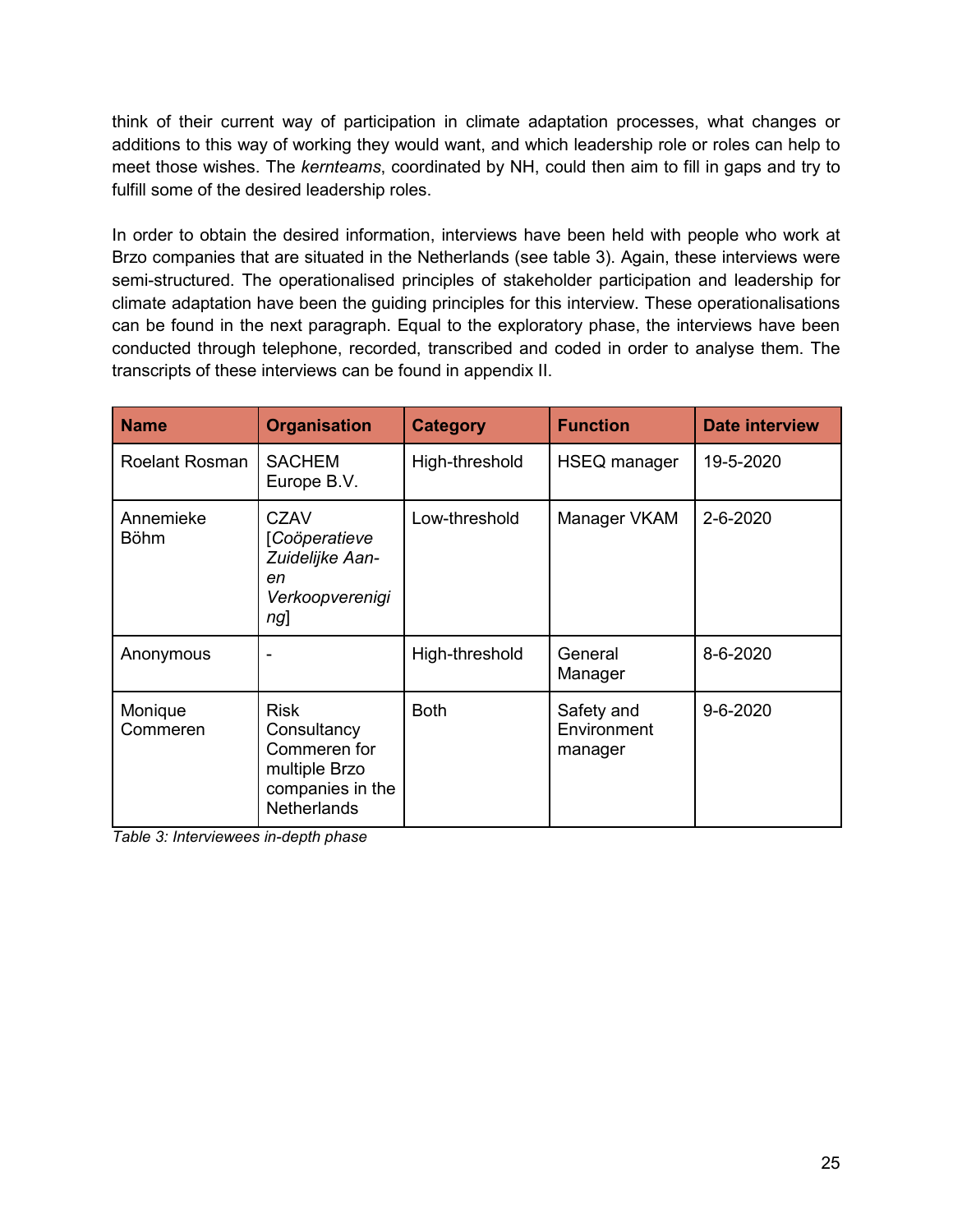think of their current way of participation in climate adaptation processes, what changes or additions to this way of working they would want, and which leadership role or roles can help to meet those wishes. The *kernteams*, coordinated by NH, could then aim to fill in gaps and try to fulfill some of the desired leadership roles.

In order to obtain the desired information, interviews have been held with people who work at Brzo companies that are situated in the Netherlands (see table 3). Again, these interviews were semi-structured. The operationalised principles of stakeholder participation and leadership for climate adaptation have been the guiding principles for this interview. These operationalisations can be found in the next paragraph. Equal to the exploratory phase, the interviews have been conducted through telephone, recorded, transcribed and coded in order to analyse them. The transcripts of these interviews can be found in appendix II.

| <b>Name</b>              | <b>Organisation</b>                                                                                   | <b>Category</b> | <b>Function</b>                      | <b>Date interview</b> |
|--------------------------|-------------------------------------------------------------------------------------------------------|-----------------|--------------------------------------|-----------------------|
| <b>Roelant Rosman</b>    | <b>SACHEM</b><br>Europe B.V.                                                                          | High-threshold  | HSEQ manager                         | 19-5-2020             |
| Annemieke<br><b>Böhm</b> | <b>CZAV</b><br>[Coöperatieve<br>Zuidelijke Aan-<br>en<br>Verkoopverenigi<br>ng]                       | Low-threshold   | Manager VKAM                         | 2-6-2020              |
| Anonymous                |                                                                                                       | High-threshold  | General<br>Manager                   | 8-6-2020              |
| Monique<br>Commeren      | <b>Risk</b><br>Consultancy<br>Commeren for<br>multiple Brzo<br>companies in the<br><b>Netherlands</b> | <b>Both</b>     | Safety and<br>Environment<br>manager | $9 - 6 - 2020$        |

*Table 3: Interviewees in-depth phase*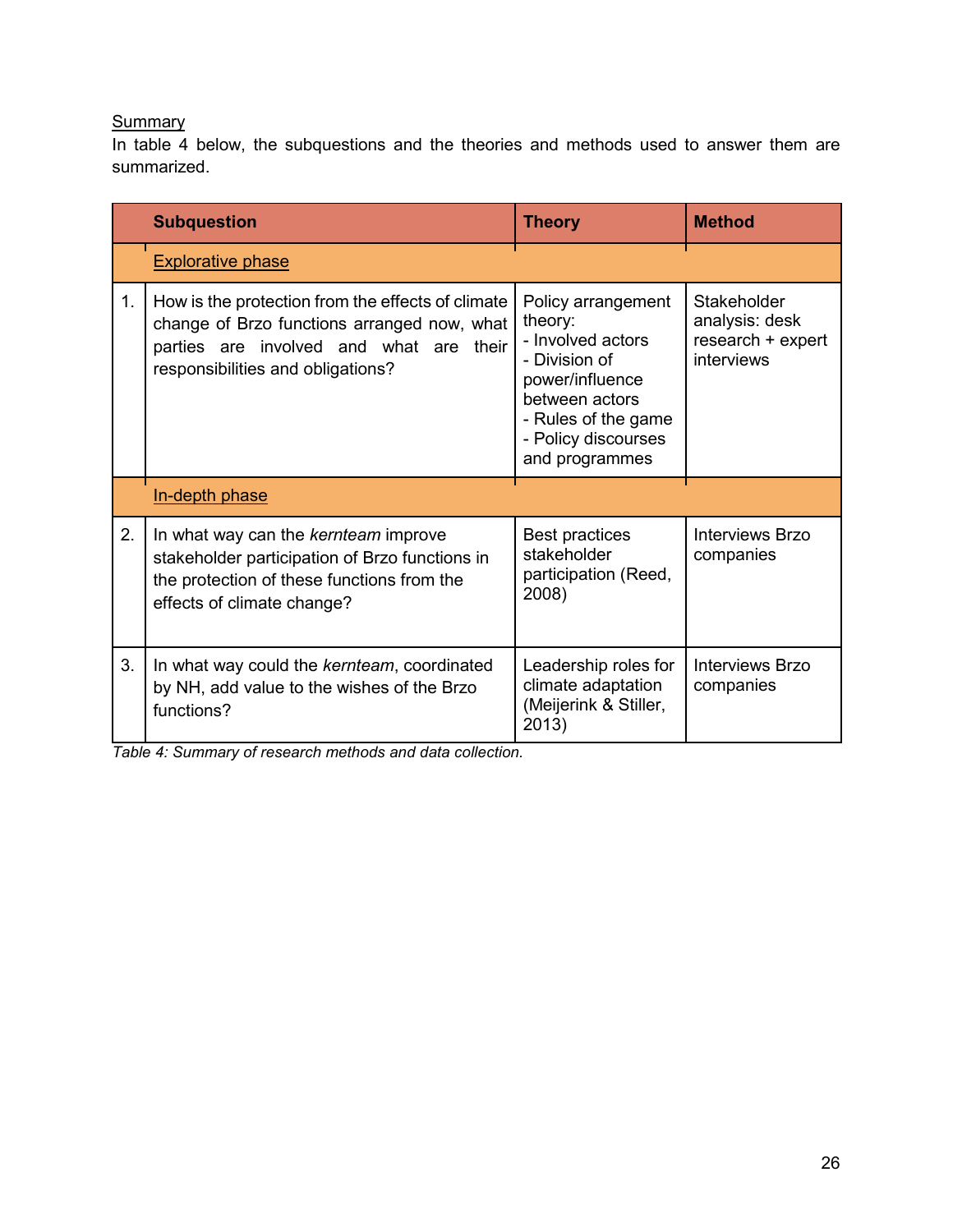# **Summary**

In table 4 below, the subquestions and the theories and methods used to answer them are summarized.

|    | <b>Subquestion</b>                                                                                                                                                               | <b>Theory</b>                                                                                                                                                            | <b>Method</b>                                                    |
|----|----------------------------------------------------------------------------------------------------------------------------------------------------------------------------------|--------------------------------------------------------------------------------------------------------------------------------------------------------------------------|------------------------------------------------------------------|
|    | <b>Explorative phase</b>                                                                                                                                                         |                                                                                                                                                                          |                                                                  |
| 1. | How is the protection from the effects of climate<br>change of Brzo functions arranged now, what<br>parties are involved and what are their<br>responsibilities and obligations? | Policy arrangement<br>theory:<br>- Involved actors<br>- Division of<br>power/influence<br>between actors<br>- Rules of the game<br>- Policy discourses<br>and programmes | Stakeholder<br>analysis: desk<br>research + expert<br>interviews |
|    | In-depth phase                                                                                                                                                                   |                                                                                                                                                                          |                                                                  |
| 2. | In what way can the kernteam improve<br>stakeholder participation of Brzo functions in<br>the protection of these functions from the<br>effects of climate change?               | <b>Best practices</b><br>stakeholder<br>participation (Reed,<br>2008)                                                                                                    | <b>Interviews Brzo</b><br>companies                              |
| 3. | In what way could the kernteam, coordinated<br>by NH, add value to the wishes of the Brzo<br>functions?                                                                          | Leadership roles for<br>climate adaptation<br>(Meijerink & Stiller,<br>2013)                                                                                             | <b>Interviews Brzo</b><br>companies                              |

*Table 4: Summary of research methods and data collection.*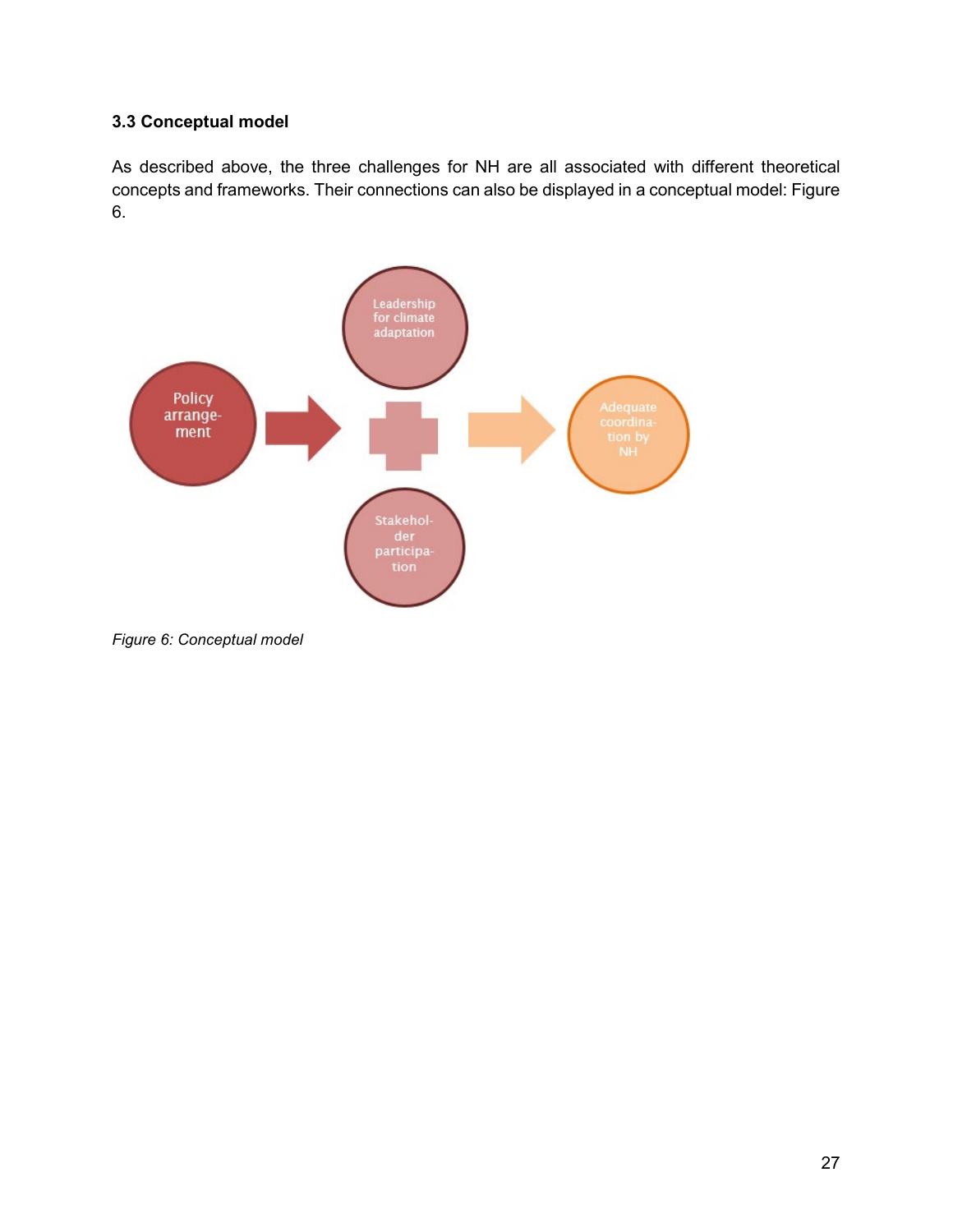### **3.3 Conceptual model**

As described above, the three challenges for NH are all associated with different theoretical concepts and frameworks. Their connections can also be displayed in a conceptual model: Figure 6.



*Figure 6: Conceptual model*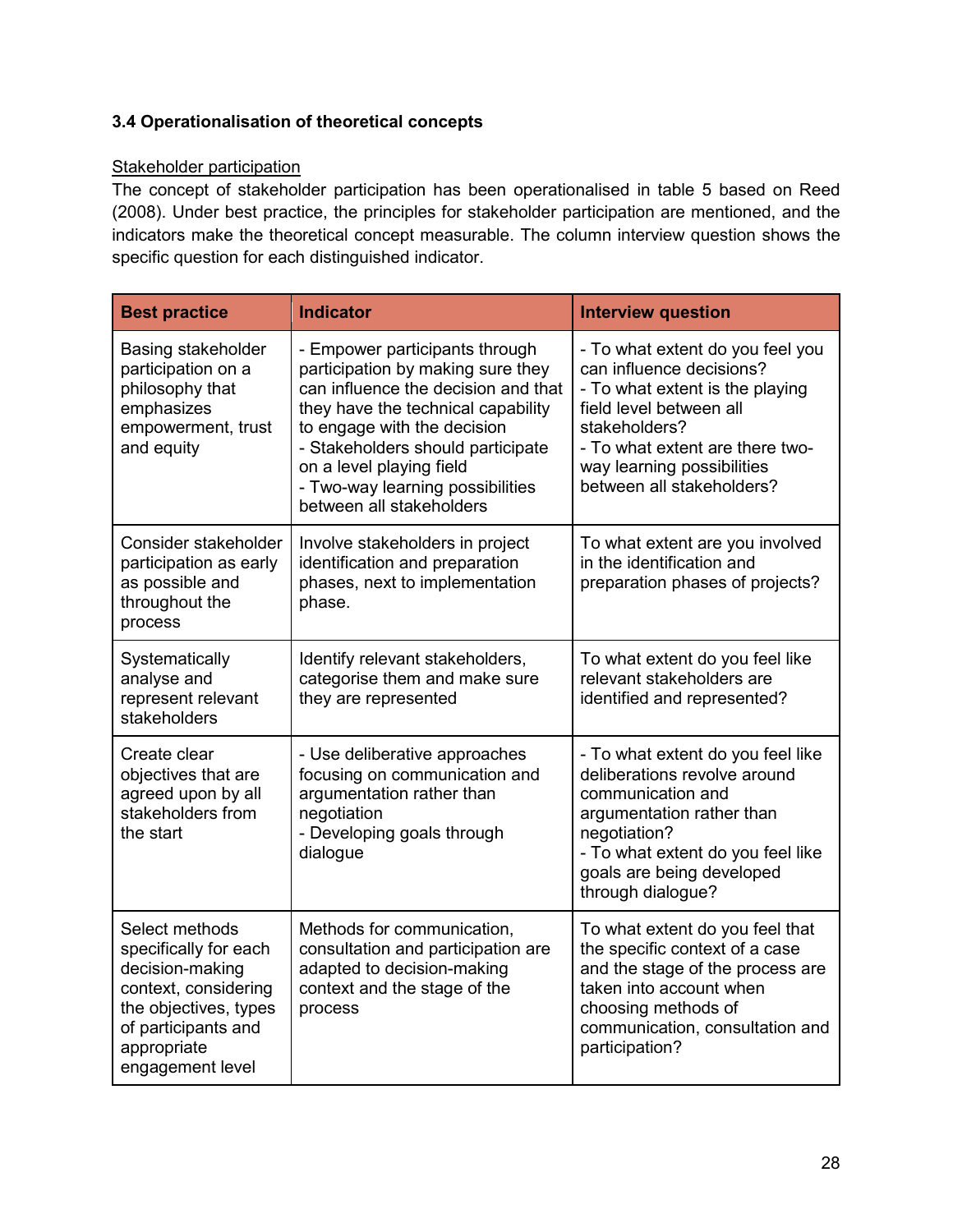# **3.4 Operationalisation of theoretical concepts**

### Stakeholder participation

The concept of stakeholder participation has been operationalised in table 5 based on Reed (2008). Under best practice, the principles for stakeholder participation are mentioned, and the indicators make the theoretical concept measurable. The column interview question shows the specific question for each distinguished indicator.

| <b>Best practice</b>                                                                                                                                                  | <b>Indicator</b>                                                                                                                                                                                                                                                                                                 | <b>Interview question</b>                                                                                                                                                                                                                 |
|-----------------------------------------------------------------------------------------------------------------------------------------------------------------------|------------------------------------------------------------------------------------------------------------------------------------------------------------------------------------------------------------------------------------------------------------------------------------------------------------------|-------------------------------------------------------------------------------------------------------------------------------------------------------------------------------------------------------------------------------------------|
| Basing stakeholder<br>participation on a<br>philosophy that<br>emphasizes<br>empowerment, trust<br>and equity                                                         | - Empower participants through<br>participation by making sure they<br>can influence the decision and that<br>they have the technical capability<br>to engage with the decision<br>- Stakeholders should participate<br>on a level playing field<br>- Two-way learning possibilities<br>between all stakeholders | - To what extent do you feel you<br>can influence decisions?<br>- To what extent is the playing<br>field level between all<br>stakeholders?<br>- To what extent are there two-<br>way learning possibilities<br>between all stakeholders? |
| Consider stakeholder<br>participation as early<br>as possible and<br>throughout the<br>process                                                                        | Involve stakeholders in project<br>identification and preparation<br>phases, next to implementation<br>phase.                                                                                                                                                                                                    | To what extent are you involved<br>in the identification and<br>preparation phases of projects?                                                                                                                                           |
| Systematically<br>analyse and<br>represent relevant<br>stakeholders                                                                                                   | Identify relevant stakeholders,<br>categorise them and make sure<br>they are represented                                                                                                                                                                                                                         | To what extent do you feel like<br>relevant stakeholders are<br>identified and represented?                                                                                                                                               |
| Create clear<br>objectives that are<br>agreed upon by all<br>stakeholders from<br>the start                                                                           | - Use deliberative approaches<br>focusing on communication and<br>argumentation rather than<br>negotiation<br>- Developing goals through<br>dialogue                                                                                                                                                             | - To what extent do you feel like<br>deliberations revolve around<br>communication and<br>argumentation rather than<br>negotiation?<br>- To what extent do you feel like<br>goals are being developed<br>through dialogue?                |
| Select methods<br>specifically for each<br>decision-making<br>context, considering<br>the objectives, types<br>of participants and<br>appropriate<br>engagement level | Methods for communication,<br>consultation and participation are<br>adapted to decision-making<br>context and the stage of the<br>process                                                                                                                                                                        | To what extent do you feel that<br>the specific context of a case<br>and the stage of the process are<br>taken into account when<br>choosing methods of<br>communication, consultation and<br>participation?                              |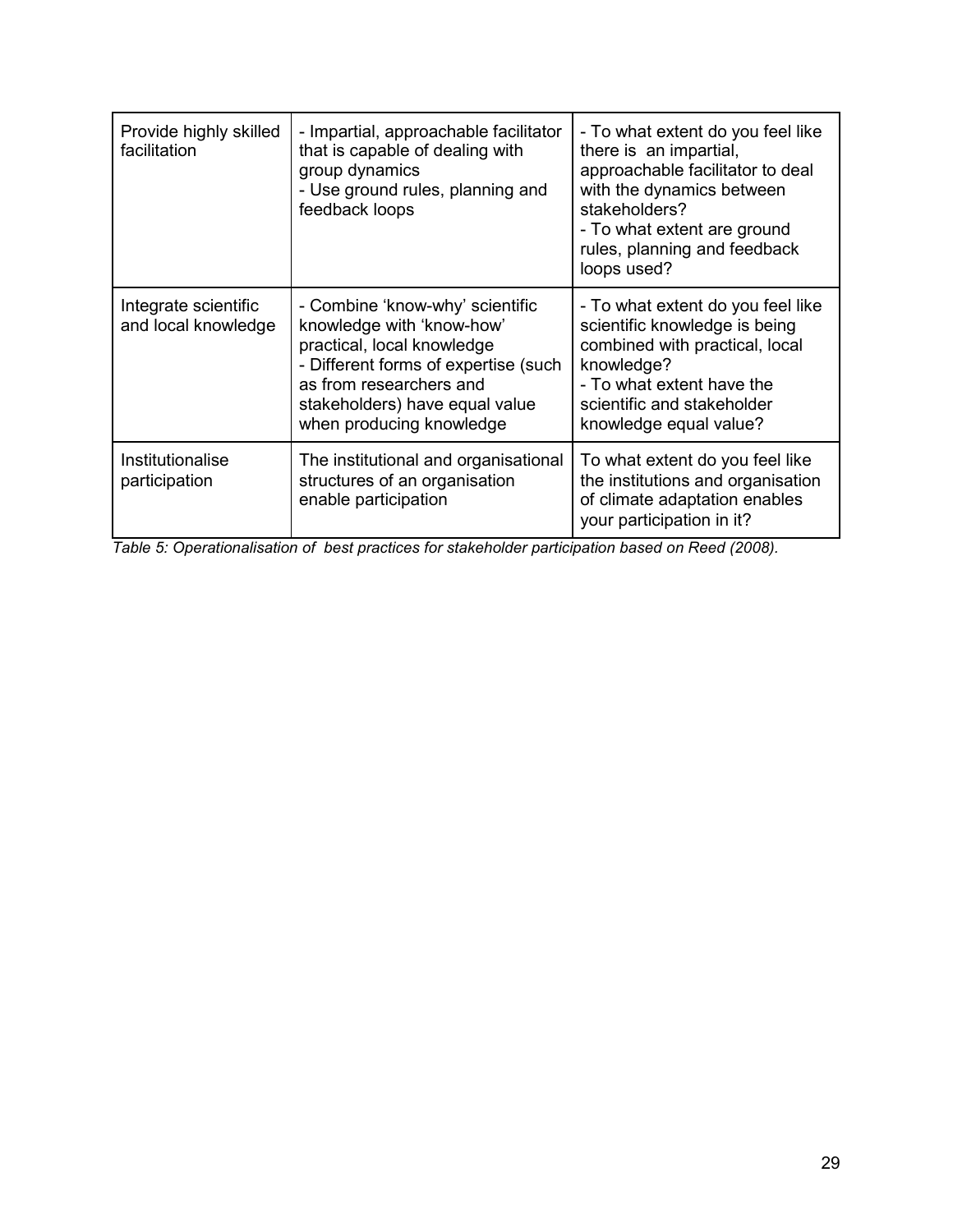| Provide highly skilled<br>facilitation      | - Impartial, approachable facilitator<br>that is capable of dealing with<br>group dynamics<br>- Use ground rules, planning and<br>feedback loops                                                                            | - To what extent do you feel like<br>there is an impartial,<br>approachable facilitator to deal<br>with the dynamics between<br>stakeholders?<br>- To what extent are ground<br>rules, planning and feedback<br>loops used? |
|---------------------------------------------|-----------------------------------------------------------------------------------------------------------------------------------------------------------------------------------------------------------------------------|-----------------------------------------------------------------------------------------------------------------------------------------------------------------------------------------------------------------------------|
| Integrate scientific<br>and local knowledge | - Combine 'know-why' scientific<br>knowledge with 'know-how'<br>practical, local knowledge<br>- Different forms of expertise (such<br>as from researchers and<br>stakeholders) have equal value<br>when producing knowledge | - To what extent do you feel like<br>scientific knowledge is being<br>combined with practical, local<br>knowledge?<br>- To what extent have the<br>scientific and stakeholder<br>knowledge equal value?                     |
| Institutionalise<br>participation           | The institutional and organisational<br>structures of an organisation<br>enable participation                                                                                                                               | To what extent do you feel like<br>the institutions and organisation<br>of climate adaptation enables<br>your participation in it?                                                                                          |

*Table 5: Operationalisation of best practices for stakeholder participation based on Reed (2008).*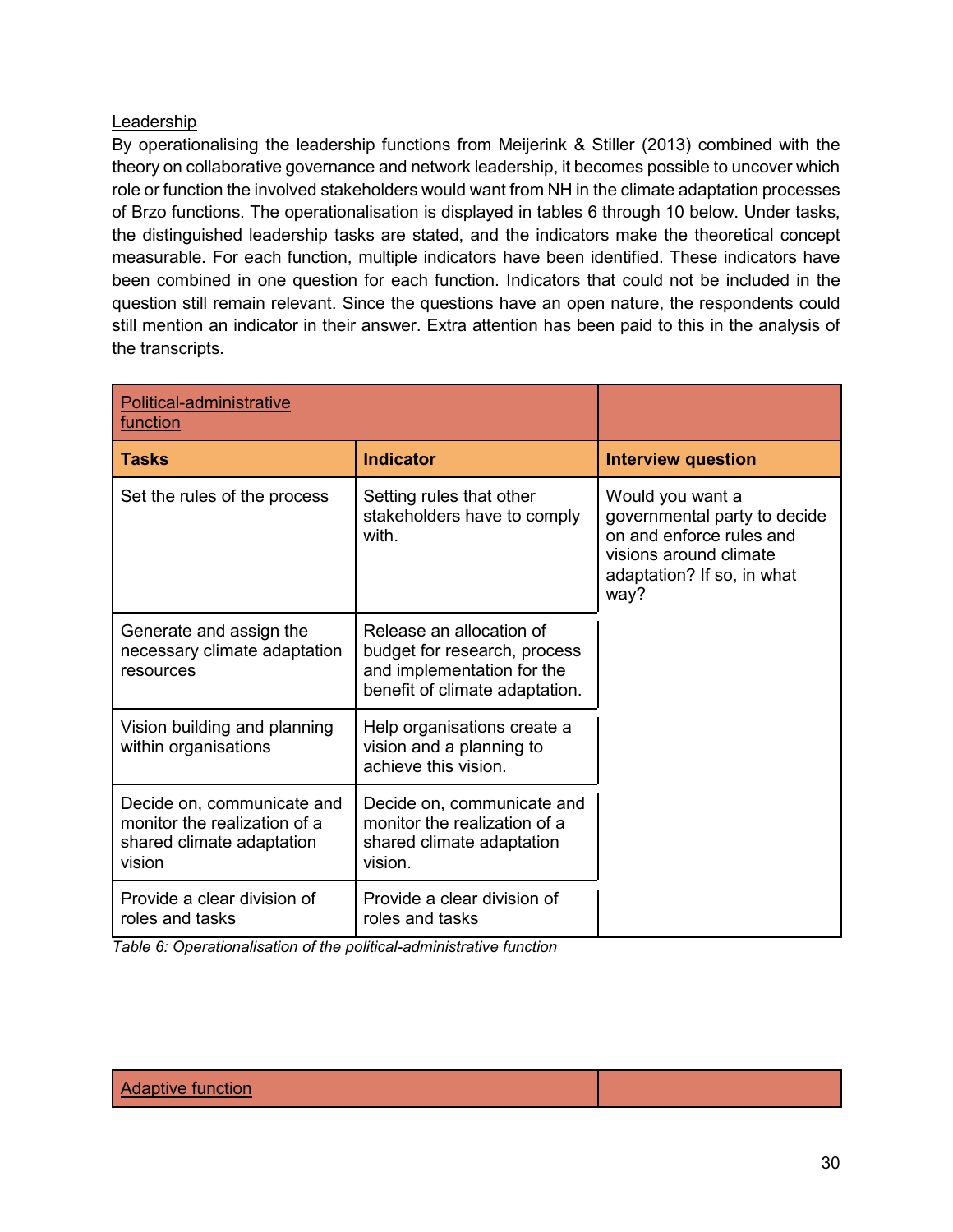### Leadership

By operationalising the leadership functions from Meijerink & Stiller (2013) combined with the theory on collaborative governance and network leadership, it becomes possible to uncover which role or function the involved stakeholders would want from NH in the climate adaptation processes of Brzo functions. The operationalisation is displayed in tables 6 through 10 below. Under tasks, the distinguished leadership tasks are stated, and the indicators make the theoretical concept measurable. For each function, multiple indicators have been identified. These indicators have been combined in one question for each function. Indicators that could not be included in the question still remain relevant. Since the questions have an open nature, the respondents could still mention an indicator in their answer. Extra attention has been paid to this in the analysis of the transcripts.

| Political-administrative<br>function                                                              |                                                                                                                          |                                                                                                                                              |
|---------------------------------------------------------------------------------------------------|--------------------------------------------------------------------------------------------------------------------------|----------------------------------------------------------------------------------------------------------------------------------------------|
| <b>Tasks</b>                                                                                      | <b>Indicator</b>                                                                                                         | <b>Interview question</b>                                                                                                                    |
| Set the rules of the process                                                                      | Setting rules that other<br>stakeholders have to comply<br>with.                                                         | Would you want a<br>governmental party to decide<br>on and enforce rules and<br>visions around climate<br>adaptation? If so, in what<br>way? |
| Generate and assign the<br>necessary climate adaptation<br>resources                              | Release an allocation of<br>budget for research, process<br>and implementation for the<br>benefit of climate adaptation. |                                                                                                                                              |
| Vision building and planning<br>within organisations                                              | Help organisations create a<br>vision and a planning to<br>achieve this vision.                                          |                                                                                                                                              |
| Decide on, communicate and<br>monitor the realization of a<br>shared climate adaptation<br>vision | Decide on, communicate and<br>monitor the realization of a<br>shared climate adaptation<br>vision.                       |                                                                                                                                              |
| Provide a clear division of<br>roles and tasks                                                    | Provide a clear division of<br>roles and tasks                                                                           |                                                                                                                                              |

*Table 6: Operationalisation of the political-administrative function*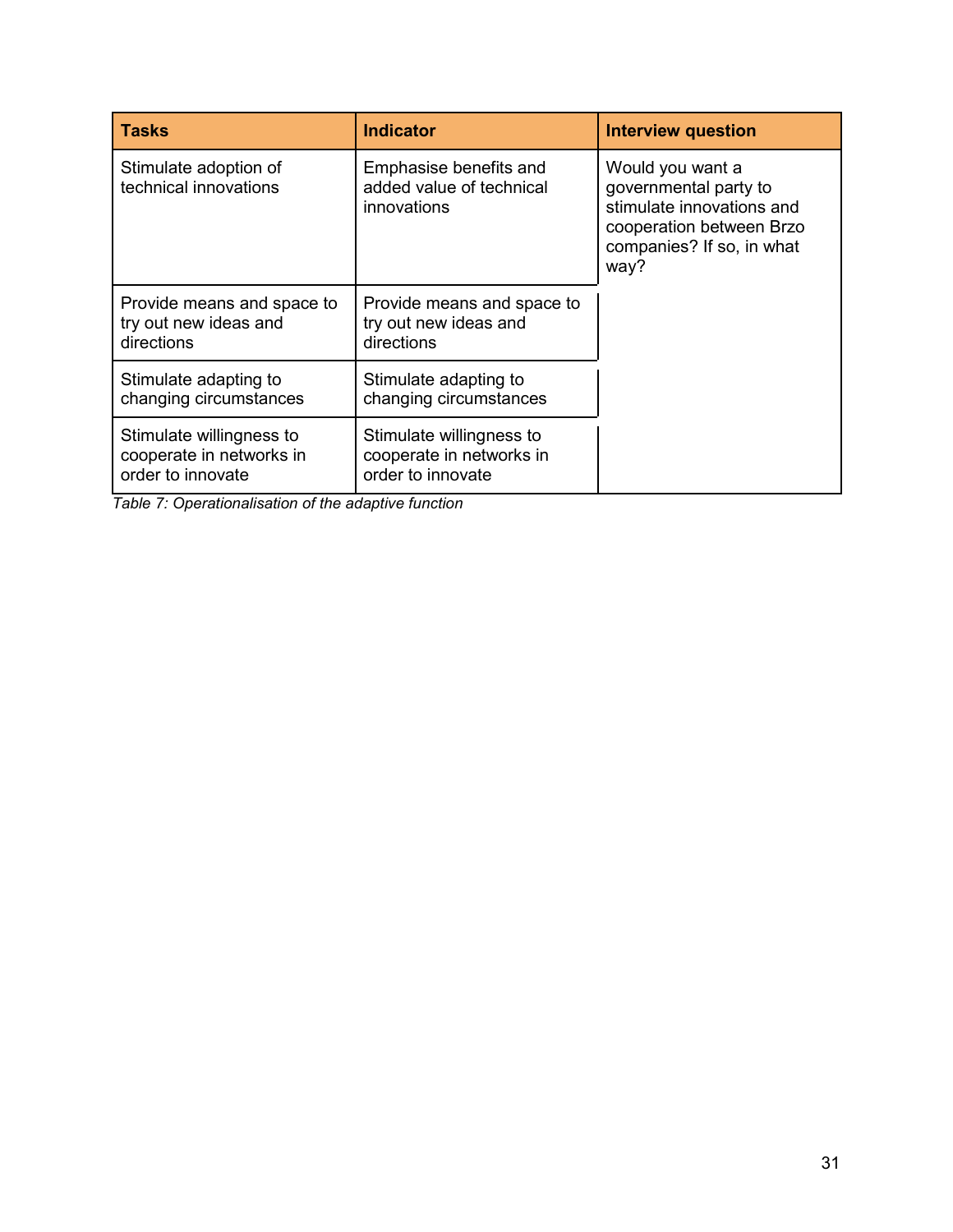| <b>Tasks</b>                                                              | <b>Indicator</b>                                                          | <b>Interview question</b>                                                                                                               |
|---------------------------------------------------------------------------|---------------------------------------------------------------------------|-----------------------------------------------------------------------------------------------------------------------------------------|
| Stimulate adoption of<br>technical innovations                            | Emphasise benefits and<br>added value of technical<br>innovations         | Would you want a<br>governmental party to<br>stimulate innovations and<br>cooperation between Brzo<br>companies? If so, in what<br>way? |
| Provide means and space to<br>try out new ideas and<br>directions         | Provide means and space to<br>try out new ideas and<br>directions         |                                                                                                                                         |
| Stimulate adapting to<br>changing circumstances                           | Stimulate adapting to<br>changing circumstances                           |                                                                                                                                         |
| Stimulate willingness to<br>cooperate in networks in<br>order to innovate | Stimulate willingness to<br>cooperate in networks in<br>order to innovate |                                                                                                                                         |

*Table 7: Operationalisation of the adaptive function*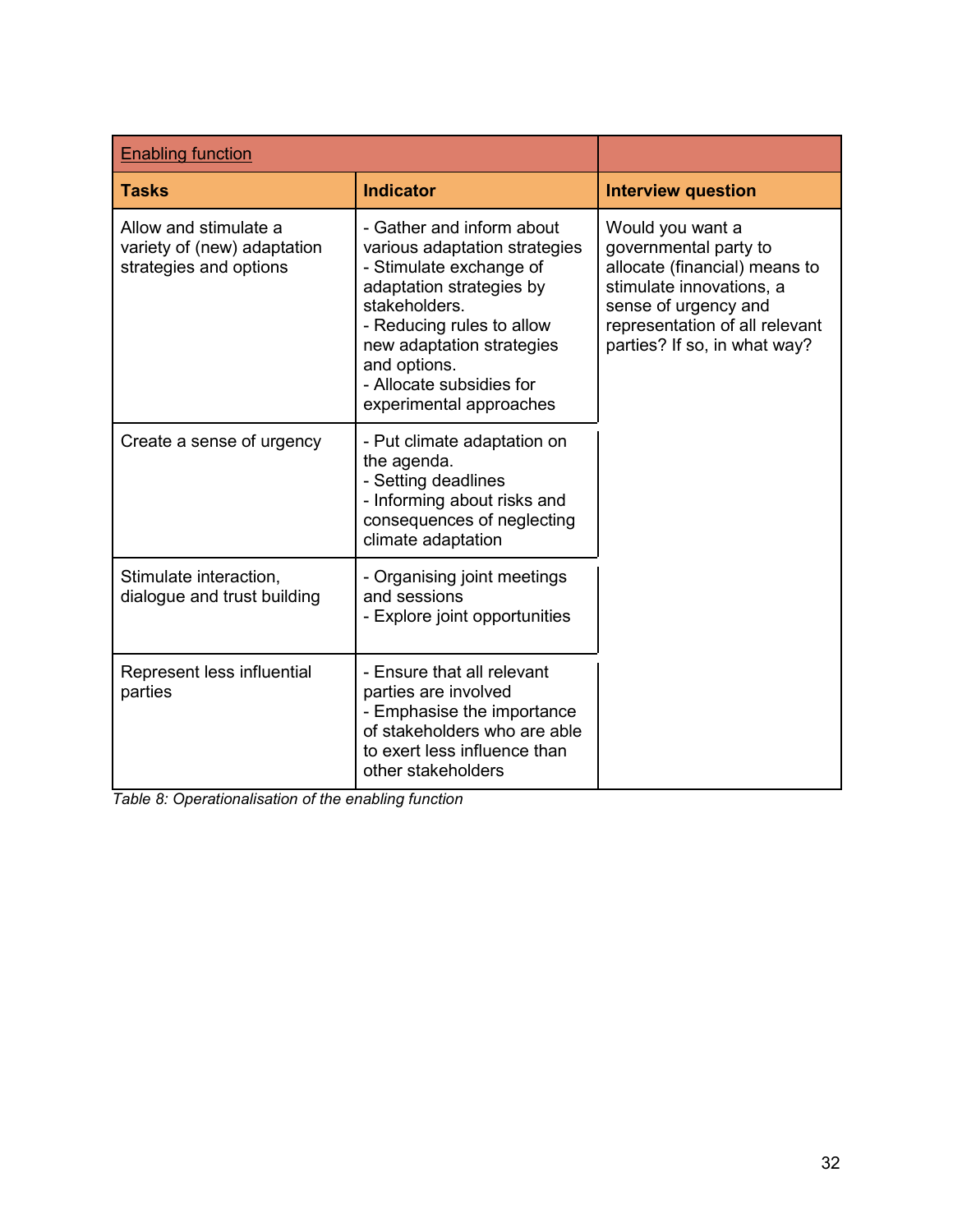| <b>Enabling function</b>                                                       |                                                                                                                                                                                                                                                                     |                                                                                                                                                                                                  |
|--------------------------------------------------------------------------------|---------------------------------------------------------------------------------------------------------------------------------------------------------------------------------------------------------------------------------------------------------------------|--------------------------------------------------------------------------------------------------------------------------------------------------------------------------------------------------|
| <b>Tasks</b>                                                                   | <b>Indicator</b>                                                                                                                                                                                                                                                    | <b>Interview question</b>                                                                                                                                                                        |
| Allow and stimulate a<br>variety of (new) adaptation<br>strategies and options | - Gather and inform about<br>various adaptation strategies<br>- Stimulate exchange of<br>adaptation strategies by<br>stakeholders.<br>- Reducing rules to allow<br>new adaptation strategies<br>and options.<br>- Allocate subsidies for<br>experimental approaches | Would you want a<br>governmental party to<br>allocate (financial) means to<br>stimulate innovations, a<br>sense of urgency and<br>representation of all relevant<br>parties? If so, in what way? |
| Create a sense of urgency                                                      | - Put climate adaptation on<br>the agenda.<br>- Setting deadlines<br>- Informing about risks and<br>consequences of neglecting<br>climate adaptation                                                                                                                |                                                                                                                                                                                                  |
| Stimulate interaction,<br>dialogue and trust building                          | - Organising joint meetings<br>and sessions<br>- Explore joint opportunities                                                                                                                                                                                        |                                                                                                                                                                                                  |
| Represent less influential<br>parties                                          | - Ensure that all relevant<br>parties are involved<br>- Emphasise the importance<br>of stakeholders who are able<br>to exert less influence than<br>other stakeholders                                                                                              |                                                                                                                                                                                                  |

*Table 8: Operationalisation of the enabling function*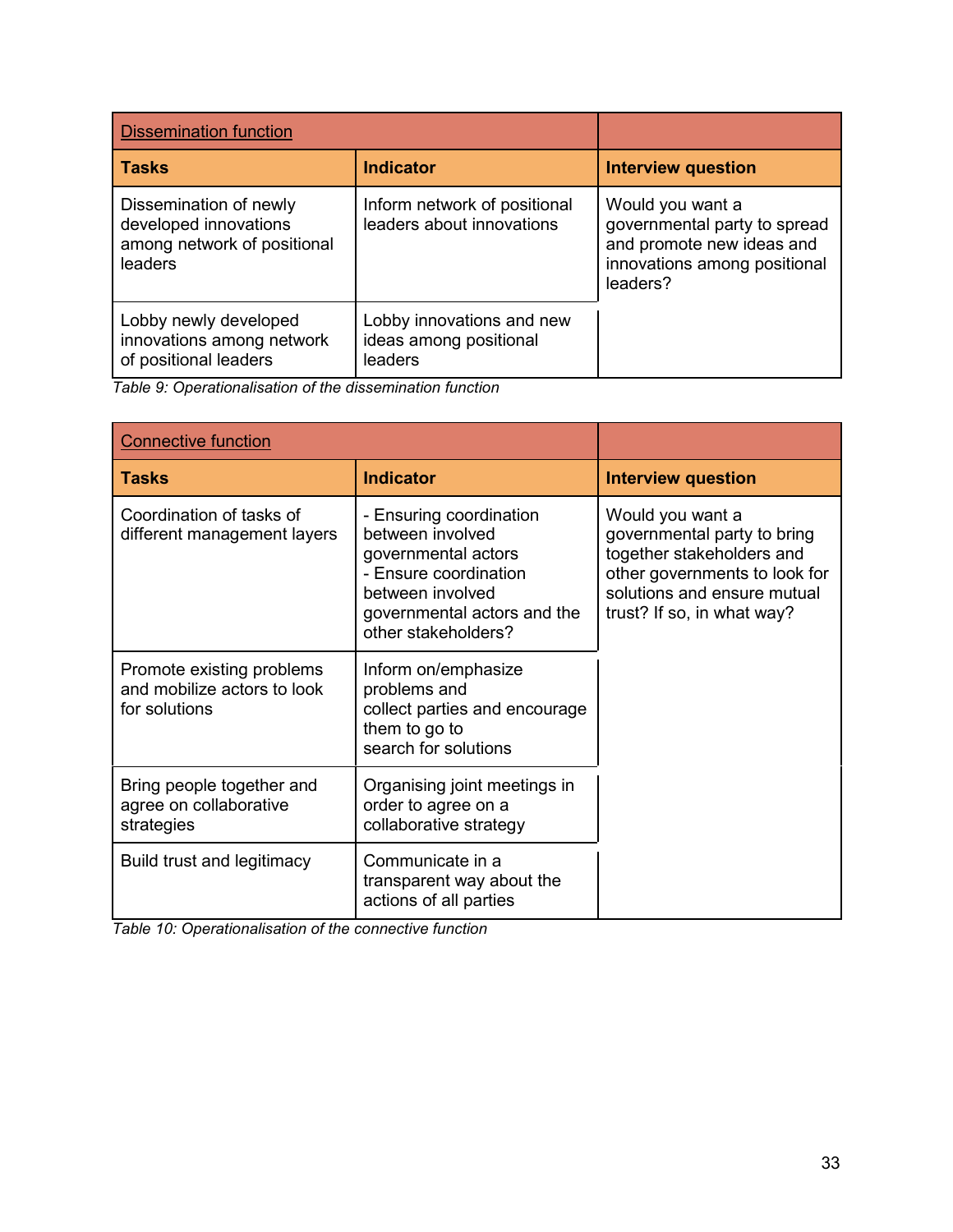| <b>Dissemination function</b>                                                             |                                                                |                                                                                                                           |
|-------------------------------------------------------------------------------------------|----------------------------------------------------------------|---------------------------------------------------------------------------------------------------------------------------|
| l Tasks                                                                                   | <b>Indicator</b>                                               | <b>Interview question</b>                                                                                                 |
| Dissemination of newly<br>developed innovations<br>among network of positional<br>leaders | Inform network of positional<br>leaders about innovations      | Would you want a<br>governmental party to spread<br>and promote new ideas and<br>innovations among positional<br>leaders? |
| Lobby newly developed<br>innovations among network<br>of positional leaders               | Lobby innovations and new<br>ideas among positional<br>leaders |                                                                                                                           |

*Table 9: Operationalisation of the dissemination function*

| <b>Connective function</b>                                                |                                                                                                                                                                       |                                                                                                                                                                            |
|---------------------------------------------------------------------------|-----------------------------------------------------------------------------------------------------------------------------------------------------------------------|----------------------------------------------------------------------------------------------------------------------------------------------------------------------------|
| <b>Tasks</b>                                                              | <b>Indicator</b>                                                                                                                                                      | <b>Interview question</b>                                                                                                                                                  |
| Coordination of tasks of<br>different management layers                   | - Ensuring coordination<br>between involved<br>governmental actors<br>- Ensure coordination<br>between involved<br>governmental actors and the<br>other stakeholders? | Would you want a<br>governmental party to bring<br>together stakeholders and<br>other governments to look for<br>solutions and ensure mutual<br>trust? If so, in what way? |
| Promote existing problems<br>and mobilize actors to look<br>for solutions | Inform on/emphasize<br>problems and<br>collect parties and encourage<br>them to go to<br>search for solutions                                                         |                                                                                                                                                                            |
| Bring people together and<br>agree on collaborative<br>strategies         | Organising joint meetings in<br>order to agree on a<br>collaborative strategy                                                                                         |                                                                                                                                                                            |
| <b>Build trust and legitimacy</b>                                         | Communicate in a<br>transparent way about the<br>actions of all parties                                                                                               |                                                                                                                                                                            |

*Table 10: Operationalisation of the connective function*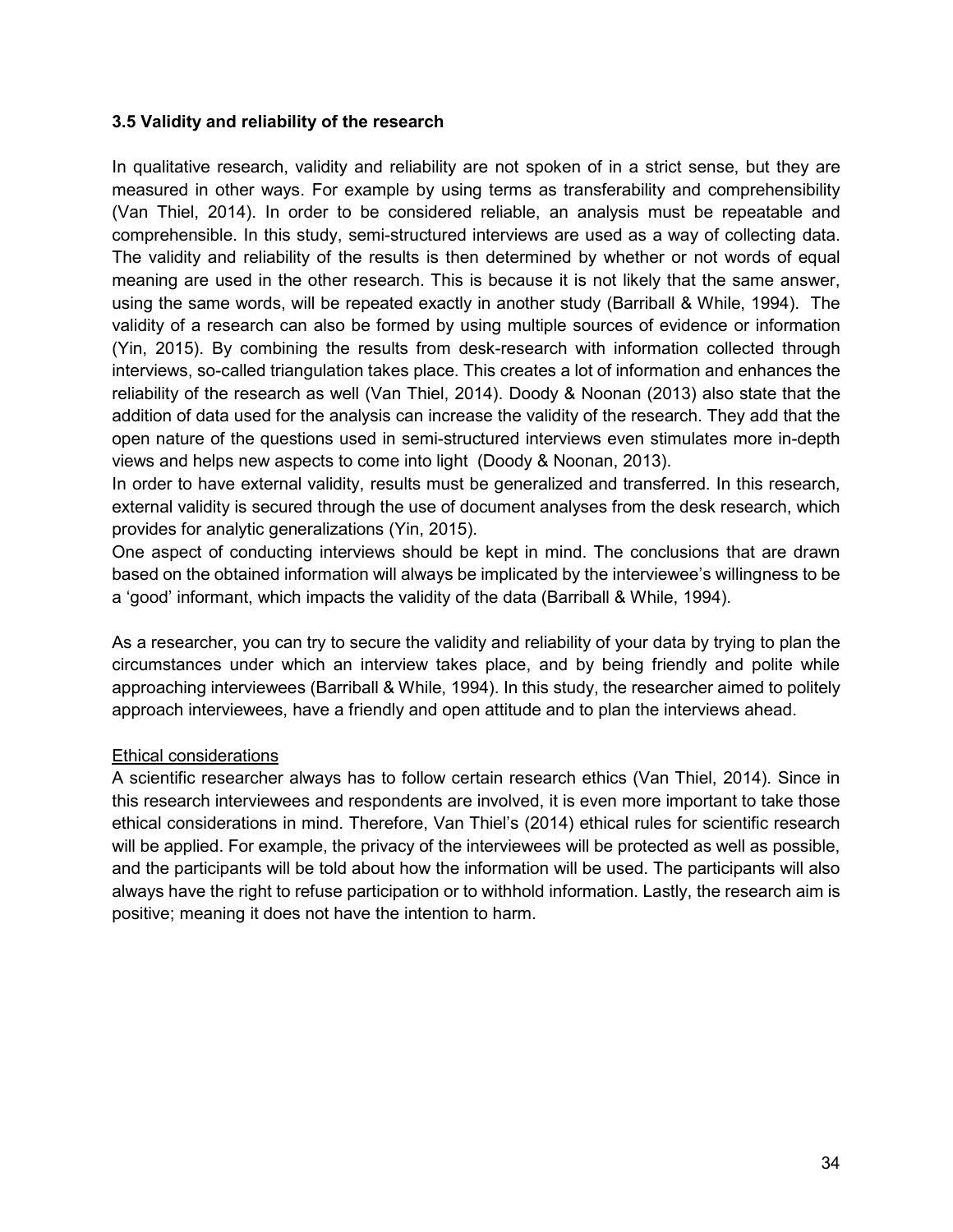### **3.5 Validity and reliability of the research**

In qualitative research, validity and reliability are not spoken of in a strict sense, but they are measured in other ways. For example by using terms as transferability and comprehensibility (Van Thiel, 2014). In order to be considered reliable, an analysis must be repeatable and comprehensible. In this study, semi-structured interviews are used as a way of collecting data. The validity and reliability of the results is then determined by whether or not words of equal meaning are used in the other research. This is because it is not likely that the same answer, using the same words, will be repeated exactly in another study (Barriball & While, 1994). The validity of a research can also be formed by using multiple sources of evidence or information (Yin, 2015). By combining the results from desk-research with information collected through interviews, so-called triangulation takes place. This creates a lot of information and enhances the reliability of the research as well (Van Thiel, 2014). Doody & Noonan (2013) also state that the addition of data used for the analysis can increase the validity of the research. They add that the open nature of the questions used in semi-structured interviews even stimulates more in-depth views and helps new aspects to come into light (Doody & Noonan, 2013).

In order to have external validity, results must be generalized and transferred. In this research, external validity is secured through the use of document analyses from the desk research, which provides for analytic generalizations (Yin, 2015).

One aspect of conducting interviews should be kept in mind. The conclusions that are drawn based on the obtained information will always be implicated by the interviewee's willingness to be a 'good' informant, which impacts the validity of the data (Barriball & While, 1994).

As a researcher, you can try to secure the validity and reliability of your data by trying to plan the circumstances under which an interview takes place, and by being friendly and polite while approaching interviewees (Barriball & While, 1994). In this study, the researcher aimed to politely approach interviewees, have a friendly and open attitude and to plan the interviews ahead.

### Ethical considerations

A scientific researcher always has to follow certain research ethics (Van Thiel, 2014). Since in this research interviewees and respondents are involved, it is even more important to take those ethical considerations in mind. Therefore, Van Thiel's (2014) ethical rules for scientific research will be applied. For example, the privacy of the interviewees will be protected as well as possible, and the participants will be told about how the information will be used. The participants will also always have the right to refuse participation or to withhold information. Lastly, the research aim is positive; meaning it does not have the intention to harm.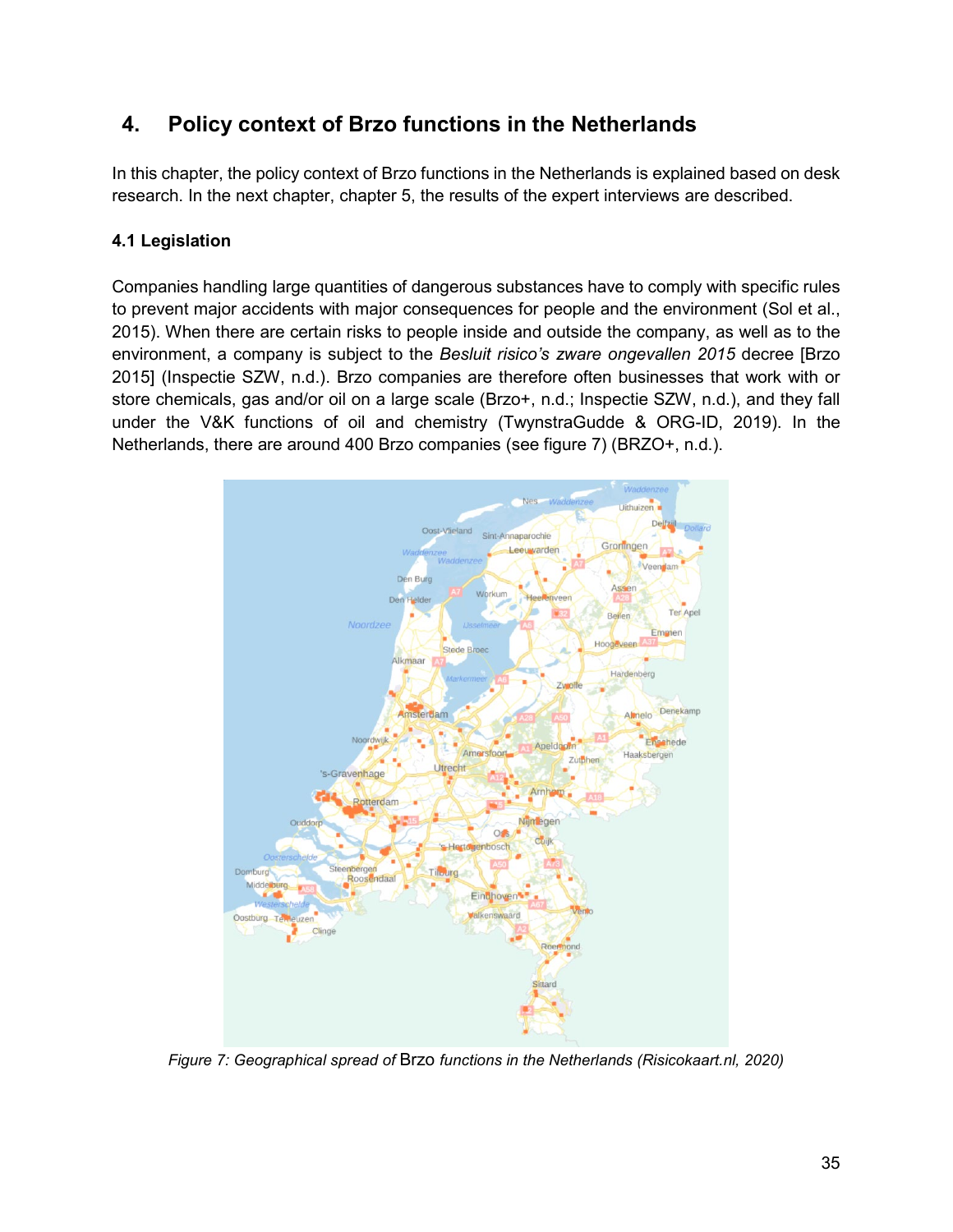# **4. Policy context of Brzo functions in the Netherlands**

In this chapter, the policy context of Brzo functions in the Netherlands is explained based on desk research. In the next chapter, chapter 5, the results of the expert interviews are described.

# **4.1 Legislation**

Companies handling large quantities of dangerous substances have to comply with specific rules to prevent major accidents with major consequences for people and the environment (Sol et al., 2015). When there are certain risks to people inside and outside the company, as well as to the environment, a company is subject to the *Besluit risico's zware ongevallen 2015* decree [Brzo 2015] (Inspectie SZW, n.d.). Brzo companies are therefore often businesses that work with or store chemicals, gas and/or oil on a large scale (Brzo+, n.d.; Inspectie SZW, n.d.), and they fall under the V&K functions of oil and chemistry (TwynstraGudde & ORG-ID, 2019). In the Netherlands, there are around 400 Brzo companies (see figure 7) (BRZO+, n.d.).



*Figure 7: Geographical spread of* Brzo *functions in the Netherlands (Risicokaart.nl, 2020)*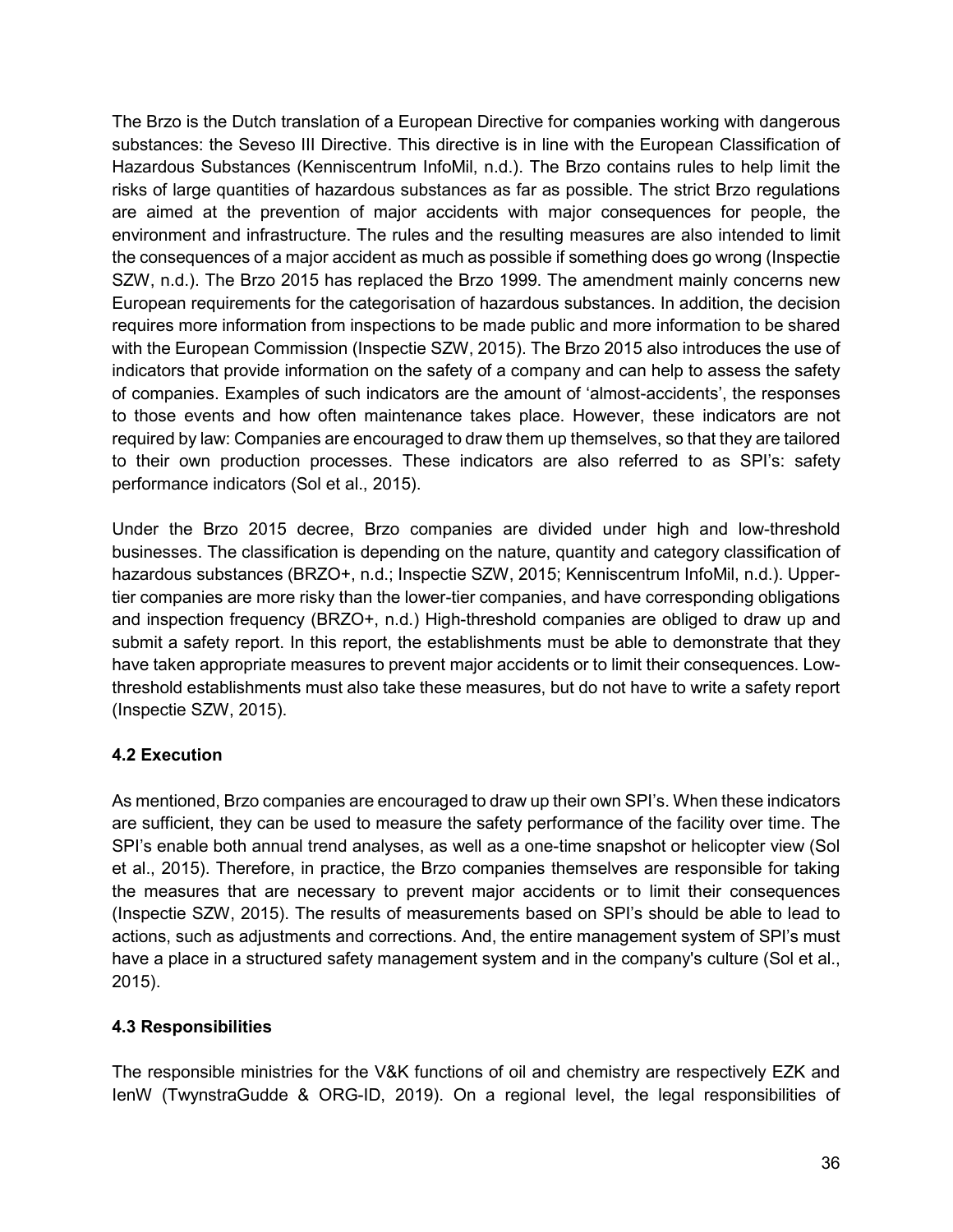The Brzo is the Dutch translation of a European Directive for companies working with dangerous substances: the Seveso III Directive. This directive is in line with the European Classification of Hazardous Substances (Kenniscentrum InfoMil, n.d.). The Brzo contains rules to help limit the risks of large quantities of hazardous substances as far as possible. The strict Brzo regulations are aimed at the prevention of major accidents with major consequences for people, the environment and infrastructure. The rules and the resulting measures are also intended to limit the consequences of a major accident as much as possible if something does go wrong (Inspectie SZW, n.d.). The Brzo 2015 has replaced the Brzo 1999. The amendment mainly concerns new European requirements for the categorisation of hazardous substances. In addition, the decision requires more information from inspections to be made public and more information to be shared with the European Commission (Inspectie SZW, 2015). The Brzo 2015 also introduces the use of indicators that provide information on the safety of a company and can help to assess the safety of companies. Examples of such indicators are the amount of 'almost-accidents', the responses to those events and how often maintenance takes place. However, these indicators are not required by law: Companies are encouraged to draw them up themselves, so that they are tailored to their own production processes. These indicators are also referred to as SPI's: safety performance indicators (Sol et al., 2015).

Under the Brzo 2015 decree, Brzo companies are divided under high and low-threshold businesses. The classification is depending on the nature, quantity and category classification of hazardous substances (BRZO+, n.d.; Inspectie SZW, 2015; Kenniscentrum InfoMil, n.d.). Uppertier companies are more risky than the lower-tier companies, and have corresponding obligations and inspection frequency (BRZO+, n.d.) High-threshold companies are obliged to draw up and submit a safety report. In this report, the establishments must be able to demonstrate that they have taken appropriate measures to prevent major accidents or to limit their consequences. Lowthreshold establishments must also take these measures, but do not have to write a safety report (Inspectie SZW, 2015).

# **4.2 Execution**

As mentioned, Brzo companies are encouraged to draw up their own SPI's. When these indicators are sufficient, they can be used to measure the safety performance of the facility over time. The SPI's enable both annual trend analyses, as well as a one-time snapshot or helicopter view (Sol et al., 2015). Therefore, in practice, the Brzo companies themselves are responsible for taking the measures that are necessary to prevent major accidents or to limit their consequences (Inspectie SZW, 2015). The results of measurements based on SPI's should be able to lead to actions, such as adjustments and corrections. And, the entire management system of SPI's must have a place in a structured safety management system and in the company's culture (Sol et al., 2015).

# **4.3 Responsibilities**

The responsible ministries for the V&K functions of oil and chemistry are respectively EZK and IenW (TwynstraGudde & ORG-ID, 2019). On a regional level, the legal responsibilities of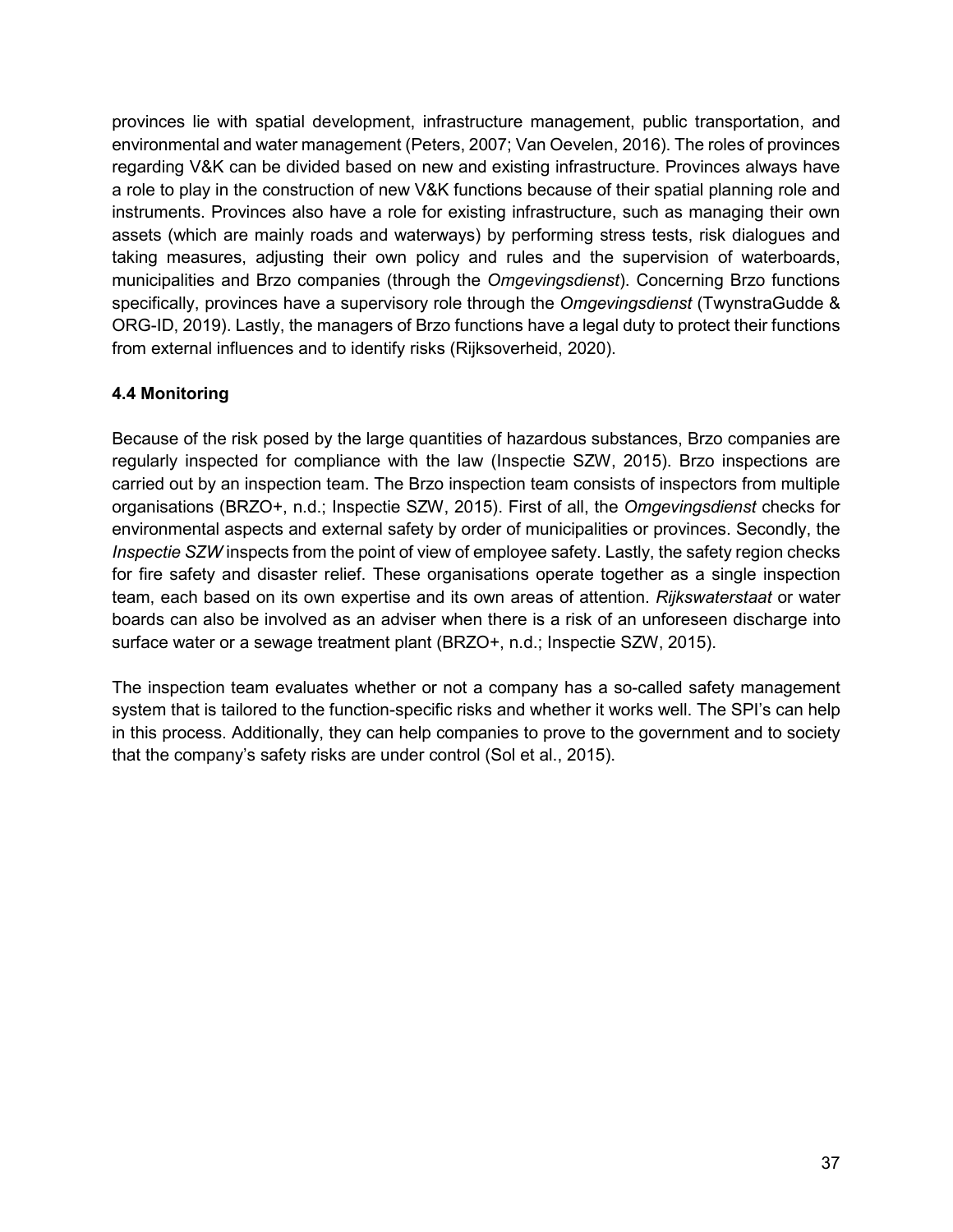provinces lie with spatial development, infrastructure management, public transportation, and environmental and water management (Peters, 2007; Van Oevelen, 2016). The roles of provinces regarding V&K can be divided based on new and existing infrastructure. Provinces always have a role to play in the construction of new V&K functions because of their spatial planning role and instruments. Provinces also have a role for existing infrastructure, such as managing their own assets (which are mainly roads and waterways) by performing stress tests, risk dialogues and taking measures, adjusting their own policy and rules and the supervision of waterboards, municipalities and Brzo companies (through the *Omgevingsdienst*). Concerning Brzo functions specifically, provinces have a supervisory role through the *Omgevingsdienst* (TwynstraGudde & ORG-ID, 2019). Lastly, the managers of Brzo functions have a legal duty to protect their functions from external influences and to identify risks (Rijksoverheid, 2020).

# **4.4 Monitoring**

Because of the risk posed by the large quantities of hazardous substances, Brzo companies are regularly inspected for compliance with the law (Inspectie SZW, 2015). Brzo inspections are carried out by an inspection team. The Brzo inspection team consists of inspectors from multiple organisations (BRZO+, n.d.; Inspectie SZW, 2015). First of all, the *Omgevingsdienst* checks for environmental aspects and external safety by order of municipalities or provinces. Secondly, the *Inspectie SZW* inspects from the point of view of employee safety. Lastly, the safety region checks for fire safety and disaster relief. These organisations operate together as a single inspection team, each based on its own expertise and its own areas of attention. *Rijkswaterstaat* or water boards can also be involved as an adviser when there is a risk of an unforeseen discharge into surface water or a sewage treatment plant (BRZO+, n.d.; Inspectie SZW, 2015).

The inspection team evaluates whether or not a company has a so-called safety management system that is tailored to the function-specific risks and whether it works well. The SPI's can help in this process. Additionally, they can help companies to prove to the government and to society that the company's safety risks are under control (Sol et al., 2015).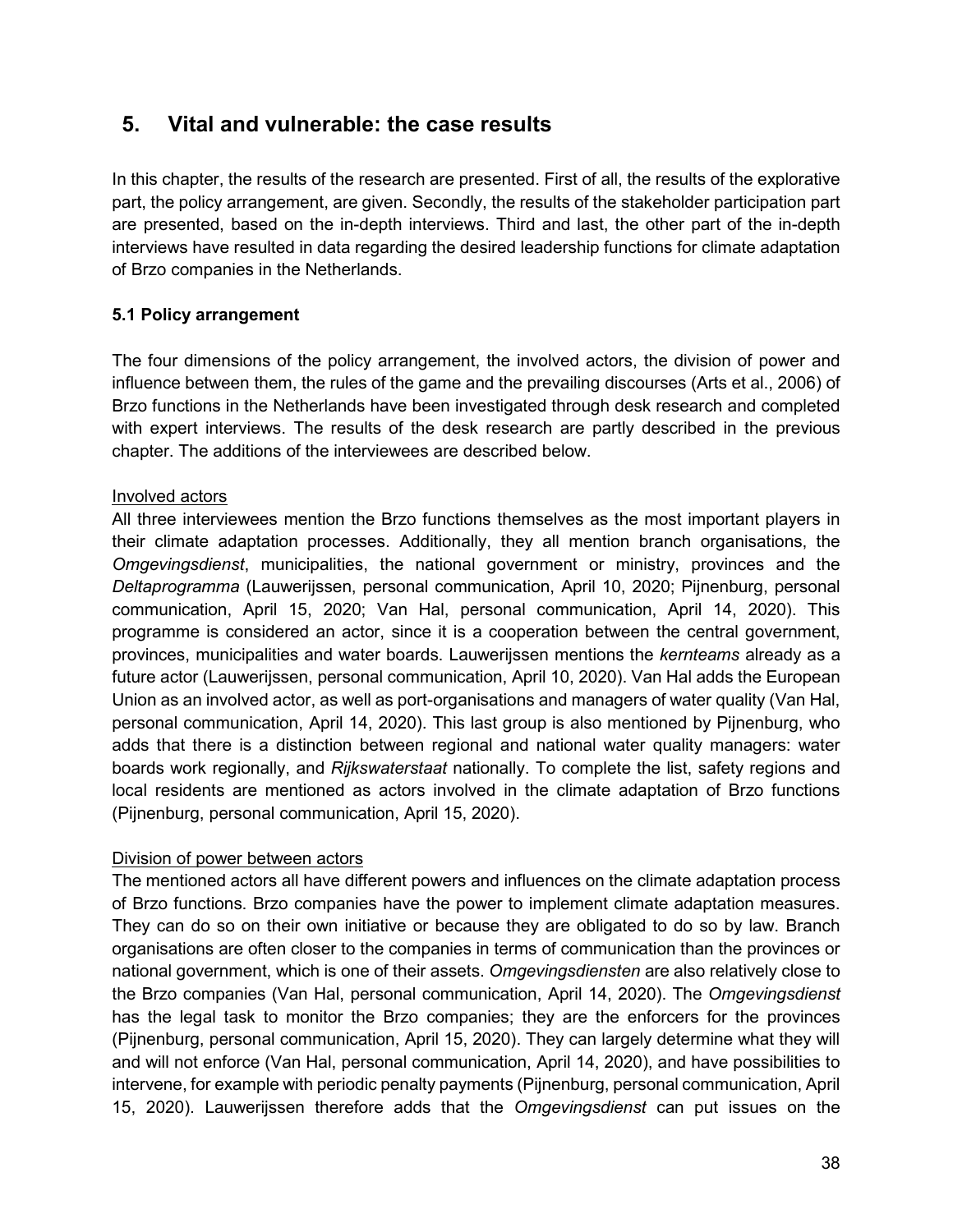# **5. Vital and vulnerable: the case results**

In this chapter, the results of the research are presented. First of all, the results of the explorative part, the policy arrangement, are given. Secondly, the results of the stakeholder participation part are presented, based on the in-depth interviews. Third and last, the other part of the in-depth interviews have resulted in data regarding the desired leadership functions for climate adaptation of Brzo companies in the Netherlands.

# **5.1 Policy arrangement**

The four dimensions of the policy arrangement, the involved actors, the division of power and influence between them, the rules of the game and the prevailing discourses (Arts et al., 2006) of Brzo functions in the Netherlands have been investigated through desk research and completed with expert interviews. The results of the desk research are partly described in the previous chapter. The additions of the interviewees are described below.

### Involved actors

All three interviewees mention the Brzo functions themselves as the most important players in their climate adaptation processes. Additionally, they all mention branch organisations, the *Omgevingsdienst*, municipalities, the national government or ministry, provinces and the *Deltaprogramma* (Lauwerijssen, personal communication, April 10, 2020; Pijnenburg, personal communication, April 15, 2020; Van Hal, personal communication, April 14, 2020). This programme is considered an actor, since it is a cooperation between the central government, provinces, municipalities and water boards. Lauwerijssen mentions the *kernteams* already as a future actor (Lauwerijssen, personal communication, April 10, 2020). Van Hal adds the European Union as an involved actor, as well as port-organisations and managers of water quality (Van Hal, personal communication, April 14, 2020). This last group is also mentioned by Pijnenburg, who adds that there is a distinction between regional and national water quality managers: water boards work regionally, and *Rijkswaterstaat* nationally. To complete the list, safety regions and local residents are mentioned as actors involved in the climate adaptation of Brzo functions (Pijnenburg, personal communication, April 15, 2020).

# Division of power between actors

The mentioned actors all have different powers and influences on the climate adaptation process of Brzo functions. Brzo companies have the power to implement climate adaptation measures. They can do so on their own initiative or because they are obligated to do so by law. Branch organisations are often closer to the companies in terms of communication than the provinces or national government, which is one of their assets. *Omgevingsdiensten* are also relatively close to the Brzo companies (Van Hal, personal communication, April 14, 2020). The *Omgevingsdienst*  has the legal task to monitor the Brzo companies; they are the enforcers for the provinces (Pijnenburg, personal communication, April 15, 2020). They can largely determine what they will and will not enforce (Van Hal, personal communication, April 14, 2020), and have possibilities to intervene, for example with periodic penalty payments (Pijnenburg, personal communication, April 15, 2020). Lauwerijssen therefore adds that the *Omgevingsdienst* can put issues on the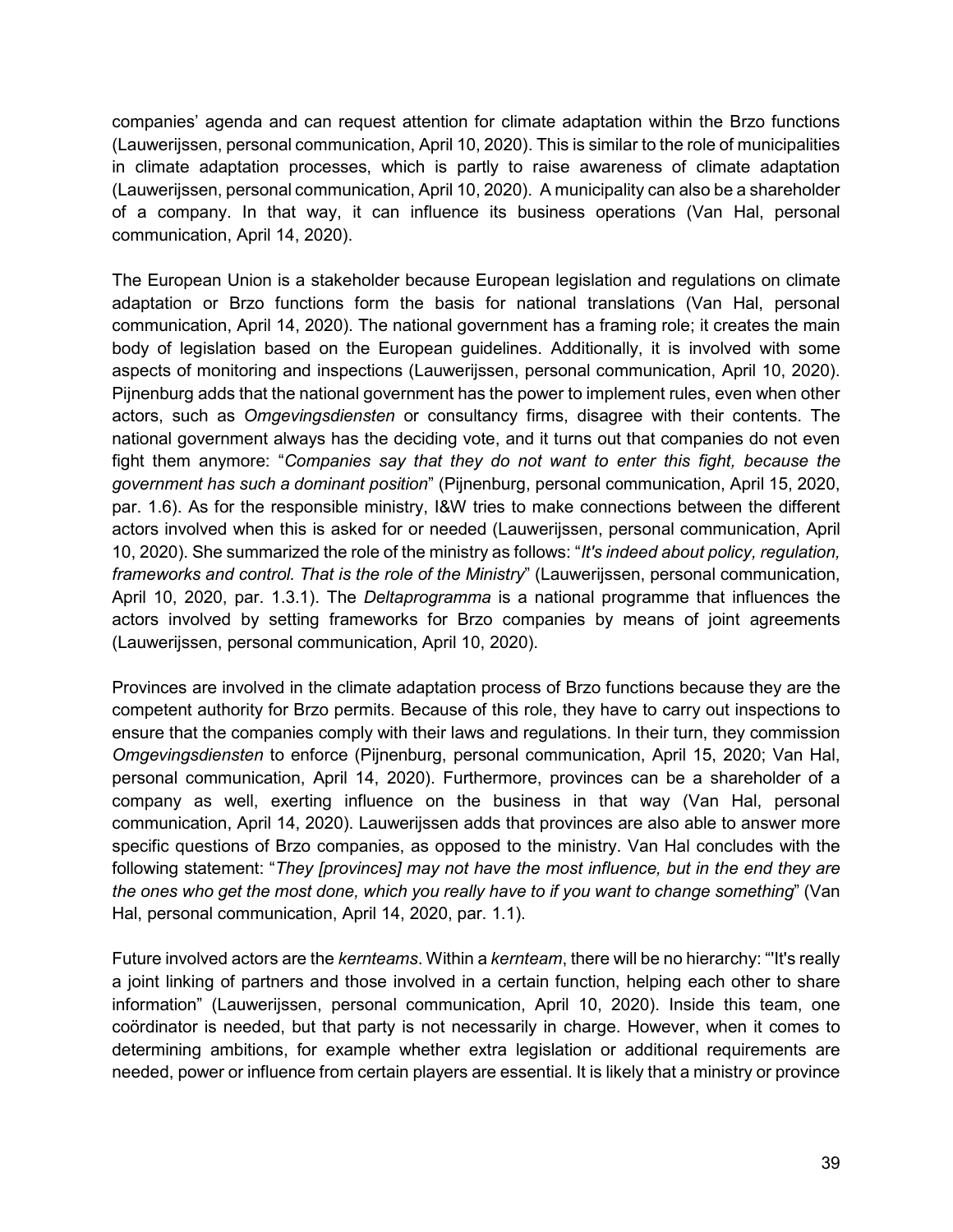companies' agenda and can request attention for climate adaptation within the Brzo functions (Lauwerijssen, personal communication, April 10, 2020). This is similar to the role of municipalities in climate adaptation processes, which is partly to raise awareness of climate adaptation (Lauwerijssen, personal communication, April 10, 2020). A municipality can also be a shareholder of a company. In that way, it can influence its business operations (Van Hal, personal communication, April 14, 2020).

The European Union is a stakeholder because European legislation and regulations on climate adaptation or Brzo functions form the basis for national translations (Van Hal, personal communication, April 14, 2020). The national government has a framing role; it creates the main body of legislation based on the European guidelines. Additionally, it is involved with some aspects of monitoring and inspections (Lauwerijssen, personal communication, April 10, 2020). Pijnenburg adds that the national government has the power to implement rules, even when other actors, such as *Omgevingsdiensten* or consultancy firms, disagree with their contents. The national government always has the deciding vote, and it turns out that companies do not even fight them anymore: "*Companies say that they do not want to enter this fight, because the government has such a dominant position*" (Pijnenburg, personal communication, April 15, 2020, par. 1.6). As for the responsible ministry, I&W tries to make connections between the different actors involved when this is asked for or needed (Lauwerijssen, personal communication, April 10, 2020). She summarized the role of the ministry as follows: "*It's indeed about policy, regulation, frameworks and control. That is the role of the Ministry*" (Lauwerijssen, personal communication, April 10, 2020, par. 1.3.1). The *Deltaprogramma* is a national programme that influences the actors involved by setting frameworks for Brzo companies by means of joint agreements (Lauwerijssen, personal communication, April 10, 2020).

Provinces are involved in the climate adaptation process of Brzo functions because they are the competent authority for Brzo permits. Because of this role, they have to carry out inspections to ensure that the companies comply with their laws and regulations. In their turn, they commission *Omgevingsdiensten* to enforce (Pijnenburg, personal communication, April 15, 2020; Van Hal, personal communication, April 14, 2020). Furthermore, provinces can be a shareholder of a company as well, exerting influence on the business in that way (Van Hal, personal communication, April 14, 2020). Lauwerijssen adds that provinces are also able to answer more specific questions of Brzo companies, as opposed to the ministry. Van Hal concludes with the following statement: "*They [provinces] may not have the most influence, but in the end they are the ones who get the most done, which you really have to if you want to change something*" (Van Hal, personal communication, April 14, 2020, par. 1.1).

Future involved actors are the *kernteams*. Within a *kernteam*, there will be no hierarchy: "'It's really a joint linking of partners and those involved in a certain function, helping each other to share information" (Lauwerijssen, personal communication, April 10, 2020). Inside this team, one coördinator is needed, but that party is not necessarily in charge. However, when it comes to determining ambitions, for example whether extra legislation or additional requirements are needed, power or influence from certain players are essential. It is likely that a ministry or province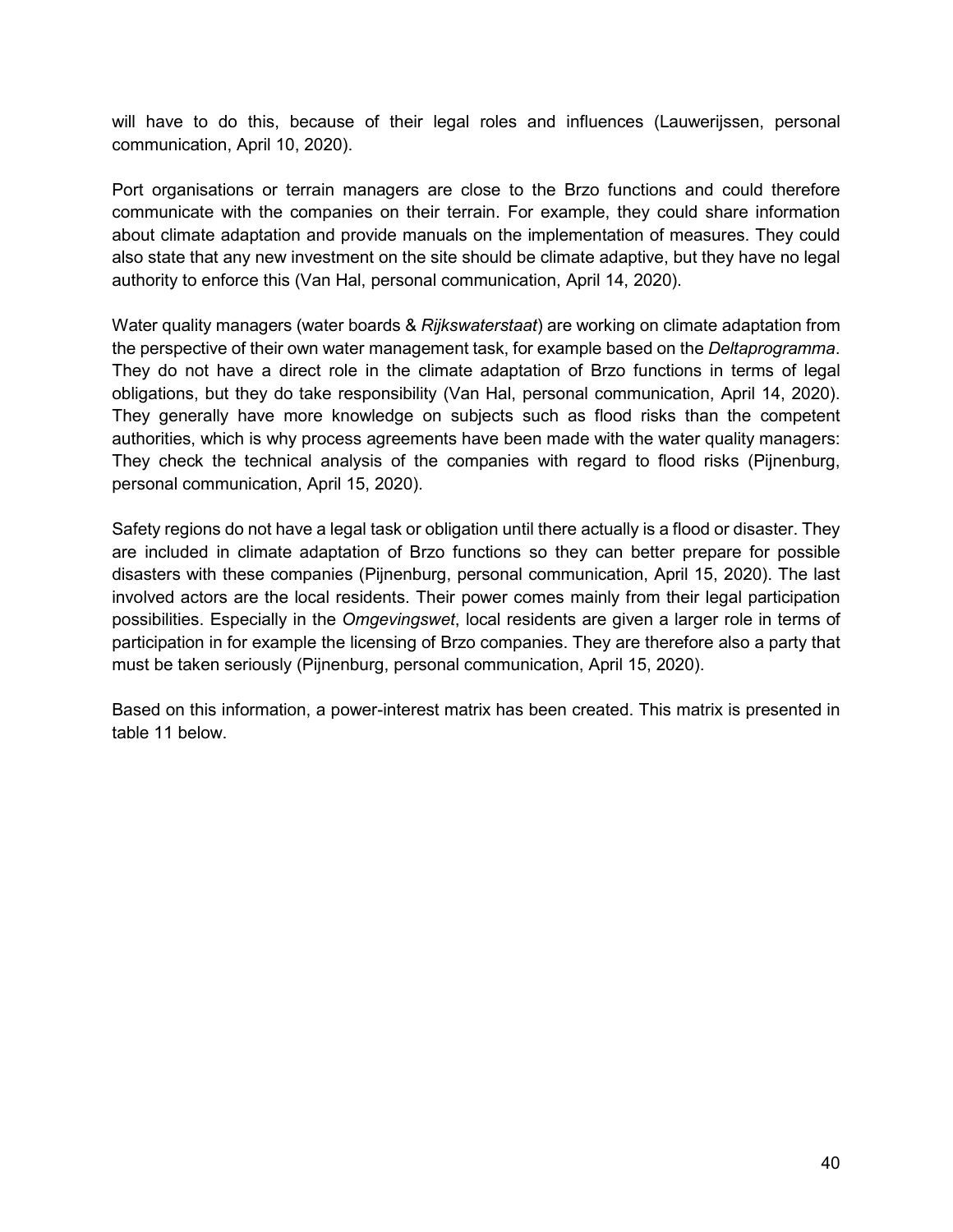will have to do this, because of their legal roles and influences (Lauwerijssen, personal communication, April 10, 2020).

Port organisations or terrain managers are close to the Brzo functions and could therefore communicate with the companies on their terrain. For example, they could share information about climate adaptation and provide manuals on the implementation of measures. They could also state that any new investment on the site should be climate adaptive, but they have no legal authority to enforce this (Van Hal, personal communication, April 14, 2020).

Water quality managers (water boards & *Rijkswaterstaat*) are working on climate adaptation from the perspective of their own water management task, for example based on the *Deltaprogramma*. They do not have a direct role in the climate adaptation of Brzo functions in terms of legal obligations, but they do take responsibility (Van Hal, personal communication, April 14, 2020). They generally have more knowledge on subjects such as flood risks than the competent authorities, which is why process agreements have been made with the water quality managers: They check the technical analysis of the companies with regard to flood risks (Pijnenburg, personal communication, April 15, 2020).

Safety regions do not have a legal task or obligation until there actually is a flood or disaster. They are included in climate adaptation of Brzo functions so they can better prepare for possible disasters with these companies (Pijnenburg, personal communication, April 15, 2020). The last involved actors are the local residents. Their power comes mainly from their legal participation possibilities. Especially in the *Omgevingswet*, local residents are given a larger role in terms of participation in for example the licensing of Brzo companies. They are therefore also a party that must be taken seriously (Pijnenburg, personal communication, April 15, 2020).

Based on this information, a power-interest matrix has been created. This matrix is presented in table 11 below.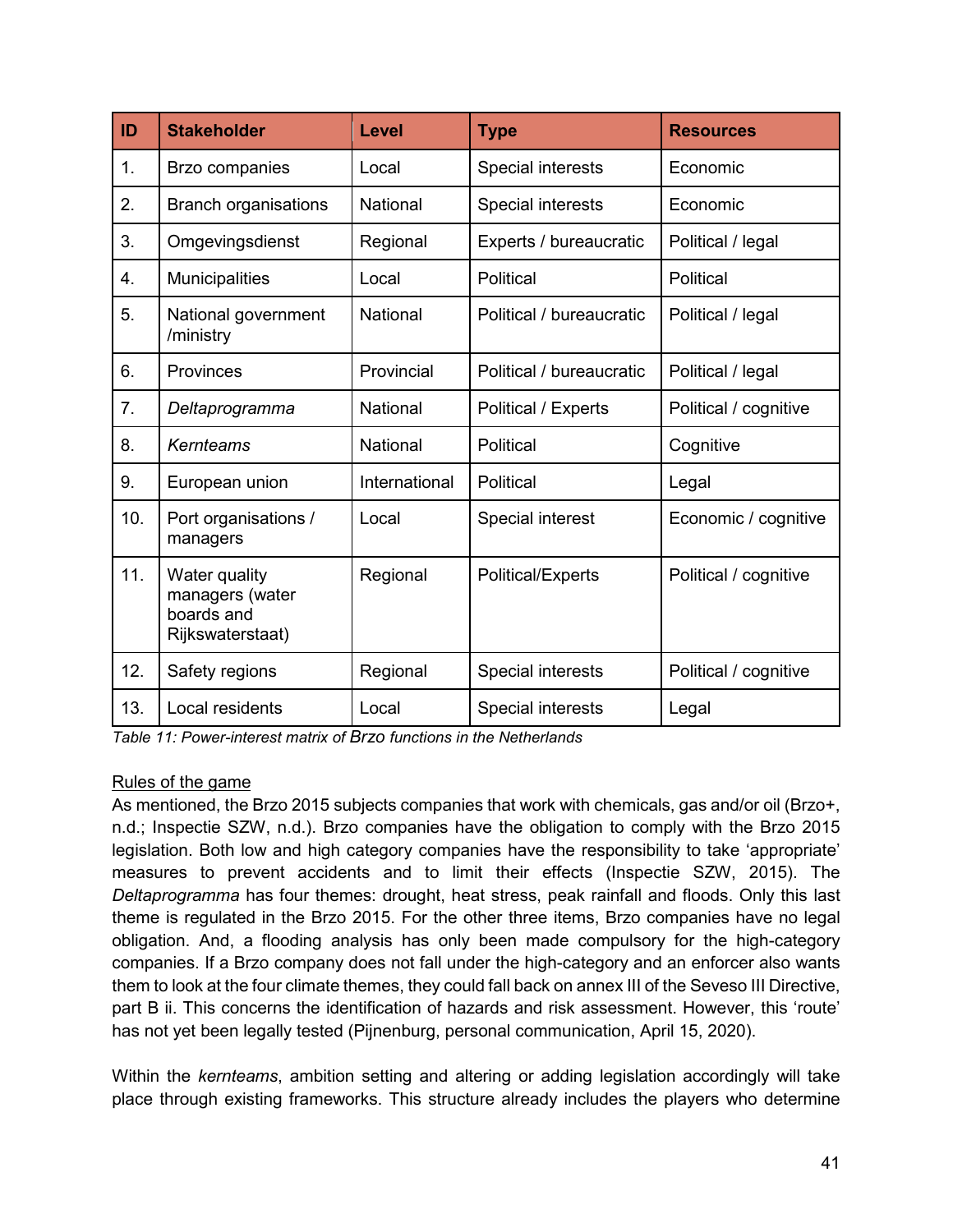| ID             | <b>Stakeholder</b>                                                 | Level           | <b>Type</b>              | <b>Resources</b>      |
|----------------|--------------------------------------------------------------------|-----------------|--------------------------|-----------------------|
| $\mathbf{1}$ . | Brzo companies                                                     | Local           | <b>Special interests</b> | Economic              |
| 2.             | <b>Branch organisations</b>                                        | <b>National</b> | Special interests        | Economic              |
| 3.             | Omgevingsdienst                                                    | Regional        | Experts / bureaucratic   | Political / legal     |
| 4.             | <b>Municipalities</b>                                              | Local           | Political                | Political             |
| 5.             | National government<br>/ministry                                   | National        | Political / bureaucratic | Political / legal     |
| 6.             | Provinces                                                          | Provincial      | Political / bureaucratic | Political / legal     |
| 7.             | Deltaprogramma                                                     | National        | Political / Experts      | Political / cognitive |
| 8.             | Kernteams                                                          | <b>National</b> | Political                | Cognitive             |
| 9.             | European union                                                     | International   | Political                | Legal                 |
| 10.            | Port organisations /<br>managers                                   | Local           | Special interest         | Economic / cognitive  |
| 11.            | Water quality<br>managers (water<br>boards and<br>Rijkswaterstaat) | Regional        | <b>Political/Experts</b> | Political / cognitive |
| 12.            | Safety regions                                                     | Regional        | Special interests        | Political / cognitive |
| 13.            | Local residents                                                    | Local           | Special interests        | Legal                 |

*Table 11: Power-interest matrix of Brzo functions in the Netherlands*

### Rules of the game

As mentioned, the Brzo 2015 subjects companies that work with chemicals, gas and/or oil (Brzo+, n.d.; Inspectie SZW, n.d.). Brzo companies have the obligation to comply with the Brzo 2015 legislation. Both low and high category companies have the responsibility to take 'appropriate' measures to prevent accidents and to limit their effects (Inspectie SZW, 2015). The *Deltaprogramma* has four themes: drought, heat stress, peak rainfall and floods. Only this last theme is regulated in the Brzo 2015. For the other three items, Brzo companies have no legal obligation. And, a flooding analysis has only been made compulsory for the high-category companies. If a Brzo company does not fall under the high-category and an enforcer also wants them to look at the four climate themes, they could fall back on annex III of the Seveso III Directive, part B ii. This concerns the identification of hazards and risk assessment. However, this 'route' has not yet been legally tested (Pijnenburg, personal communication, April 15, 2020).

Within the *kernteams*, ambition setting and altering or adding legislation accordingly will take place through existing frameworks. This structure already includes the players who determine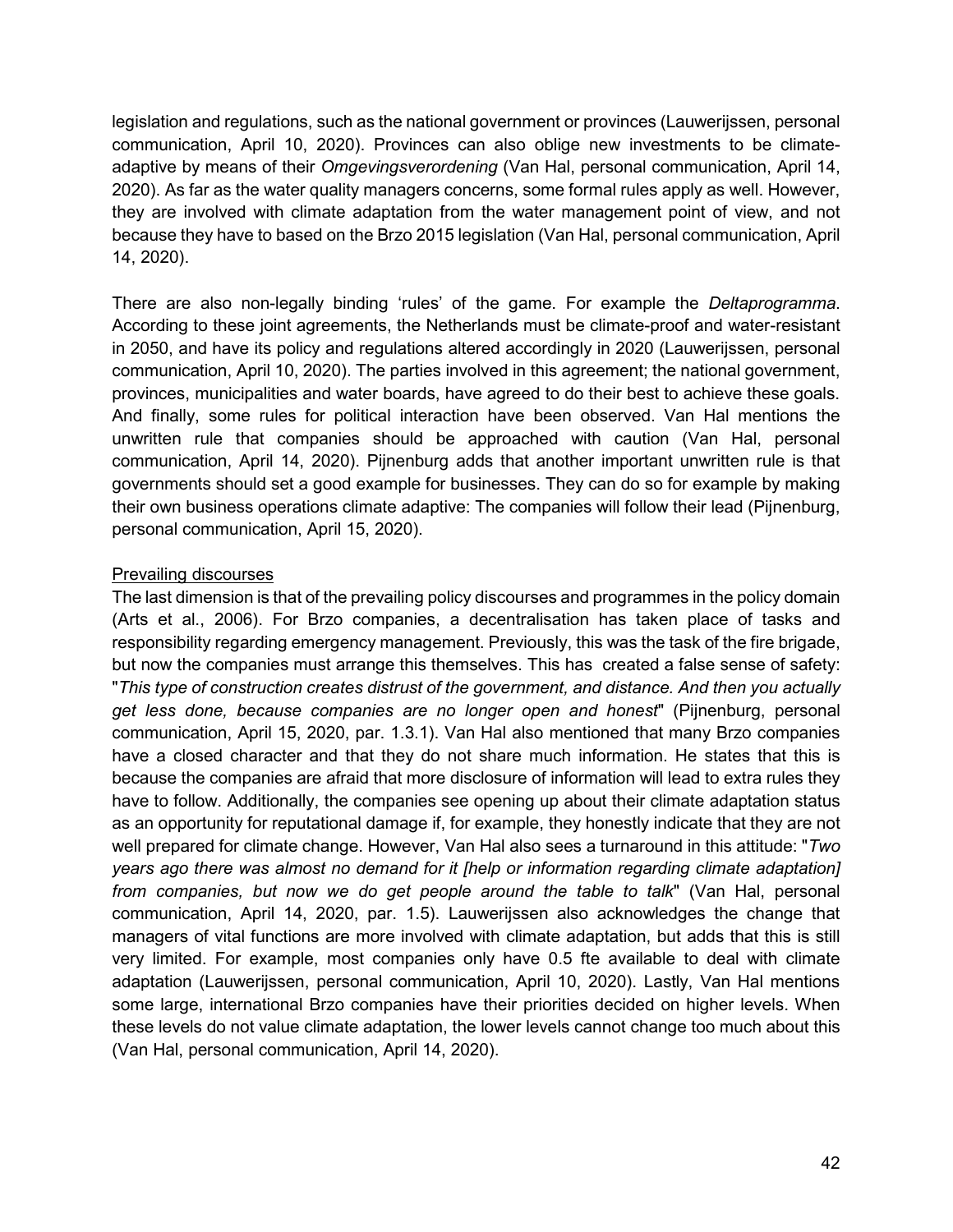legislation and regulations, such as the national government or provinces (Lauwerijssen, personal communication, April 10, 2020). Provinces can also oblige new investments to be climateadaptive by means of their *Omgevingsverordening* (Van Hal, personal communication, April 14, 2020). As far as the water quality managers concerns, some formal rules apply as well. However, they are involved with climate adaptation from the water management point of view, and not because they have to based on the Brzo 2015 legislation (Van Hal, personal communication, April 14, 2020).

There are also non-legally binding 'rules' of the game. For example the *Deltaprogramma*. According to these joint agreements, the Netherlands must be climate-proof and water-resistant in 2050, and have its policy and regulations altered accordingly in 2020 (Lauwerijssen, personal communication, April 10, 2020). The parties involved in this agreement; the national government, provinces, municipalities and water boards, have agreed to do their best to achieve these goals. And finally, some rules for political interaction have been observed. Van Hal mentions the unwritten rule that companies should be approached with caution (Van Hal, personal communication, April 14, 2020). Pijnenburg adds that another important unwritten rule is that governments should set a good example for businesses. They can do so for example by making their own business operations climate adaptive: The companies will follow their lead (Pijnenburg, personal communication, April 15, 2020).

### Prevailing discourses

The last dimension is that of the prevailing policy discourses and programmes in the policy domain (Arts et al., 2006). For Brzo companies, a decentralisation has taken place of tasks and responsibility regarding emergency management. Previously, this was the task of the fire brigade, but now the companies must arrange this themselves. This has created a false sense of safety: "*This type of construction creates distrust of the government, and distance. And then you actually get less done, because companies are no longer open and honest*" (Pijnenburg, personal communication, April 15, 2020, par. 1.3.1). Van Hal also mentioned that many Brzo companies have a closed character and that they do not share much information. He states that this is because the companies are afraid that more disclosure of information will lead to extra rules they have to follow. Additionally, the companies see opening up about their climate adaptation status as an opportunity for reputational damage if, for example, they honestly indicate that they are not well prepared for climate change. However, Van Hal also sees a turnaround in this attitude: "*Two years ago there was almost no demand for it [help or information regarding climate adaptation] from companies, but now we do get people around the table to talk*" (Van Hal, personal communication, April 14, 2020, par. 1.5). Lauwerijssen also acknowledges the change that managers of vital functions are more involved with climate adaptation, but adds that this is still very limited. For example, most companies only have 0.5 fte available to deal with climate adaptation (Lauwerijssen, personal communication, April 10, 2020). Lastly, Van Hal mentions some large, international Brzo companies have their priorities decided on higher levels. When these levels do not value climate adaptation, the lower levels cannot change too much about this (Van Hal, personal communication, April 14, 2020).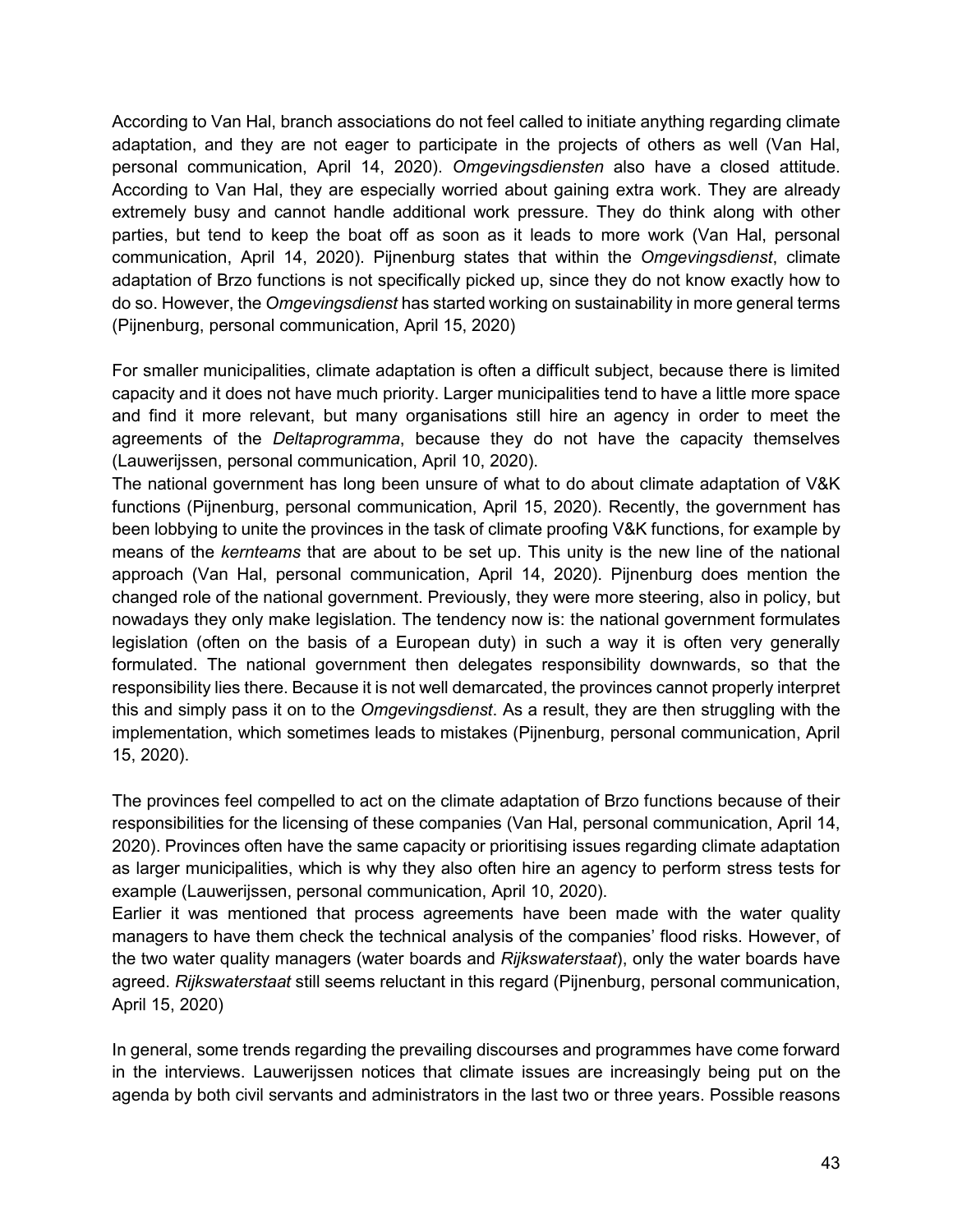According to Van Hal, branch associations do not feel called to initiate anything regarding climate adaptation, and they are not eager to participate in the projects of others as well (Van Hal, personal communication, April 14, 2020). *Omgevingsdiensten* also have a closed attitude. According to Van Hal, they are especially worried about gaining extra work. They are already extremely busy and cannot handle additional work pressure. They do think along with other parties, but tend to keep the boat off as soon as it leads to more work (Van Hal, personal communication, April 14, 2020). Pijnenburg states that within the *Omgevingsdienst*, climate adaptation of Brzo functions is not specifically picked up, since they do not know exactly how to do so. However, the *Omgevingsdienst* has started working on sustainability in more general terms (Pijnenburg, personal communication, April 15, 2020)

For smaller municipalities, climate adaptation is often a difficult subject, because there is limited capacity and it does not have much priority. Larger municipalities tend to have a little more space and find it more relevant, but many organisations still hire an agency in order to meet the agreements of the *Deltaprogramma*, because they do not have the capacity themselves (Lauwerijssen, personal communication, April 10, 2020).

The national government has long been unsure of what to do about climate adaptation of V&K functions (Pijnenburg, personal communication, April 15, 2020). Recently, the government has been lobbying to unite the provinces in the task of climate proofing V&K functions, for example by means of the *kernteams* that are about to be set up. This unity is the new line of the national approach (Van Hal, personal communication, April 14, 2020). Pijnenburg does mention the changed role of the national government. Previously, they were more steering, also in policy, but nowadays they only make legislation. The tendency now is: the national government formulates legislation (often on the basis of a European duty) in such a way it is often very generally formulated. The national government then delegates responsibility downwards, so that the responsibility lies there. Because it is not well demarcated, the provinces cannot properly interpret this and simply pass it on to the *Omgevingsdienst*. As a result, they are then struggling with the implementation, which sometimes leads to mistakes (Pijnenburg, personal communication, April 15, 2020).

The provinces feel compelled to act on the climate adaptation of Brzo functions because of their responsibilities for the licensing of these companies (Van Hal, personal communication, April 14, 2020). Provinces often have the same capacity or prioritising issues regarding climate adaptation as larger municipalities, which is why they also often hire an agency to perform stress tests for example (Lauwerijssen, personal communication, April 10, 2020).

Earlier it was mentioned that process agreements have been made with the water quality managers to have them check the technical analysis of the companies' flood risks. However, of the two water quality managers (water boards and *Rijkswaterstaat*), only the water boards have agreed. *Rijkswaterstaat* still seems reluctant in this regard (Pijnenburg, personal communication, April 15, 2020)

In general, some trends regarding the prevailing discourses and programmes have come forward in the interviews. Lauwerijssen notices that climate issues are increasingly being put on the agenda by both civil servants and administrators in the last two or three years. Possible reasons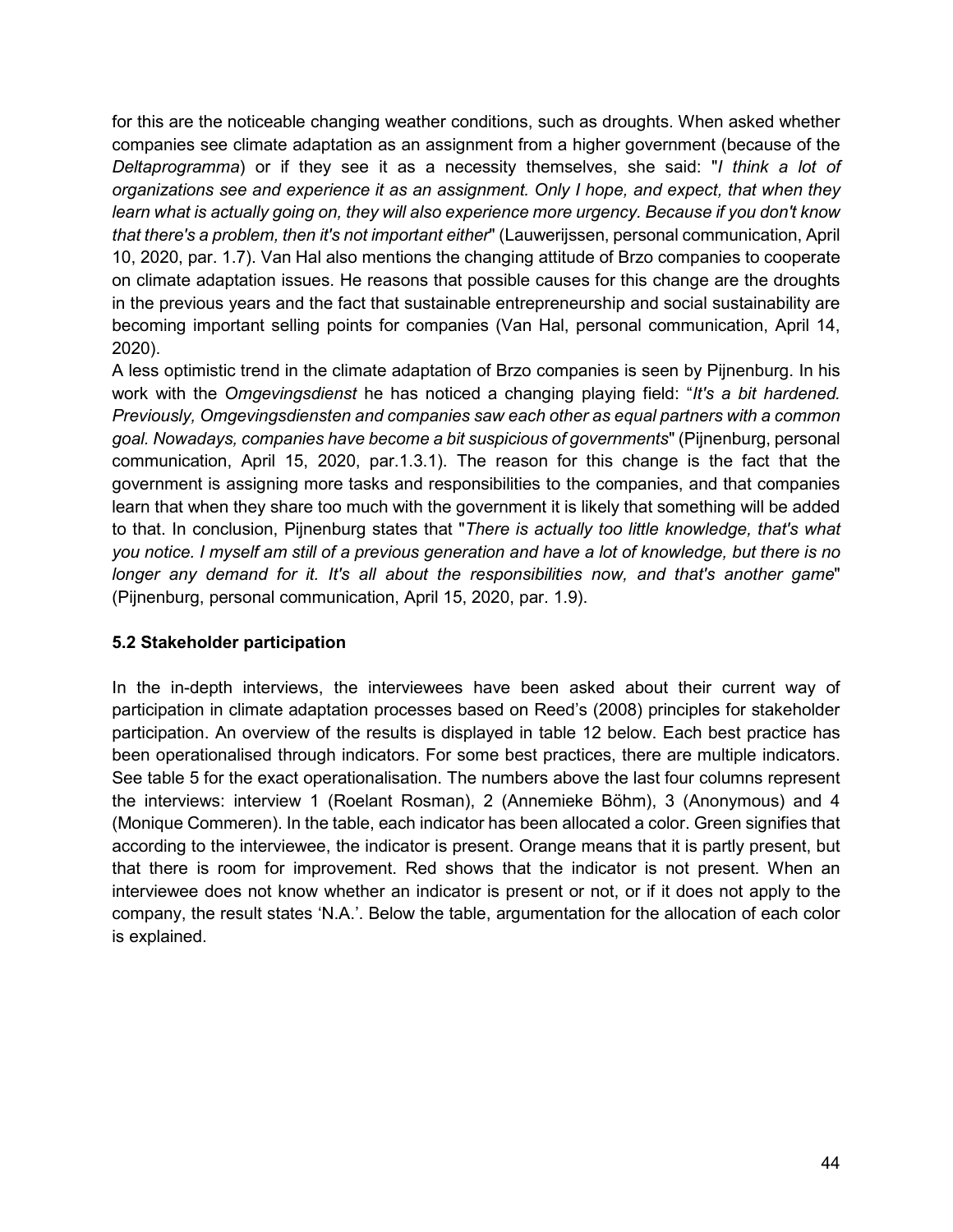for this are the noticeable changing weather conditions, such as droughts. When asked whether companies see climate adaptation as an assignment from a higher government (because of the *Deltaprogramma*) or if they see it as a necessity themselves, she said: "*I think a lot of organizations see and experience it as an assignment. Only I hope, and expect, that when they learn what is actually going on, they will also experience more urgency. Because if you don't know that there's a problem, then it's not important either*" (Lauwerijssen, personal communication, April 10, 2020, par. 1.7). Van Hal also mentions the changing attitude of Brzo companies to cooperate on climate adaptation issues. He reasons that possible causes for this change are the droughts in the previous years and the fact that sustainable entrepreneurship and social sustainability are becoming important selling points for companies (Van Hal, personal communication, April 14, 2020).

A less optimistic trend in the climate adaptation of Brzo companies is seen by Pijnenburg. In his work with the *Omgevingsdienst* he has noticed a changing playing field: "*It's a bit hardened. Previously, Omgevingsdiensten and companies saw each other as equal partners with a common goal. Nowadays, companies have become a bit suspicious of governments*" (Pijnenburg, personal communication, April 15, 2020, par.1.3.1). The reason for this change is the fact that the government is assigning more tasks and responsibilities to the companies, and that companies learn that when they share too much with the government it is likely that something will be added to that. In conclusion, Pijnenburg states that "*There is actually too little knowledge, that's what you notice. I myself am still of a previous generation and have a lot of knowledge, but there is no longer any demand for it. It's all about the responsibilities now, and that's another game*" (Pijnenburg, personal communication, April 15, 2020, par. 1.9).

# **5.2 Stakeholder participation**

In the in-depth interviews, the interviewees have been asked about their current way of participation in climate adaptation processes based on Reed's (2008) principles for stakeholder participation. An overview of the results is displayed in table 12 below. Each best practice has been operationalised through indicators. For some best practices, there are multiple indicators. See table 5 for the exact operationalisation. The numbers above the last four columns represent the interviews: interview 1 (Roelant Rosman), 2 (Annemieke Böhm), 3 (Anonymous) and 4 (Monique Commeren). In the table, each indicator has been allocated a color. Green signifies that according to the interviewee, the indicator is present. Orange means that it is partly present, but that there is room for improvement. Red shows that the indicator is not present. When an interviewee does not know whether an indicator is present or not, or if it does not apply to the company, the result states 'N.A.'. Below the table, argumentation for the allocation of each color is explained.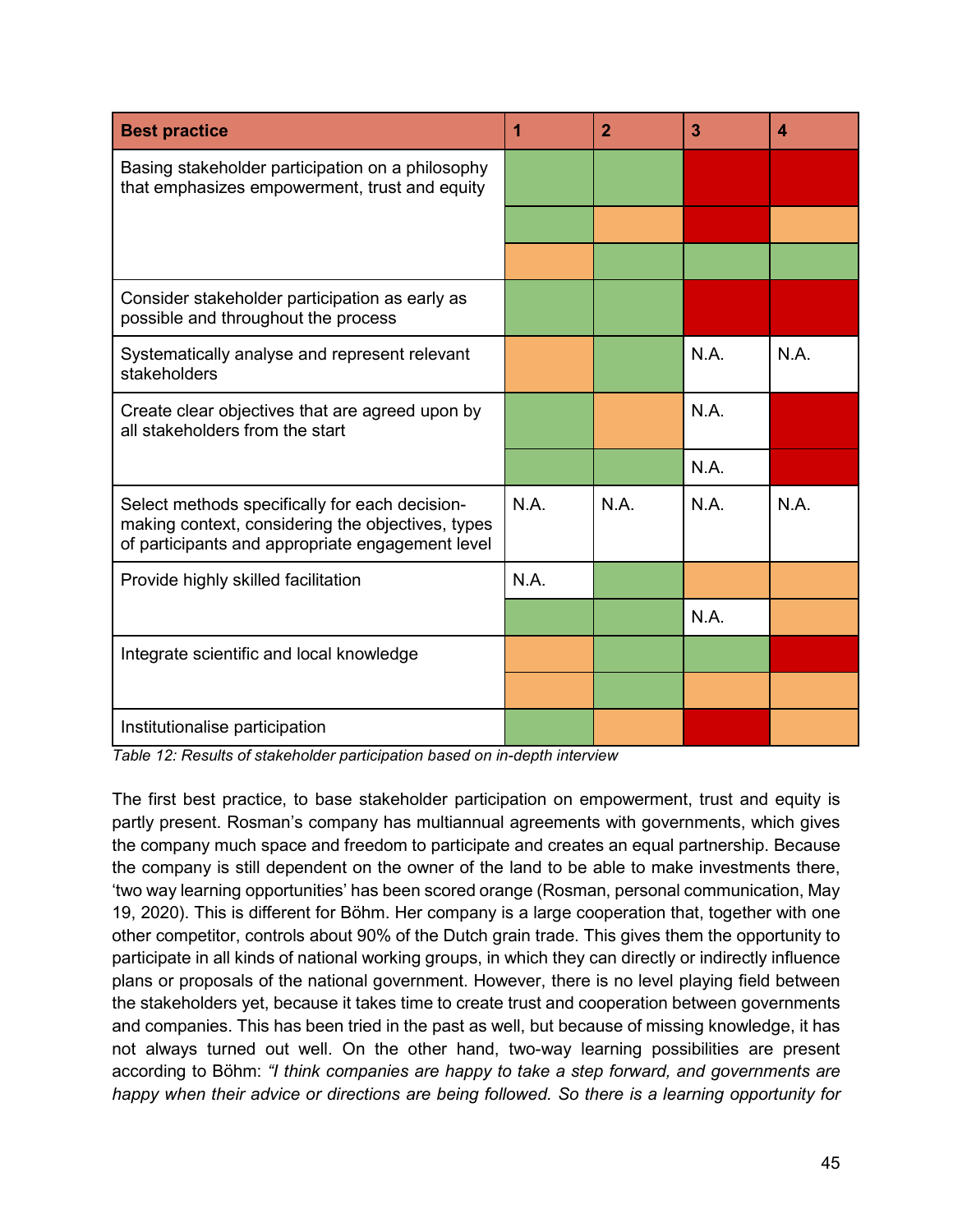| <b>Best practice</b>                                                                                                                                    | 1    | $\mathbf{2}$ | 3    | 4    |
|---------------------------------------------------------------------------------------------------------------------------------------------------------|------|--------------|------|------|
| Basing stakeholder participation on a philosophy<br>that emphasizes empowerment, trust and equity                                                       |      |              |      |      |
|                                                                                                                                                         |      |              |      |      |
|                                                                                                                                                         |      |              |      |      |
| Consider stakeholder participation as early as<br>possible and throughout the process                                                                   |      |              |      |      |
| Systematically analyse and represent relevant<br>stakeholders                                                                                           |      |              | N.A. | N.A. |
| Create clear objectives that are agreed upon by<br>all stakeholders from the start                                                                      |      |              | N.A. |      |
|                                                                                                                                                         |      |              | N.A. |      |
| Select methods specifically for each decision-<br>making context, considering the objectives, types<br>of participants and appropriate engagement level | N.A. | N.A.         | N.A. | N.A. |
| Provide highly skilled facilitation                                                                                                                     | N.A. |              |      |      |
|                                                                                                                                                         |      |              | N.A. |      |
| Integrate scientific and local knowledge                                                                                                                |      |              |      |      |
|                                                                                                                                                         |      |              |      |      |
| Institutionalise participation                                                                                                                          |      |              |      |      |

*Table 12: Results of stakeholder participation based on in-depth interview*

The first best practice, to base stakeholder participation on empowerment, trust and equity is partly present. Rosman's company has multiannual agreements with governments, which gives the company much space and freedom to participate and creates an equal partnership. Because the company is still dependent on the owner of the land to be able to make investments there, 'two way learning opportunities' has been scored orange (Rosman, personal communication, May 19, 2020). This is different for Böhm. Her company is a large cooperation that, together with one other competitor, controls about 90% of the Dutch grain trade. This gives them the opportunity to participate in all kinds of national working groups, in which they can directly or indirectly influence plans or proposals of the national government. However, there is no level playing field between the stakeholders yet, because it takes time to create trust and cooperation between governments and companies. This has been tried in the past as well, but because of missing knowledge, it has not always turned out well. On the other hand, two-way learning possibilities are present according to Böhm: *"I think companies are happy to take a step forward, and governments are happy when their advice or directions are being followed. So there is a learning opportunity for*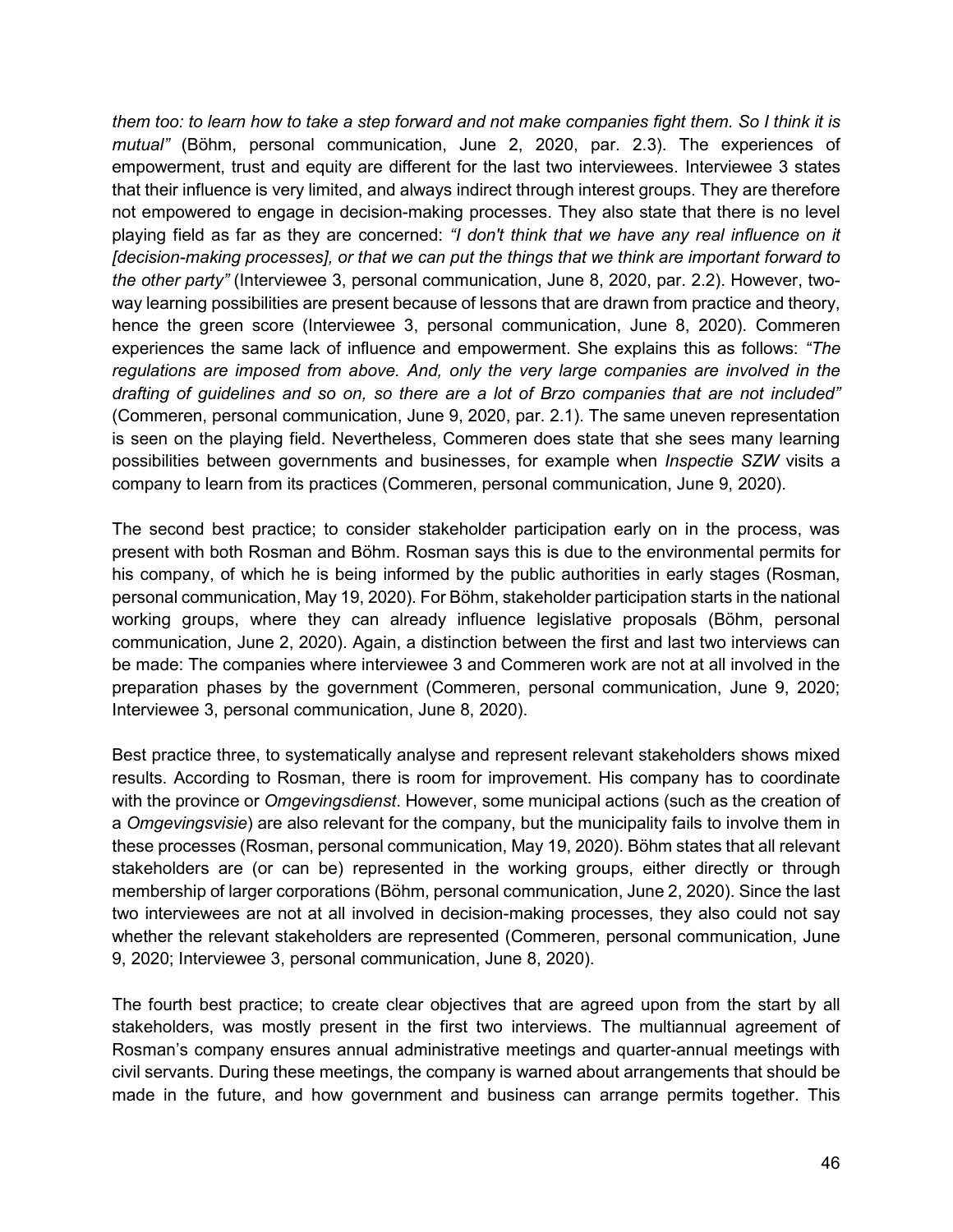*them too: to learn how to take a step forward and not make companies fight them. So I think it is mutual"* (Böhm, personal communication, June 2, 2020, par. 2.3). The experiences of empowerment, trust and equity are different for the last two interviewees. Interviewee 3 states that their influence is very limited, and always indirect through interest groups. They are therefore not empowered to engage in decision-making processes. They also state that there is no level playing field as far as they are concerned: *"I don't think that we have any real influence on it [decision-making processes], or that we can put the things that we think are important forward to the other party"* (Interviewee 3, personal communication, June 8, 2020, par. 2.2). However, twoway learning possibilities are present because of lessons that are drawn from practice and theory, hence the green score (Interviewee 3, personal communication, June 8, 2020). Commeren experiences the same lack of influence and empowerment. She explains this as follows: *"The regulations are imposed from above. And, only the very large companies are involved in the drafting of guidelines and so on, so there are a lot of Brzo companies that are not included"* (Commeren, personal communication, June 9, 2020, par. 2.1). The same uneven representation is seen on the playing field. Nevertheless, Commeren does state that she sees many learning possibilities between governments and businesses, for example when *Inspectie SZW* visits a company to learn from its practices (Commeren, personal communication, June 9, 2020).

The second best practice; to consider stakeholder participation early on in the process, was present with both Rosman and Böhm. Rosman says this is due to the environmental permits for his company, of which he is being informed by the public authorities in early stages (Rosman, personal communication, May 19, 2020). For Böhm, stakeholder participation starts in the national working groups, where they can already influence legislative proposals (Böhm, personal communication, June 2, 2020). Again, a distinction between the first and last two interviews can be made: The companies where interviewee 3 and Commeren work are not at all involved in the preparation phases by the government (Commeren, personal communication, June 9, 2020; Interviewee 3, personal communication, June 8, 2020).

Best practice three, to systematically analyse and represent relevant stakeholders shows mixed results. According to Rosman, there is room for improvement. His company has to coordinate with the province or *Omgevingsdienst*. However, some municipal actions (such as the creation of a *Omgevingsvisie*) are also relevant for the company, but the municipality fails to involve them in these processes (Rosman, personal communication, May 19, 2020). Böhm states that all relevant stakeholders are (or can be) represented in the working groups, either directly or through membership of larger corporations (Böhm, personal communication, June 2, 2020). Since the last two interviewees are not at all involved in decision-making processes, they also could not say whether the relevant stakeholders are represented (Commeren, personal communication, June 9, 2020; Interviewee 3, personal communication, June 8, 2020).

The fourth best practice; to create clear objectives that are agreed upon from the start by all stakeholders, was mostly present in the first two interviews. The multiannual agreement of Rosman's company ensures annual administrative meetings and quarter-annual meetings with civil servants. During these meetings, the company is warned about arrangements that should be made in the future, and how government and business can arrange permits together. This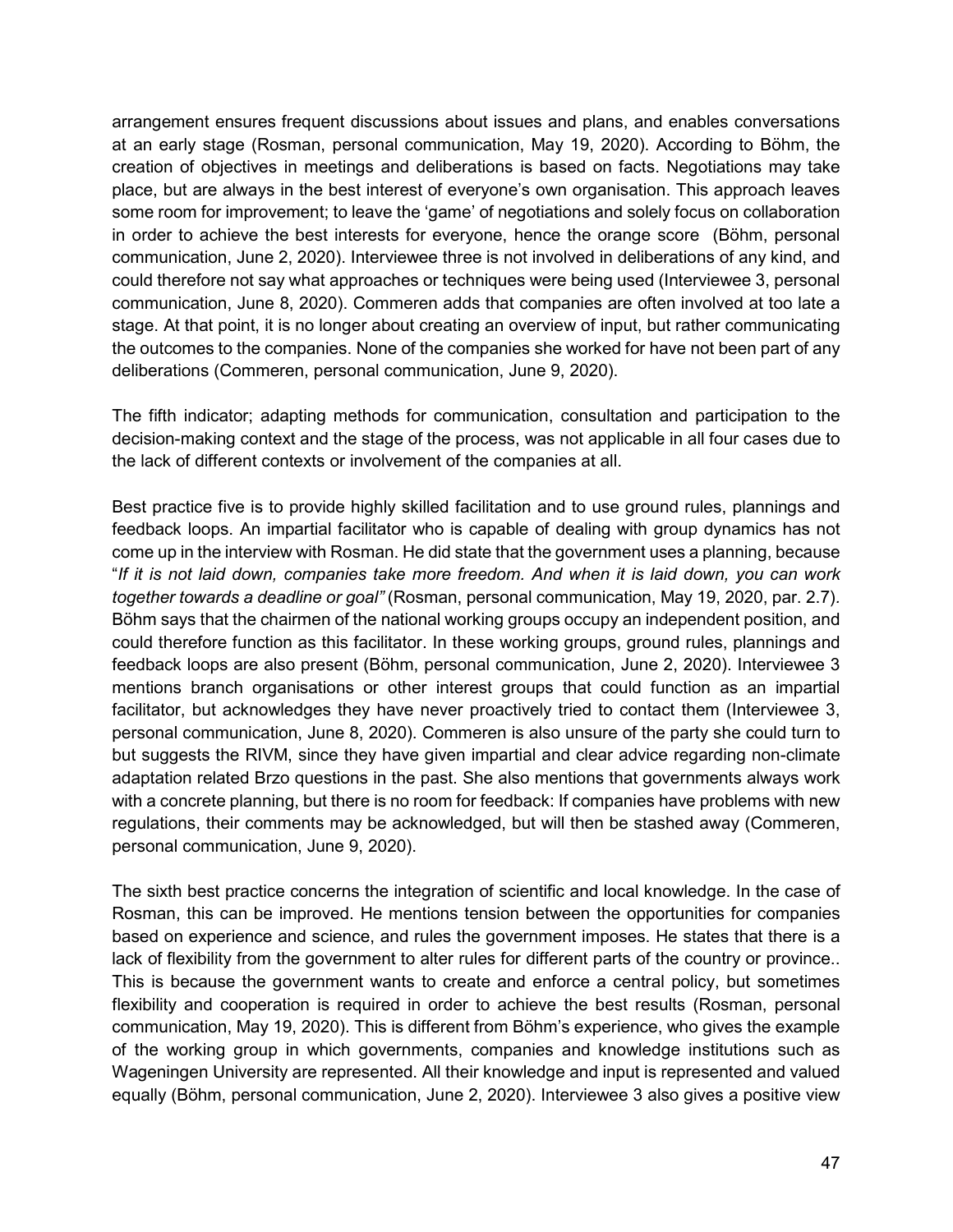arrangement ensures frequent discussions about issues and plans, and enables conversations at an early stage (Rosman, personal communication, May 19, 2020). According to Böhm, the creation of objectives in meetings and deliberations is based on facts. Negotiations may take place, but are always in the best interest of everyone's own organisation. This approach leaves some room for improvement; to leave the 'game' of negotiations and solely focus on collaboration in order to achieve the best interests for everyone, hence the orange score (Böhm, personal communication, June 2, 2020). Interviewee three is not involved in deliberations of any kind, and could therefore not say what approaches or techniques were being used (Interviewee 3, personal communication, June 8, 2020). Commeren adds that companies are often involved at too late a stage. At that point, it is no longer about creating an overview of input, but rather communicating the outcomes to the companies. None of the companies she worked for have not been part of any deliberations (Commeren, personal communication, June 9, 2020).

The fifth indicator; adapting methods for communication, consultation and participation to the decision-making context and the stage of the process, was not applicable in all four cases due to the lack of different contexts or involvement of the companies at all.

Best practice five is to provide highly skilled facilitation and to use ground rules, plannings and feedback loops. An impartial facilitator who is capable of dealing with group dynamics has not come up in the interview with Rosman. He did state that the government uses a planning, because "*If it is not laid down, companies take more freedom. And when it is laid down, you can work together towards a deadline or goal"* (Rosman, personal communication, May 19, 2020, par. 2.7)*.*  Böhm says that the chairmen of the national working groups occupy an independent position, and could therefore function as this facilitator. In these working groups, ground rules, plannings and feedback loops are also present (Böhm, personal communication, June 2, 2020). Interviewee 3 mentions branch organisations or other interest groups that could function as an impartial facilitator, but acknowledges they have never proactively tried to contact them (Interviewee 3, personal communication, June 8, 2020). Commeren is also unsure of the party she could turn to but suggests the RIVM, since they have given impartial and clear advice regarding non-climate adaptation related Brzo questions in the past. She also mentions that governments always work with a concrete planning, but there is no room for feedback: If companies have problems with new regulations, their comments may be acknowledged, but will then be stashed away (Commeren, personal communication, June 9, 2020).

The sixth best practice concerns the integration of scientific and local knowledge. In the case of Rosman, this can be improved. He mentions tension between the opportunities for companies based on experience and science, and rules the government imposes. He states that there is a lack of flexibility from the government to alter rules for different parts of the country or province.. This is because the government wants to create and enforce a central policy, but sometimes flexibility and cooperation is required in order to achieve the best results (Rosman, personal communication, May 19, 2020). This is different from Böhm's experience, who gives the example of the working group in which governments, companies and knowledge institutions such as Wageningen University are represented. All their knowledge and input is represented and valued equally (Böhm, personal communication, June 2, 2020). Interviewee 3 also gives a positive view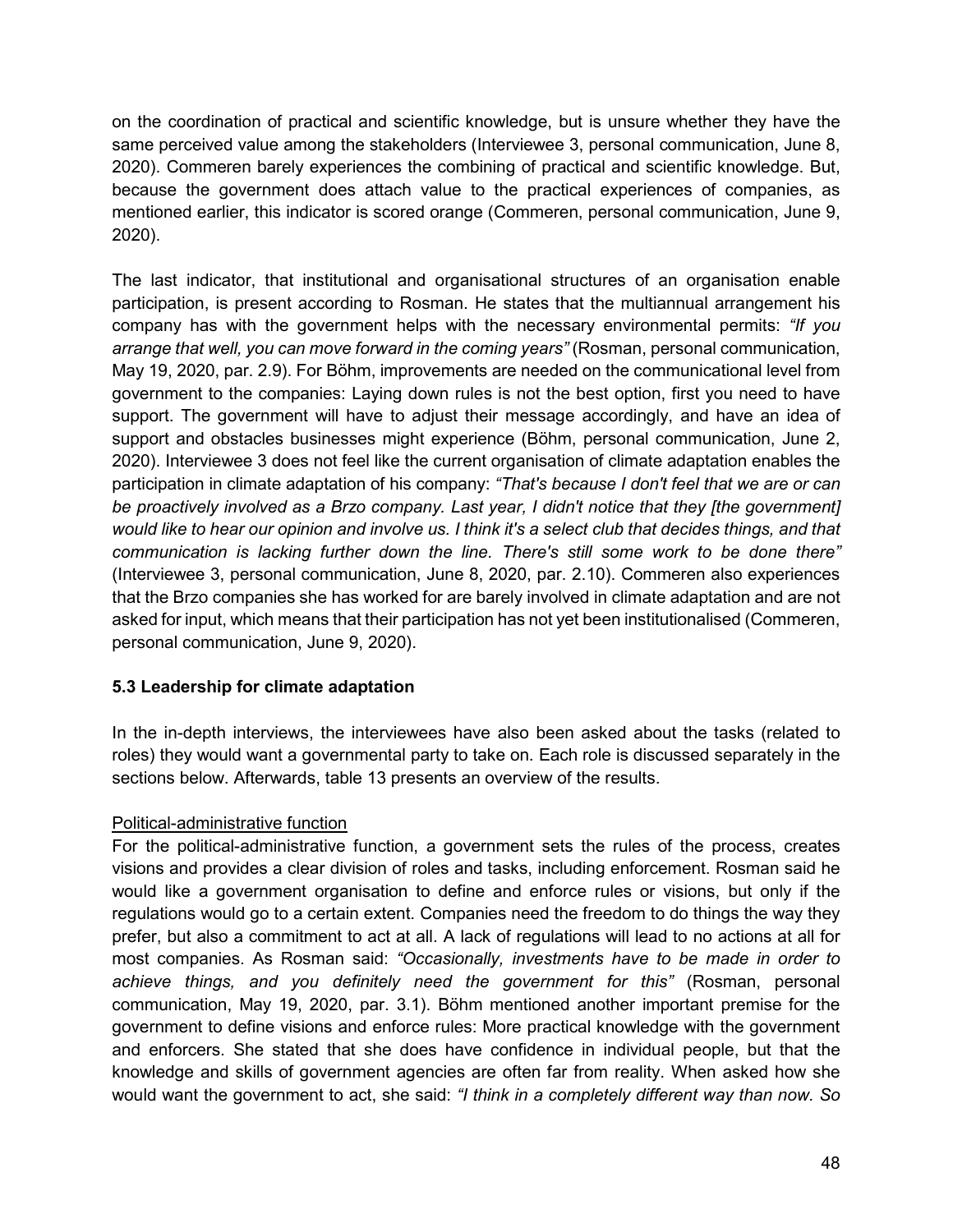on the coordination of practical and scientific knowledge, but is unsure whether they have the same perceived value among the stakeholders (Interviewee 3, personal communication, June 8, 2020). Commeren barely experiences the combining of practical and scientific knowledge. But, because the government does attach value to the practical experiences of companies, as mentioned earlier, this indicator is scored orange (Commeren, personal communication, June 9, 2020).

The last indicator, that institutional and organisational structures of an organisation enable participation, is present according to Rosman. He states that the multiannual arrangement his company has with the government helps with the necessary environmental permits: *"If you arrange that well, you can move forward in the coming years"* (Rosman, personal communication, May 19, 2020, par. 2.9). For Böhm, improvements are needed on the communicational level from government to the companies: Laying down rules is not the best option, first you need to have support. The government will have to adjust their message accordingly, and have an idea of support and obstacles businesses might experience (Böhm, personal communication, June 2, 2020). Interviewee 3 does not feel like the current organisation of climate adaptation enables the participation in climate adaptation of his company: *"That's because I don't feel that we are or can*  be proactively involved as a Brzo company. Last year, I didn't notice that they [the government] *would like to hear our opinion and involve us. I think it's a select club that decides things, and that communication is lacking further down the line. There's still some work to be done there"*  (Interviewee 3, personal communication, June 8, 2020, par. 2.10). Commeren also experiences that the Brzo companies she has worked for are barely involved in climate adaptation and are not asked for input, which means that their participation has not yet been institutionalised (Commeren, personal communication, June 9, 2020).

# **5.3 Leadership for climate adaptation**

In the in-depth interviews, the interviewees have also been asked about the tasks (related to roles) they would want a governmental party to take on. Each role is discussed separately in the sections below. Afterwards, table 13 presents an overview of the results.

### Political-administrative function

For the political-administrative function, a government sets the rules of the process, creates visions and provides a clear division of roles and tasks, including enforcement. Rosman said he would like a government organisation to define and enforce rules or visions, but only if the regulations would go to a certain extent. Companies need the freedom to do things the way they prefer, but also a commitment to act at all. A lack of regulations will lead to no actions at all for most companies. As Rosman said: *"Occasionally, investments have to be made in order to achieve things, and you definitely need the government for this"* (Rosman, personal communication, May 19, 2020, par. 3.1). Böhm mentioned another important premise for the government to define visions and enforce rules: More practical knowledge with the government and enforcers. She stated that she does have confidence in individual people, but that the knowledge and skills of government agencies are often far from reality. When asked how she would want the government to act, she said: *"I think in a completely different way than now. So*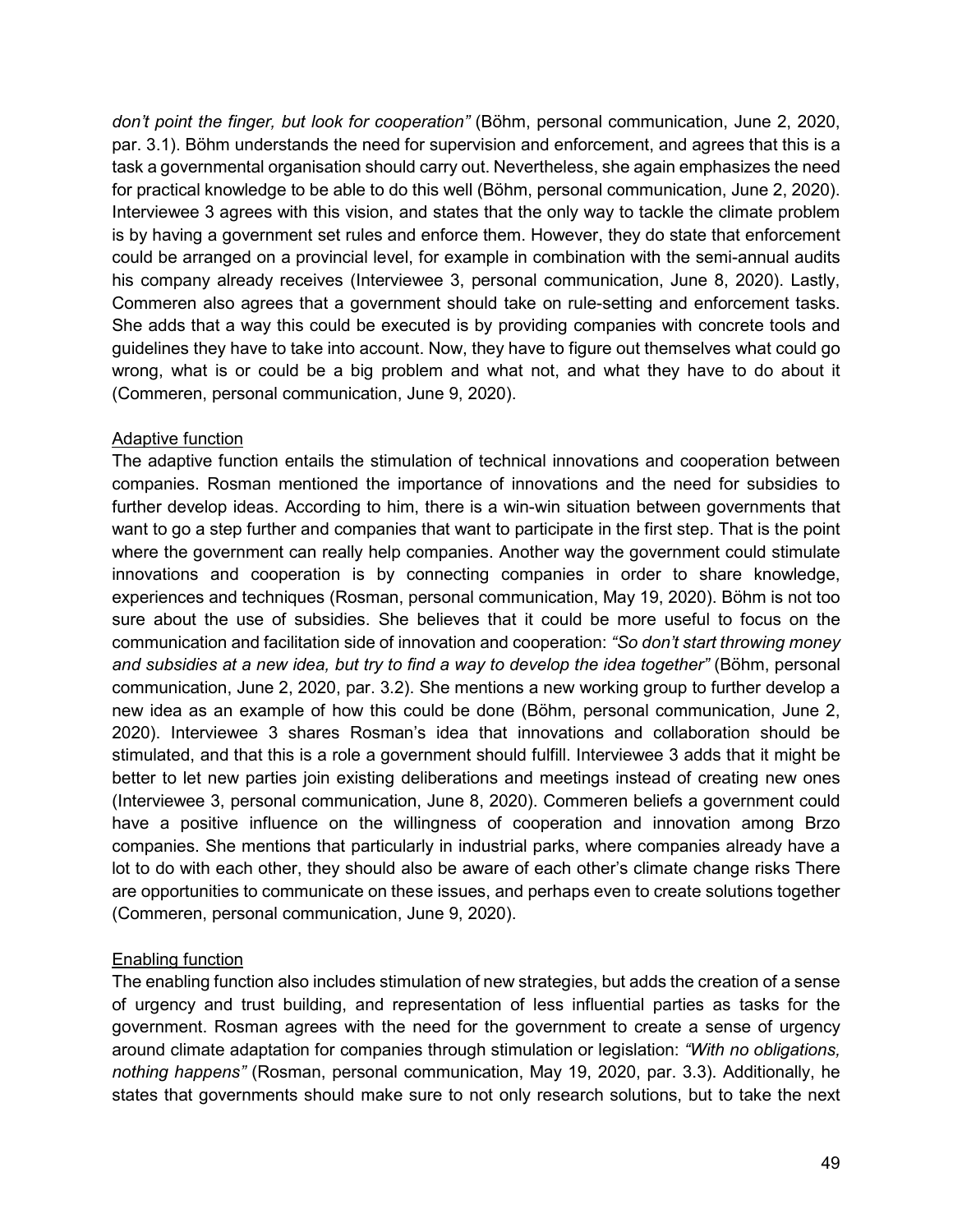*don't point the finger, but look for cooperation"* (Böhm, personal communication, June 2, 2020, par. 3.1). Böhm understands the need for supervision and enforcement, and agrees that this is a task a governmental organisation should carry out. Nevertheless, she again emphasizes the need for practical knowledge to be able to do this well (Böhm, personal communication, June 2, 2020). Interviewee 3 agrees with this vision, and states that the only way to tackle the climate problem is by having a government set rules and enforce them. However, they do state that enforcement could be arranged on a provincial level, for example in combination with the semi-annual audits his company already receives (Interviewee 3, personal communication, June 8, 2020). Lastly, Commeren also agrees that a government should take on rule-setting and enforcement tasks. She adds that a way this could be executed is by providing companies with concrete tools and guidelines they have to take into account. Now, they have to figure out themselves what could go wrong, what is or could be a big problem and what not, and what they have to do about it (Commeren, personal communication, June 9, 2020).

### Adaptive function

The adaptive function entails the stimulation of technical innovations and cooperation between companies. Rosman mentioned the importance of innovations and the need for subsidies to further develop ideas. According to him, there is a win-win situation between governments that want to go a step further and companies that want to participate in the first step. That is the point where the government can really help companies. Another way the government could stimulate innovations and cooperation is by connecting companies in order to share knowledge, experiences and techniques (Rosman, personal communication, May 19, 2020). Böhm is not too sure about the use of subsidies. She believes that it could be more useful to focus on the communication and facilitation side of innovation and cooperation: *"So don't start throwing money and subsidies at a new idea, but try to find a way to develop the idea together"* (Böhm, personal communication, June 2, 2020, par. 3.2). She mentions a new working group to further develop a new idea as an example of how this could be done (Böhm, personal communication, June 2, 2020). Interviewee 3 shares Rosman's idea that innovations and collaboration should be stimulated, and that this is a role a government should fulfill. Interviewee 3 adds that it might be better to let new parties join existing deliberations and meetings instead of creating new ones (Interviewee 3, personal communication, June 8, 2020). Commeren beliefs a government could have a positive influence on the willingness of cooperation and innovation among Brzo companies. She mentions that particularly in industrial parks, where companies already have a lot to do with each other, they should also be aware of each other's climate change risks There are opportunities to communicate on these issues, and perhaps even to create solutions together (Commeren, personal communication, June 9, 2020).

# Enabling function

The enabling function also includes stimulation of new strategies, but adds the creation of a sense of urgency and trust building, and representation of less influential parties as tasks for the government. Rosman agrees with the need for the government to create a sense of urgency around climate adaptation for companies through stimulation or legislation: *"With no obligations, nothing happens"* (Rosman, personal communication, May 19, 2020, par. 3.3). Additionally, he states that governments should make sure to not only research solutions, but to take the next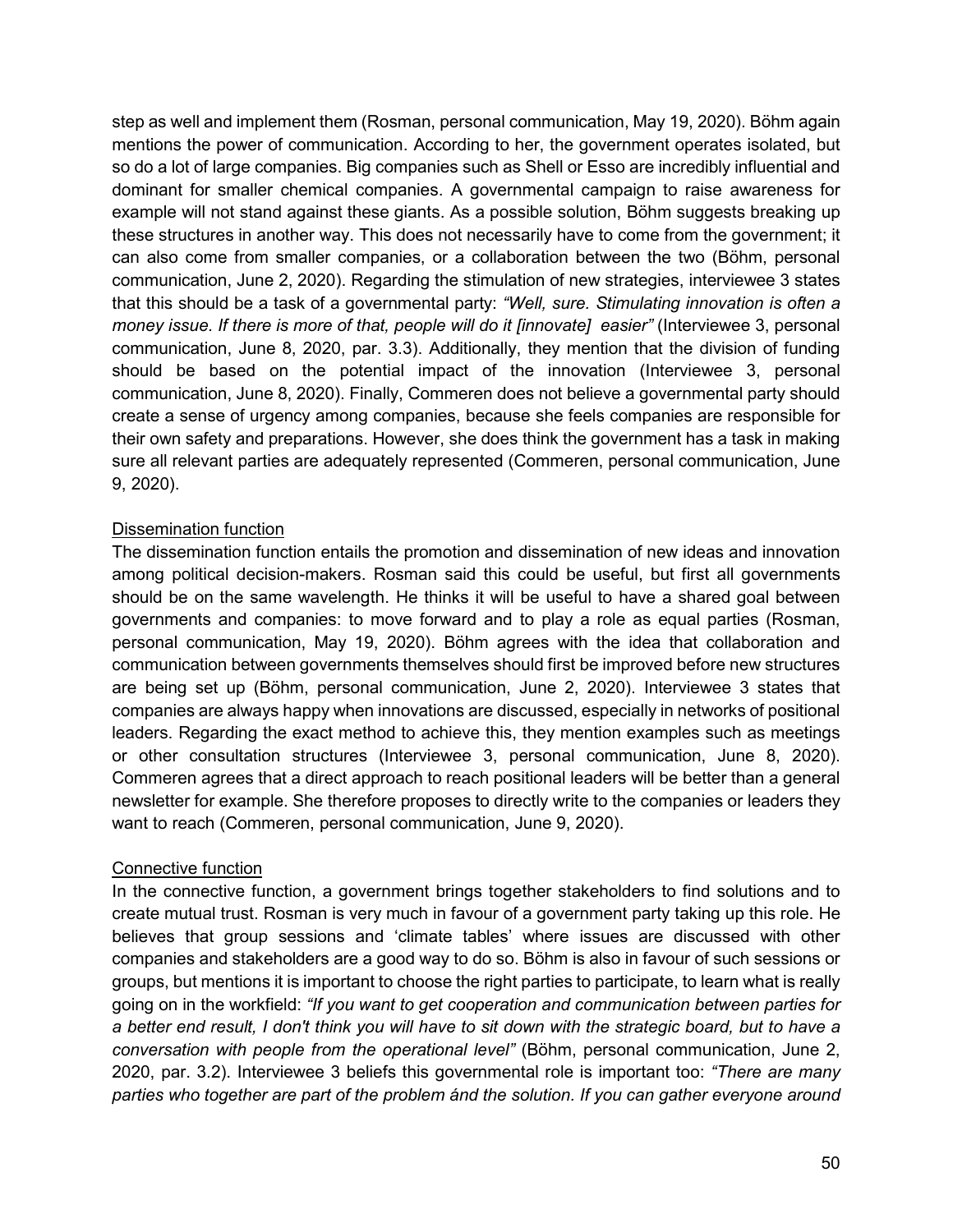step as well and implement them (Rosman, personal communication, May 19, 2020). Böhm again mentions the power of communication. According to her, the government operates isolated, but so do a lot of large companies. Big companies such as Shell or Esso are incredibly influential and dominant for smaller chemical companies. A governmental campaign to raise awareness for example will not stand against these giants. As a possible solution, Böhm suggests breaking up these structures in another way. This does not necessarily have to come from the government; it can also come from smaller companies, or a collaboration between the two (Böhm, personal communication, June 2, 2020). Regarding the stimulation of new strategies, interviewee 3 states that this should be a task of a governmental party: *"Well, sure. Stimulating innovation is often a money issue. If there is more of that, people will do it [innovate] easier"* (Interviewee 3, personal communication, June 8, 2020, par. 3.3). Additionally, they mention that the division of funding should be based on the potential impact of the innovation (Interviewee 3, personal communication, June 8, 2020). Finally, Commeren does not believe a governmental party should create a sense of urgency among companies, because she feels companies are responsible for their own safety and preparations. However, she does think the government has a task in making sure all relevant parties are adequately represented (Commeren, personal communication, June 9, 2020).

### Dissemination function

The dissemination function entails the promotion and dissemination of new ideas and innovation among political decision-makers. Rosman said this could be useful, but first all governments should be on the same wavelength. He thinks it will be useful to have a shared goal between governments and companies: to move forward and to play a role as equal parties (Rosman, personal communication, May 19, 2020). Böhm agrees with the idea that collaboration and communication between governments themselves should first be improved before new structures are being set up (Böhm, personal communication, June 2, 2020). Interviewee 3 states that companies are always happy when innovations are discussed, especially in networks of positional leaders. Regarding the exact method to achieve this, they mention examples such as meetings or other consultation structures (Interviewee 3, personal communication, June 8, 2020). Commeren agrees that a direct approach to reach positional leaders will be better than a general newsletter for example. She therefore proposes to directly write to the companies or leaders they want to reach (Commeren, personal communication, June 9, 2020).

### Connective function

In the connective function, a government brings together stakeholders to find solutions and to create mutual trust. Rosman is very much in favour of a government party taking up this role. He believes that group sessions and 'climate tables' where issues are discussed with other companies and stakeholders are a good way to do so. Böhm is also in favour of such sessions or groups, but mentions it is important to choose the right parties to participate, to learn what is really going on in the workfield: *"If you want to get cooperation and communication between parties for a better end result, I don't think you will have to sit down with the strategic board, but to have a conversation with people from the operational level"* (Böhm, personal communication, June 2, 2020, par. 3.2). Interviewee 3 beliefs this governmental role is important too: *"There are many parties who together are part of the problem ánd the solution. If you can gather everyone around*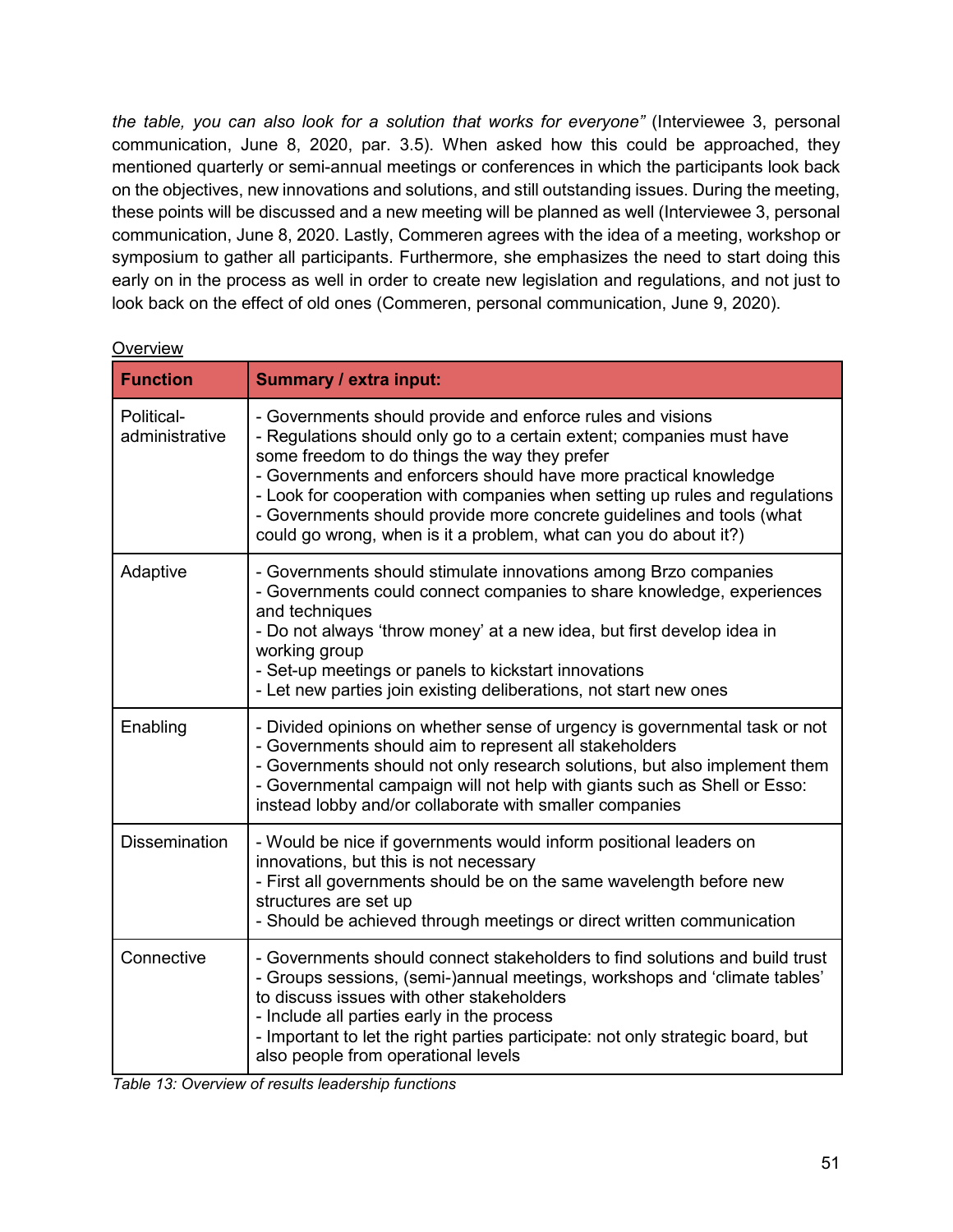*the table, you can also look for a solution that works for everyone"* (Interviewee 3, personal communication, June 8, 2020, par. 3.5). When asked how this could be approached, they mentioned quarterly or semi-annual meetings or conferences in which the participants look back on the objectives, new innovations and solutions, and still outstanding issues. During the meeting, these points will be discussed and a new meeting will be planned as well (Interviewee 3, personal communication, June 8, 2020. Lastly, Commeren agrees with the idea of a meeting, workshop or symposium to gather all participants. Furthermore, she emphasizes the need to start doing this early on in the process as well in order to create new legislation and regulations, and not just to look back on the effect of old ones (Commeren, personal communication, June 9, 2020).

| <b>Function</b>              | Summary / extra input:                                                                                                                                                                                                                                                                                                                                                                                                                                                               |
|------------------------------|--------------------------------------------------------------------------------------------------------------------------------------------------------------------------------------------------------------------------------------------------------------------------------------------------------------------------------------------------------------------------------------------------------------------------------------------------------------------------------------|
| Political-<br>administrative | - Governments should provide and enforce rules and visions<br>- Regulations should only go to a certain extent; companies must have<br>some freedom to do things the way they prefer<br>- Governments and enforcers should have more practical knowledge<br>- Look for cooperation with companies when setting up rules and regulations<br>- Governments should provide more concrete guidelines and tools (what<br>could go wrong, when is it a problem, what can you do about it?) |
| Adaptive                     | - Governments should stimulate innovations among Brzo companies<br>- Governments could connect companies to share knowledge, experiences<br>and techniques<br>- Do not always 'throw money' at a new idea, but first develop idea in<br>working group<br>- Set-up meetings or panels to kickstart innovations<br>- Let new parties join existing deliberations, not start new ones                                                                                                   |
| Enabling                     | - Divided opinions on whether sense of urgency is governmental task or not<br>- Governments should aim to represent all stakeholders<br>- Governments should not only research solutions, but also implement them<br>- Governmental campaign will not help with giants such as Shell or Esso:<br>instead lobby and/or collaborate with smaller companies                                                                                                                             |
| <b>Dissemination</b>         | - Would be nice if governments would inform positional leaders on<br>innovations, but this is not necessary<br>- First all governments should be on the same wavelength before new<br>structures are set up<br>- Should be achieved through meetings or direct written communication                                                                                                                                                                                                 |
| Connective                   | - Governments should connect stakeholders to find solutions and build trust<br>- Groups sessions, (semi-)annual meetings, workshops and 'climate tables'<br>to discuss issues with other stakeholders<br>- Include all parties early in the process<br>- Important to let the right parties participate: not only strategic board, but<br>also people from operational levels                                                                                                        |

### **Overview**

|  | Table 13: Overview of results leadership functions |
|--|----------------------------------------------------|
|--|----------------------------------------------------|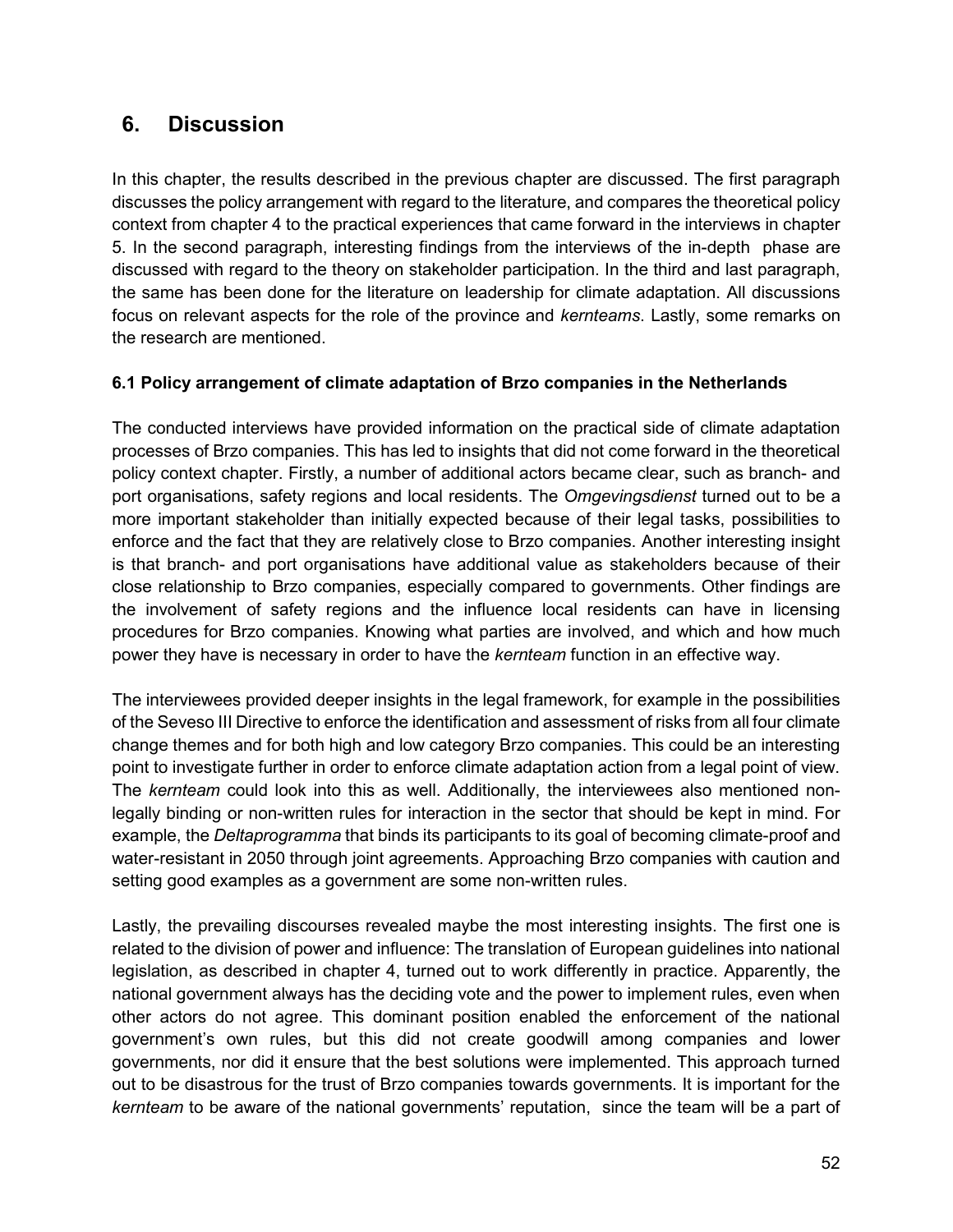# **6. Discussion**

In this chapter, the results described in the previous chapter are discussed. The first paragraph discusses the policy arrangement with regard to the literature, and compares the theoretical policy context from chapter 4 to the practical experiences that came forward in the interviews in chapter 5. In the second paragraph, interesting findings from the interviews of the in-depth phase are discussed with regard to the theory on stakeholder participation. In the third and last paragraph, the same has been done for the literature on leadership for climate adaptation. All discussions focus on relevant aspects for the role of the province and *kernteams*. Lastly, some remarks on the research are mentioned.

# **6.1 Policy arrangement of climate adaptation of Brzo companies in the Netherlands**

The conducted interviews have provided information on the practical side of climate adaptation processes of Brzo companies. This has led to insights that did not come forward in the theoretical policy context chapter. Firstly, a number of additional actors became clear, such as branch- and port organisations, safety regions and local residents. The *Omgevingsdienst* turned out to be a more important stakeholder than initially expected because of their legal tasks, possibilities to enforce and the fact that they are relatively close to Brzo companies. Another interesting insight is that branch- and port organisations have additional value as stakeholders because of their close relationship to Brzo companies, especially compared to governments. Other findings are the involvement of safety regions and the influence local residents can have in licensing procedures for Brzo companies. Knowing what parties are involved, and which and how much power they have is necessary in order to have the *kernteam* function in an effective way.

The interviewees provided deeper insights in the legal framework, for example in the possibilities of the Seveso III Directive to enforce the identification and assessment of risks from all four climate change themes and for both high and low category Brzo companies. This could be an interesting point to investigate further in order to enforce climate adaptation action from a legal point of view. The *kernteam* could look into this as well. Additionally, the interviewees also mentioned nonlegally binding or non-written rules for interaction in the sector that should be kept in mind. For example, the *Deltaprogramma* that binds its participants to its goal of becoming climate-proof and water-resistant in 2050 through joint agreements. Approaching Brzo companies with caution and setting good examples as a government are some non-written rules.

Lastly, the prevailing discourses revealed maybe the most interesting insights. The first one is related to the division of power and influence: The translation of European guidelines into national legislation, as described in chapter 4, turned out to work differently in practice. Apparently, the national government always has the deciding vote and the power to implement rules, even when other actors do not agree. This dominant position enabled the enforcement of the national government's own rules, but this did not create goodwill among companies and lower governments, nor did it ensure that the best solutions were implemented. This approach turned out to be disastrous for the trust of Brzo companies towards governments. It is important for the *kernteam* to be aware of the national governments' reputation, since the team will be a part of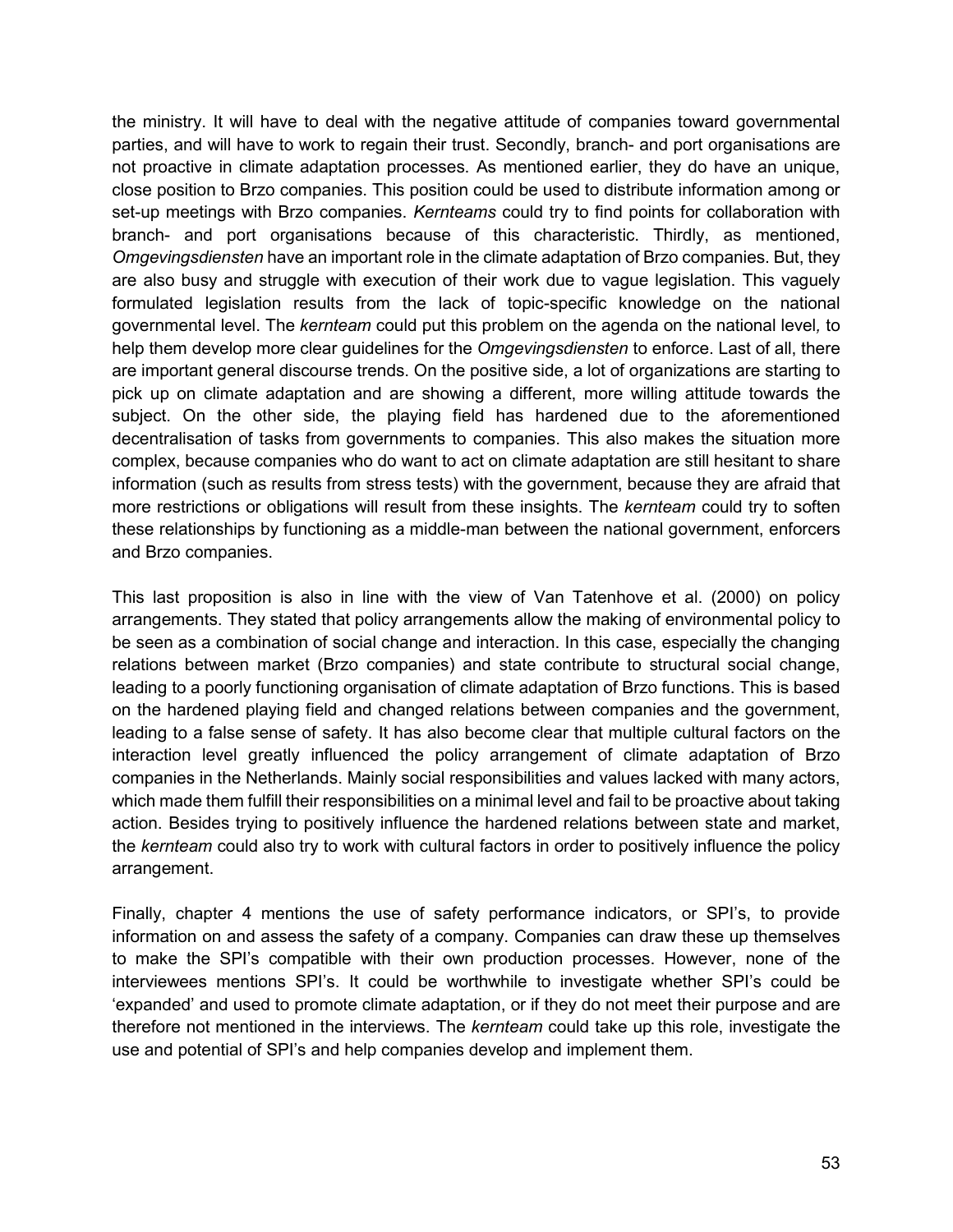the ministry. It will have to deal with the negative attitude of companies toward governmental parties, and will have to work to regain their trust. Secondly, branch- and port organisations are not proactive in climate adaptation processes. As mentioned earlier, they do have an unique, close position to Brzo companies. This position could be used to distribute information among or set-up meetings with Brzo companies. *Kernteams* could try to find points for collaboration with branch- and port organisations because of this characteristic. Thirdly, as mentioned, *Omgevingsdiensten* have an important role in the climate adaptation of Brzo companies. But, they are also busy and struggle with execution of their work due to vague legislation. This vaguely formulated legislation results from the lack of topic-specific knowledge on the national governmental level. The *kernteam* could put this problem on the agenda on the national level*,* to help them develop more clear guidelines for the *Omgevingsdiensten* to enforce. Last of all, there are important general discourse trends. On the positive side, a lot of organizations are starting to pick up on climate adaptation and are showing a different, more willing attitude towards the subject. On the other side, the playing field has hardened due to the aforementioned decentralisation of tasks from governments to companies. This also makes the situation more complex, because companies who do want to act on climate adaptation are still hesitant to share information (such as results from stress tests) with the government, because they are afraid that more restrictions or obligations will result from these insights. The *kernteam* could try to soften these relationships by functioning as a middle-man between the national government, enforcers and Brzo companies.

This last proposition is also in line with the view of Van Tatenhove et al. (2000) on policy arrangements. They stated that policy arrangements allow the making of environmental policy to be seen as a combination of social change and interaction. In this case, especially the changing relations between market (Brzo companies) and state contribute to structural social change, leading to a poorly functioning organisation of climate adaptation of Brzo functions. This is based on the hardened playing field and changed relations between companies and the government, leading to a false sense of safety. It has also become clear that multiple cultural factors on the interaction level greatly influenced the policy arrangement of climate adaptation of Brzo companies in the Netherlands. Mainly social responsibilities and values lacked with many actors, which made them fulfill their responsibilities on a minimal level and fail to be proactive about taking action. Besides trying to positively influence the hardened relations between state and market, the *kernteam* could also try to work with cultural factors in order to positively influence the policy arrangement.

Finally, chapter 4 mentions the use of safety performance indicators, or SPI's, to provide information on and assess the safety of a company. Companies can draw these up themselves to make the SPI's compatible with their own production processes. However, none of the interviewees mentions SPI's. It could be worthwhile to investigate whether SPI's could be 'expanded' and used to promote climate adaptation, or if they do not meet their purpose and are therefore not mentioned in the interviews. The *kernteam* could take up this role, investigate the use and potential of SPI's and help companies develop and implement them.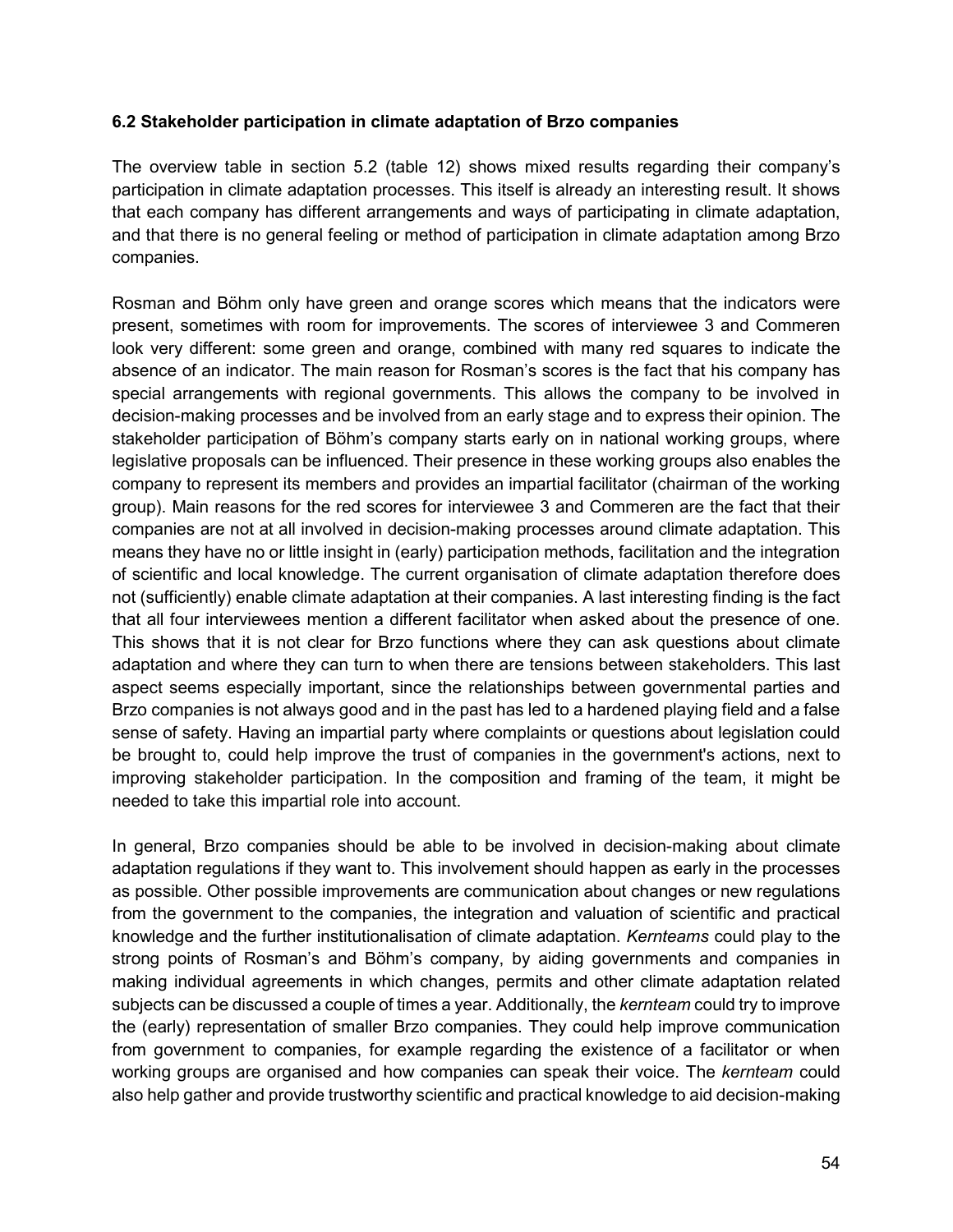### **6.2 Stakeholder participation in climate adaptation of Brzo companies**

The overview table in section 5.2 (table 12) shows mixed results regarding their company's participation in climate adaptation processes. This itself is already an interesting result. It shows that each company has different arrangements and ways of participating in climate adaptation, and that there is no general feeling or method of participation in climate adaptation among Brzo companies.

Rosman and Böhm only have green and orange scores which means that the indicators were present, sometimes with room for improvements. The scores of interviewee 3 and Commeren look very different: some green and orange, combined with many red squares to indicate the absence of an indicator. The main reason for Rosman's scores is the fact that his company has special arrangements with regional governments. This allows the company to be involved in decision-making processes and be involved from an early stage and to express their opinion. The stakeholder participation of Böhm's company starts early on in national working groups, where legislative proposals can be influenced. Their presence in these working groups also enables the company to represent its members and provides an impartial facilitator (chairman of the working group). Main reasons for the red scores for interviewee 3 and Commeren are the fact that their companies are not at all involved in decision-making processes around climate adaptation. This means they have no or little insight in (early) participation methods, facilitation and the integration of scientific and local knowledge. The current organisation of climate adaptation therefore does not (sufficiently) enable climate adaptation at their companies. A last interesting finding is the fact that all four interviewees mention a different facilitator when asked about the presence of one. This shows that it is not clear for Brzo functions where they can ask questions about climate adaptation and where they can turn to when there are tensions between stakeholders. This last aspect seems especially important, since the relationships between governmental parties and Brzo companies is not always good and in the past has led to a hardened playing field and a false sense of safety. Having an impartial party where complaints or questions about legislation could be brought to, could help improve the trust of companies in the government's actions, next to improving stakeholder participation. In the composition and framing of the team, it might be needed to take this impartial role into account.

In general, Brzo companies should be able to be involved in decision-making about climate adaptation regulations if they want to. This involvement should happen as early in the processes as possible. Other possible improvements are communication about changes or new regulations from the government to the companies, the integration and valuation of scientific and practical knowledge and the further institutionalisation of climate adaptation. *Kernteams* could play to the strong points of Rosman's and Böhm's company, by aiding governments and companies in making individual agreements in which changes, permits and other climate adaptation related subjects can be discussed a couple of times a year. Additionally, the *kernteam* could try to improve the (early) representation of smaller Brzo companies. They could help improve communication from government to companies, for example regarding the existence of a facilitator or when working groups are organised and how companies can speak their voice. The *kernteam* could also help gather and provide trustworthy scientific and practical knowledge to aid decision-making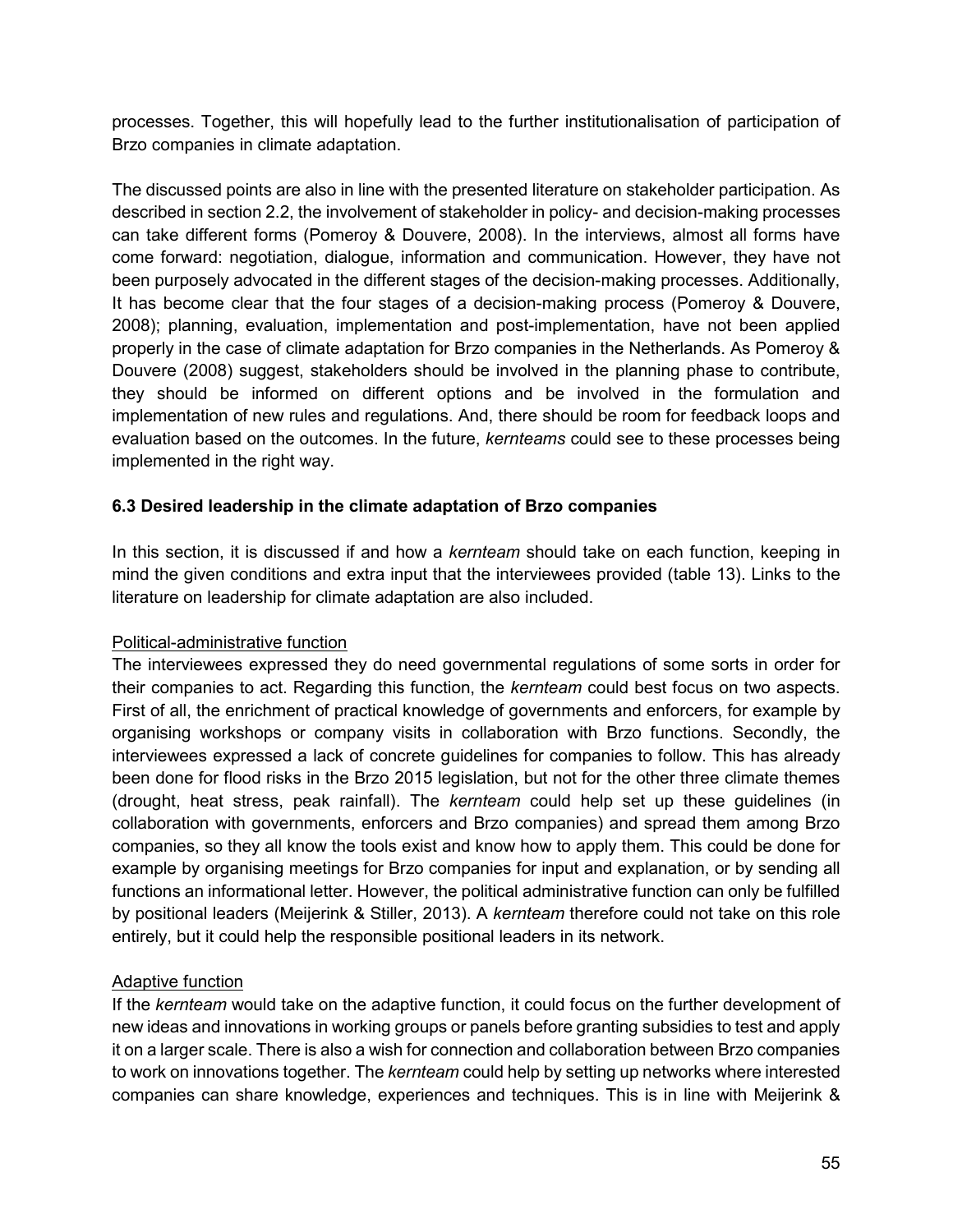processes. Together, this will hopefully lead to the further institutionalisation of participation of Brzo companies in climate adaptation.

The discussed points are also in line with the presented literature on stakeholder participation. As described in section 2.2, the involvement of stakeholder in policy- and decision-making processes can take different forms (Pomeroy & Douvere, 2008). In the interviews, almost all forms have come forward: negotiation, dialogue, information and communication. However, they have not been purposely advocated in the different stages of the decision-making processes. Additionally, It has become clear that the four stages of a decision-making process (Pomeroy & Douvere, 2008); planning, evaluation, implementation and post-implementation, have not been applied properly in the case of climate adaptation for Brzo companies in the Netherlands. As Pomeroy & Douvere (2008) suggest, stakeholders should be involved in the planning phase to contribute, they should be informed on different options and be involved in the formulation and implementation of new rules and regulations. And, there should be room for feedback loops and evaluation based on the outcomes. In the future, *kernteams* could see to these processes being implemented in the right way.

### **6.3 Desired leadership in the climate adaptation of Brzo companies**

In this section, it is discussed if and how a *kernteam* should take on each function, keeping in mind the given conditions and extra input that the interviewees provided (table 13). Links to the literature on leadership for climate adaptation are also included.

### Political-administrative function

The interviewees expressed they do need governmental regulations of some sorts in order for their companies to act. Regarding this function, the *kernteam* could best focus on two aspects. First of all, the enrichment of practical knowledge of governments and enforcers, for example by organising workshops or company visits in collaboration with Brzo functions. Secondly, the interviewees expressed a lack of concrete guidelines for companies to follow. This has already been done for flood risks in the Brzo 2015 legislation, but not for the other three climate themes (drought, heat stress, peak rainfall). The *kernteam* could help set up these guidelines (in collaboration with governments, enforcers and Brzo companies) and spread them among Brzo companies, so they all know the tools exist and know how to apply them. This could be done for example by organising meetings for Brzo companies for input and explanation, or by sending all functions an informational letter. However, the political administrative function can only be fulfilled by positional leaders (Meijerink & Stiller, 2013). A *kernteam* therefore could not take on this role entirely, but it could help the responsible positional leaders in its network.

### Adaptive function

If the *kernteam* would take on the adaptive function, it could focus on the further development of new ideas and innovations in working groups or panels before granting subsidies to test and apply it on a larger scale. There is also a wish for connection and collaboration between Brzo companies to work on innovations together. The *kernteam* could help by setting up networks where interested companies can share knowledge, experiences and techniques. This is in line with Meijerink &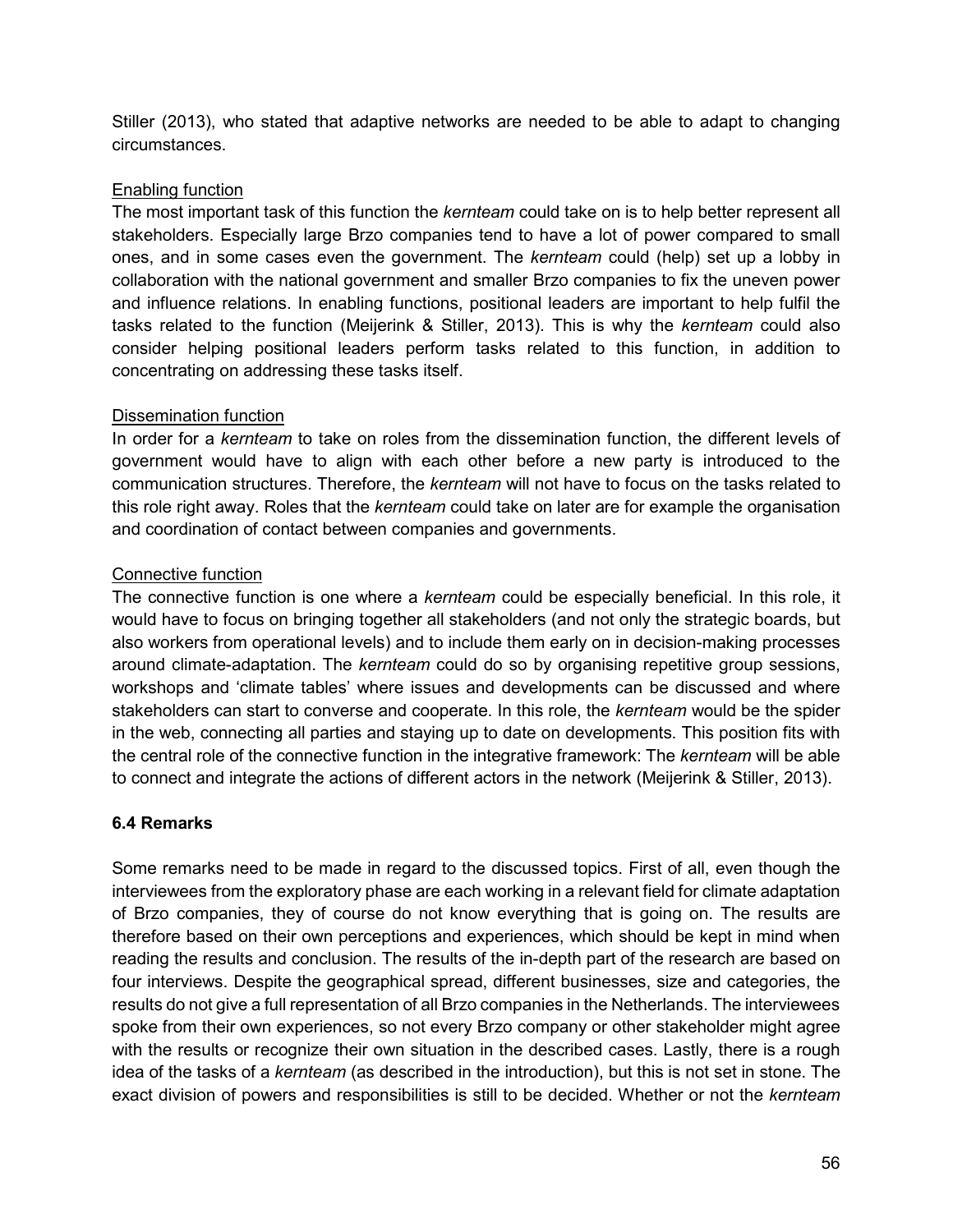Stiller (2013), who stated that adaptive networks are needed to be able to adapt to changing circumstances.

### Enabling function

The most important task of this function the *kernteam* could take on is to help better represent all stakeholders. Especially large Brzo companies tend to have a lot of power compared to small ones, and in some cases even the government. The *kernteam* could (help) set up a lobby in collaboration with the national government and smaller Brzo companies to fix the uneven power and influence relations. In enabling functions, positional leaders are important to help fulfil the tasks related to the function (Meijerink & Stiller, 2013). This is why the *kernteam* could also consider helping positional leaders perform tasks related to this function, in addition to concentrating on addressing these tasks itself.

### Dissemination function

In order for a *kernteam* to take on roles from the dissemination function, the different levels of government would have to align with each other before a new party is introduced to the communication structures. Therefore, the *kernteam* will not have to focus on the tasks related to this role right away. Roles that the *kernteam* could take on later are for example the organisation and coordination of contact between companies and governments.

### Connective function

The connective function is one where a *kernteam* could be especially beneficial. In this role, it would have to focus on bringing together all stakeholders (and not only the strategic boards, but also workers from operational levels) and to include them early on in decision-making processes around climate-adaptation. The *kernteam* could do so by organising repetitive group sessions, workshops and 'climate tables' where issues and developments can be discussed and where stakeholders can start to converse and cooperate. In this role, the *kernteam* would be the spider in the web, connecting all parties and staying up to date on developments. This position fits with the central role of the connective function in the integrative framework: The *kernteam* will be able to connect and integrate the actions of different actors in the network (Meijerink & Stiller, 2013).

# **6.4 Remarks**

Some remarks need to be made in regard to the discussed topics. First of all, even though the interviewees from the exploratory phase are each working in a relevant field for climate adaptation of Brzo companies, they of course do not know everything that is going on. The results are therefore based on their own perceptions and experiences, which should be kept in mind when reading the results and conclusion. The results of the in-depth part of the research are based on four interviews. Despite the geographical spread, different businesses, size and categories, the results do not give a full representation of all Brzo companies in the Netherlands. The interviewees spoke from their own experiences, so not every Brzo company or other stakeholder might agree with the results or recognize their own situation in the described cases. Lastly, there is a rough idea of the tasks of a *kernteam* (as described in the introduction), but this is not set in stone. The exact division of powers and responsibilities is still to be decided. Whether or not the *kernteam*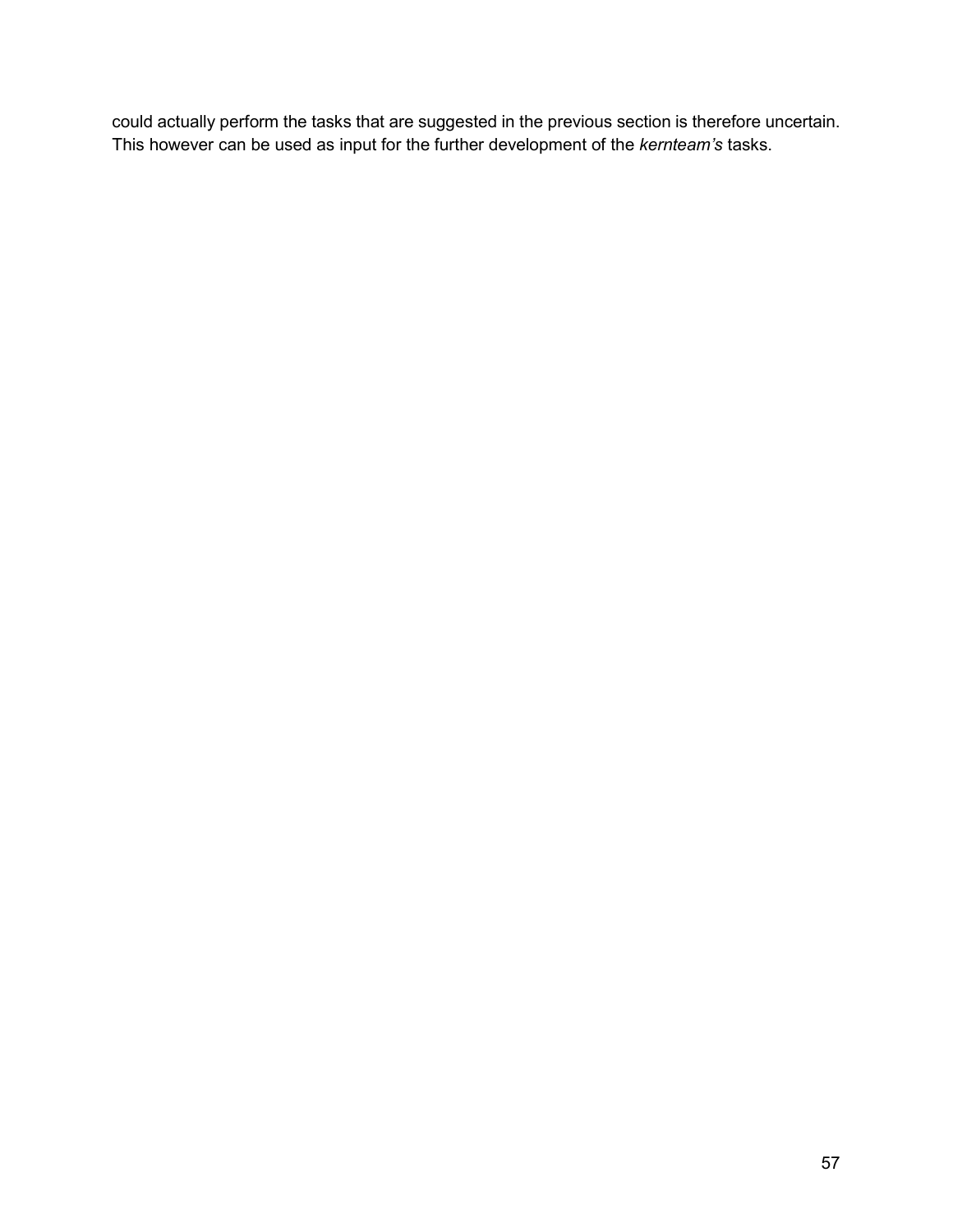could actually perform the tasks that are suggested in the previous section is therefore uncertain. This however can be used as input for the further development of the *kernteam's* tasks.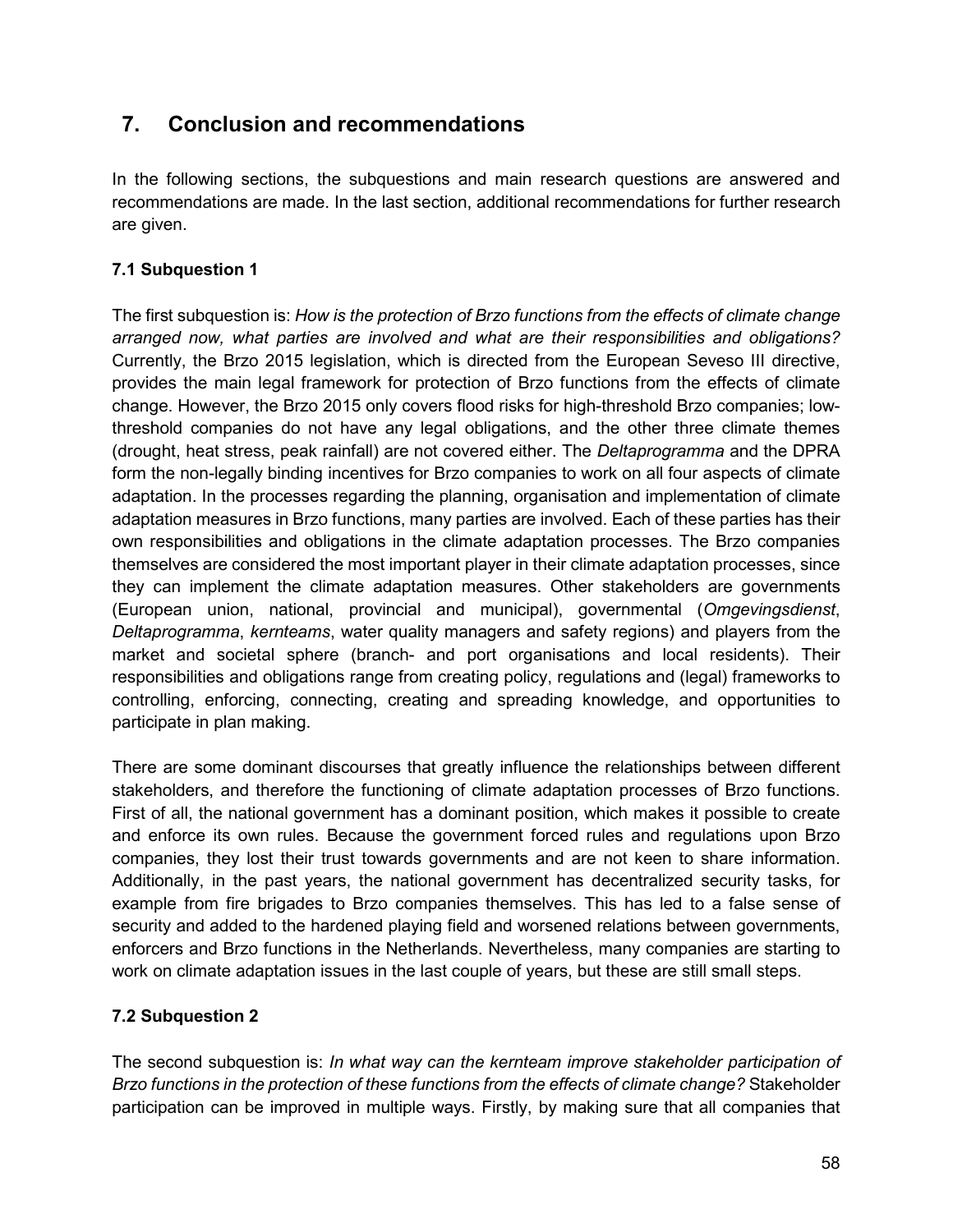# **7. Conclusion and recommendations**

In the following sections, the subquestions and main research questions are answered and recommendations are made. In the last section, additional recommendations for further research are given.

# **7.1 Subquestion 1**

The first subquestion is: *How is the protection of Brzo functions from the effects of climate change arranged now, what parties are involved and what are their responsibilities and obligations?*  Currently, the Brzo 2015 legislation, which is directed from the European Seveso III directive, provides the main legal framework for protection of Brzo functions from the effects of climate change. However, the Brzo 2015 only covers flood risks for high-threshold Brzo companies; lowthreshold companies do not have any legal obligations, and the other three climate themes (drought, heat stress, peak rainfall) are not covered either. The *Deltaprogramma* and the DPRA form the non-legally binding incentives for Brzo companies to work on all four aspects of climate adaptation. In the processes regarding the planning, organisation and implementation of climate adaptation measures in Brzo functions, many parties are involved. Each of these parties has their own responsibilities and obligations in the climate adaptation processes. The Brzo companies themselves are considered the most important player in their climate adaptation processes, since they can implement the climate adaptation measures. Other stakeholders are governments (European union, national, provincial and municipal), governmental (*Omgevingsdienst*, *Deltaprogramma*, *kernteams*, water quality managers and safety regions) and players from the market and societal sphere (branch- and port organisations and local residents). Their responsibilities and obligations range from creating policy, regulations and (legal) frameworks to controlling, enforcing, connecting, creating and spreading knowledge, and opportunities to participate in plan making.

There are some dominant discourses that greatly influence the relationships between different stakeholders, and therefore the functioning of climate adaptation processes of Brzo functions. First of all, the national government has a dominant position, which makes it possible to create and enforce its own rules. Because the government forced rules and regulations upon Brzo companies, they lost their trust towards governments and are not keen to share information. Additionally, in the past years, the national government has decentralized security tasks, for example from fire brigades to Brzo companies themselves. This has led to a false sense of security and added to the hardened playing field and worsened relations between governments, enforcers and Brzo functions in the Netherlands. Nevertheless, many companies are starting to work on climate adaptation issues in the last couple of years, but these are still small steps.

# **7.2 Subquestion 2**

The second subquestion is: *In what way can the kernteam improve stakeholder participation of Brzo functions in the protection of these functions from the effects of climate change?* Stakeholder participation can be improved in multiple ways. Firstly, by making sure that all companies that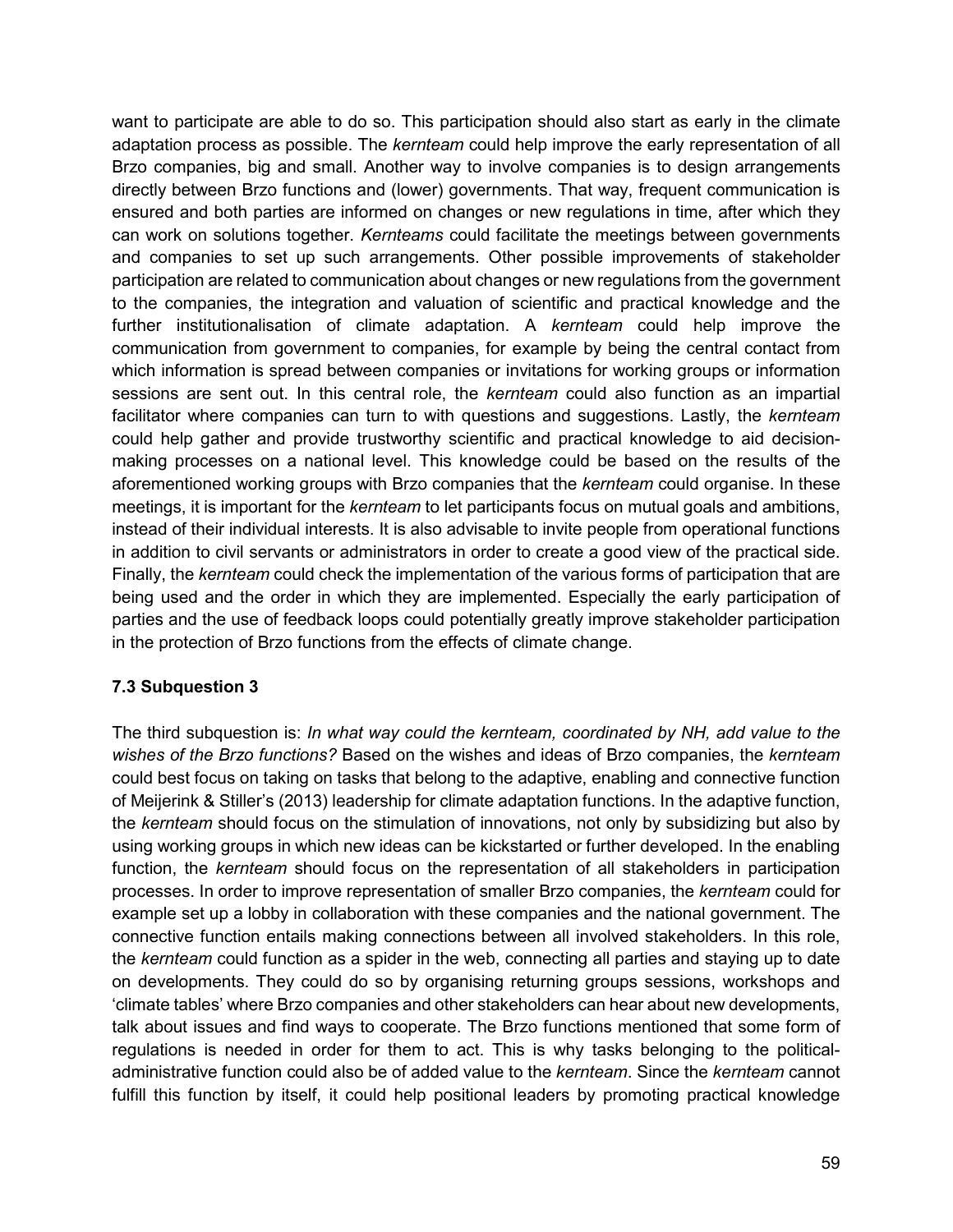want to participate are able to do so. This participation should also start as early in the climate adaptation process as possible. The *kernteam* could help improve the early representation of all Brzo companies, big and small. Another way to involve companies is to design arrangements directly between Brzo functions and (lower) governments. That way, frequent communication is ensured and both parties are informed on changes or new regulations in time, after which they can work on solutions together. *Kernteams* could facilitate the meetings between governments and companies to set up such arrangements. Other possible improvements of stakeholder participation are related to communication about changes or new regulations from the government to the companies, the integration and valuation of scientific and practical knowledge and the further institutionalisation of climate adaptation. A *kernteam* could help improve the communication from government to companies, for example by being the central contact from which information is spread between companies or invitations for working groups or information sessions are sent out. In this central role, the *kernteam* could also function as an impartial facilitator where companies can turn to with questions and suggestions. Lastly, the *kernteam*  could help gather and provide trustworthy scientific and practical knowledge to aid decisionmaking processes on a national level. This knowledge could be based on the results of the aforementioned working groups with Brzo companies that the *kernteam* could organise. In these meetings, it is important for the *kernteam* to let participants focus on mutual goals and ambitions, instead of their individual interests. It is also advisable to invite people from operational functions in addition to civil servants or administrators in order to create a good view of the practical side. Finally, the *kernteam* could check the implementation of the various forms of participation that are being used and the order in which they are implemented. Especially the early participation of parties and the use of feedback loops could potentially greatly improve stakeholder participation in the protection of Brzo functions from the effects of climate change.

### **7.3 Subquestion 3**

The third subquestion is: *In what way could the kernteam, coordinated by NH, add value to the wishes of the Brzo functions?* Based on the wishes and ideas of Brzo companies, the *kernteam*  could best focus on taking on tasks that belong to the adaptive, enabling and connective function of Meijerink & Stiller's (2013) leadership for climate adaptation functions. In the adaptive function, the *kernteam* should focus on the stimulation of innovations, not only by subsidizing but also by using working groups in which new ideas can be kickstarted or further developed. In the enabling function, the *kernteam* should focus on the representation of all stakeholders in participation processes. In order to improve representation of smaller Brzo companies, the *kernteam* could for example set up a lobby in collaboration with these companies and the national government. The connective function entails making connections between all involved stakeholders. In this role, the *kernteam* could function as a spider in the web, connecting all parties and staying up to date on developments. They could do so by organising returning groups sessions, workshops and 'climate tables' where Brzo companies and other stakeholders can hear about new developments, talk about issues and find ways to cooperate. The Brzo functions mentioned that some form of regulations is needed in order for them to act. This is why tasks belonging to the politicaladministrative function could also be of added value to the *kernteam*. Since the *kernteam* cannot fulfill this function by itself, it could help positional leaders by promoting practical knowledge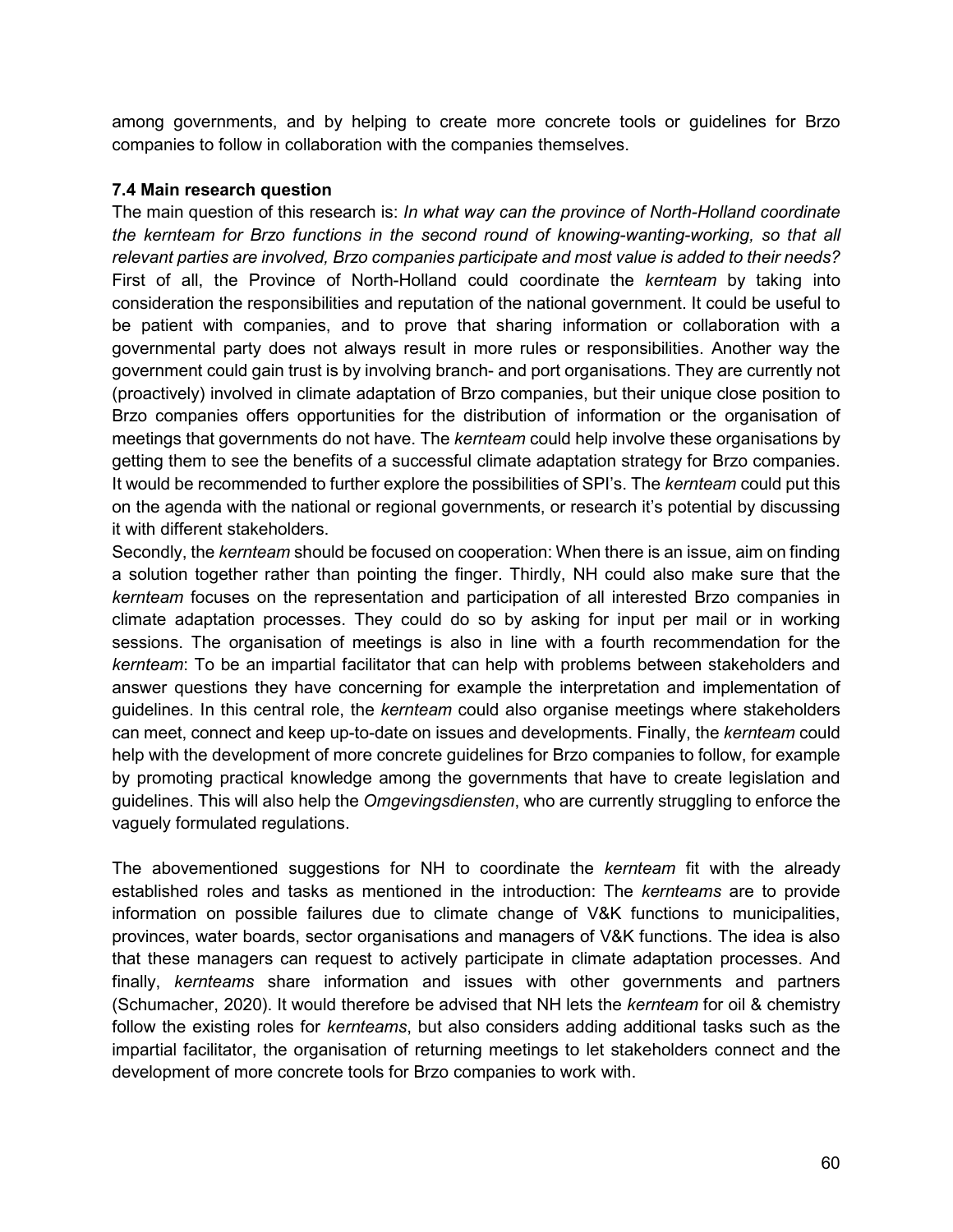among governments, and by helping to create more concrete tools or guidelines for Brzo companies to follow in collaboration with the companies themselves.

### **7.4 Main research question**

The main question of this research is: *In what way can the province of North-Holland coordinate the kernteam for Brzo functions in the second round of knowing-wanting-working, so that all relevant parties are involved, Brzo companies participate and most value is added to their needs?*  First of all, the Province of North-Holland could coordinate the *kernteam* by taking into consideration the responsibilities and reputation of the national government. It could be useful to be patient with companies, and to prove that sharing information or collaboration with a governmental party does not always result in more rules or responsibilities. Another way the government could gain trust is by involving branch- and port organisations. They are currently not (proactively) involved in climate adaptation of Brzo companies, but their unique close position to Brzo companies offers opportunities for the distribution of information or the organisation of meetings that governments do not have. The *kernteam* could help involve these organisations by getting them to see the benefits of a successful climate adaptation strategy for Brzo companies. It would be recommended to further explore the possibilities of SPI's. The *kernteam* could put this on the agenda with the national or regional governments, or research it's potential by discussing it with different stakeholders.

Secondly, the *kernteam* should be focused on cooperation: When there is an issue, aim on finding a solution together rather than pointing the finger. Thirdly, NH could also make sure that the *kernteam* focuses on the representation and participation of all interested Brzo companies in climate adaptation processes. They could do so by asking for input per mail or in working sessions. The organisation of meetings is also in line with a fourth recommendation for the *kernteam*: To be an impartial facilitator that can help with problems between stakeholders and answer questions they have concerning for example the interpretation and implementation of guidelines. In this central role, the *kernteam* could also organise meetings where stakeholders can meet, connect and keep up-to-date on issues and developments. Finally, the *kernteam* could help with the development of more concrete guidelines for Brzo companies to follow, for example by promoting practical knowledge among the governments that have to create legislation and guidelines. This will also help the *Omgevingsdiensten*, who are currently struggling to enforce the vaguely formulated regulations.

The abovementioned suggestions for NH to coordinate the *kernteam* fit with the already established roles and tasks as mentioned in the introduction: The *kernteams* are to provide information on possible failures due to climate change of V&K functions to municipalities, provinces, water boards, sector organisations and managers of V&K functions. The idea is also that these managers can request to actively participate in climate adaptation processes. And finally, *kernteams* share information and issues with other governments and partners (Schumacher, 2020). It would therefore be advised that NH lets the *kernteam* for oil & chemistry follow the existing roles for *kernteams*, but also considers adding additional tasks such as the impartial facilitator, the organisation of returning meetings to let stakeholders connect and the development of more concrete tools for Brzo companies to work with.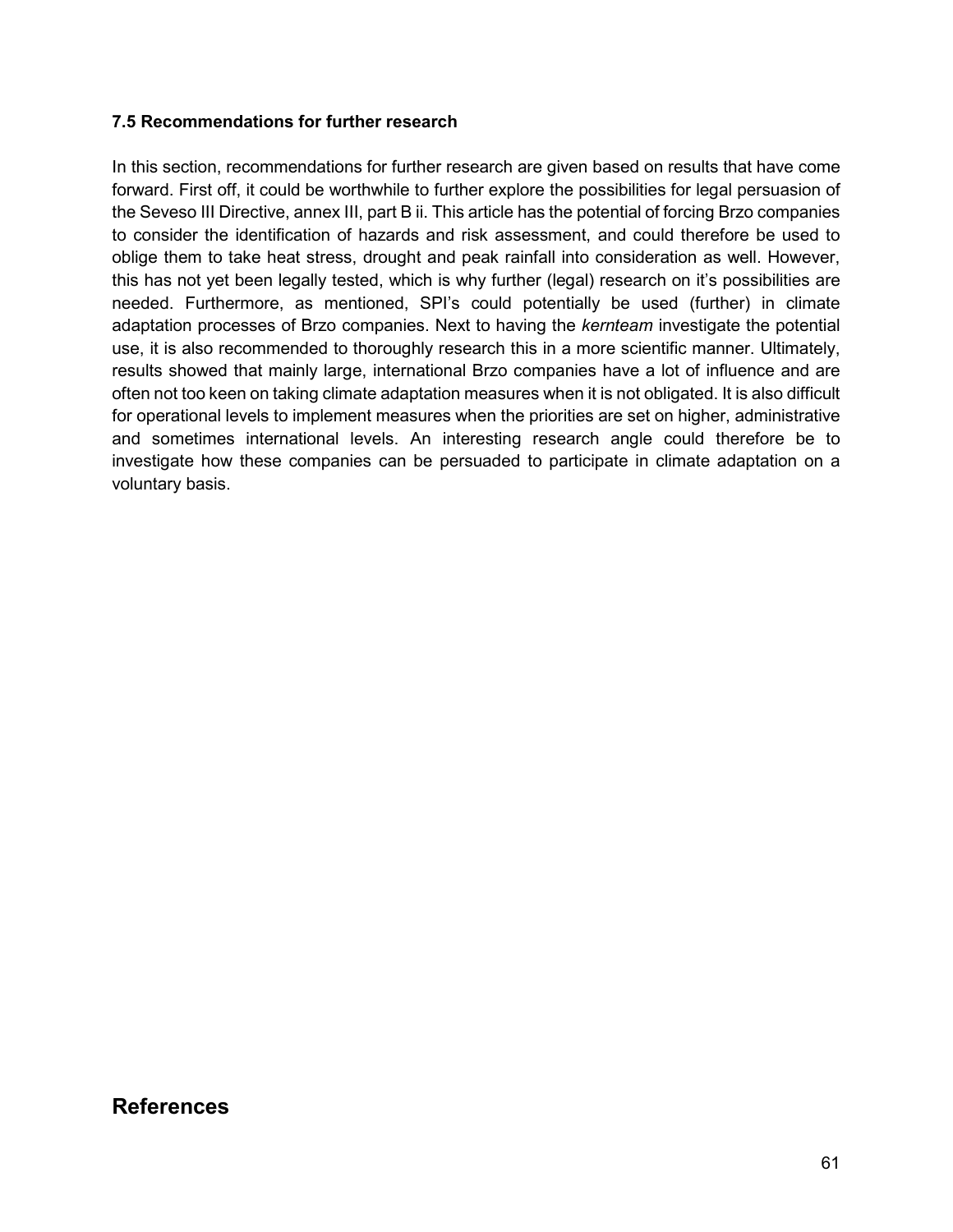### **7.5 Recommendations for further research**

In this section, recommendations for further research are given based on results that have come forward. First off, it could be worthwhile to further explore the possibilities for legal persuasion of the Seveso III Directive, annex III, part B ii. This article has the potential of forcing Brzo companies to consider the identification of hazards and risk assessment, and could therefore be used to oblige them to take heat stress, drought and peak rainfall into consideration as well. However, this has not yet been legally tested, which is why further (legal) research on it's possibilities are needed. Furthermore, as mentioned, SPI's could potentially be used (further) in climate adaptation processes of Brzo companies. Next to having the *kernteam* investigate the potential use, it is also recommended to thoroughly research this in a more scientific manner. Ultimately, results showed that mainly large, international Brzo companies have a lot of influence and are often not too keen on taking climate adaptation measures when it is not obligated. It is also difficult for operational levels to implement measures when the priorities are set on higher, administrative and sometimes international levels. An interesting research angle could therefore be to investigate how these companies can be persuaded to participate in climate adaptation on a voluntary basis.

# **References**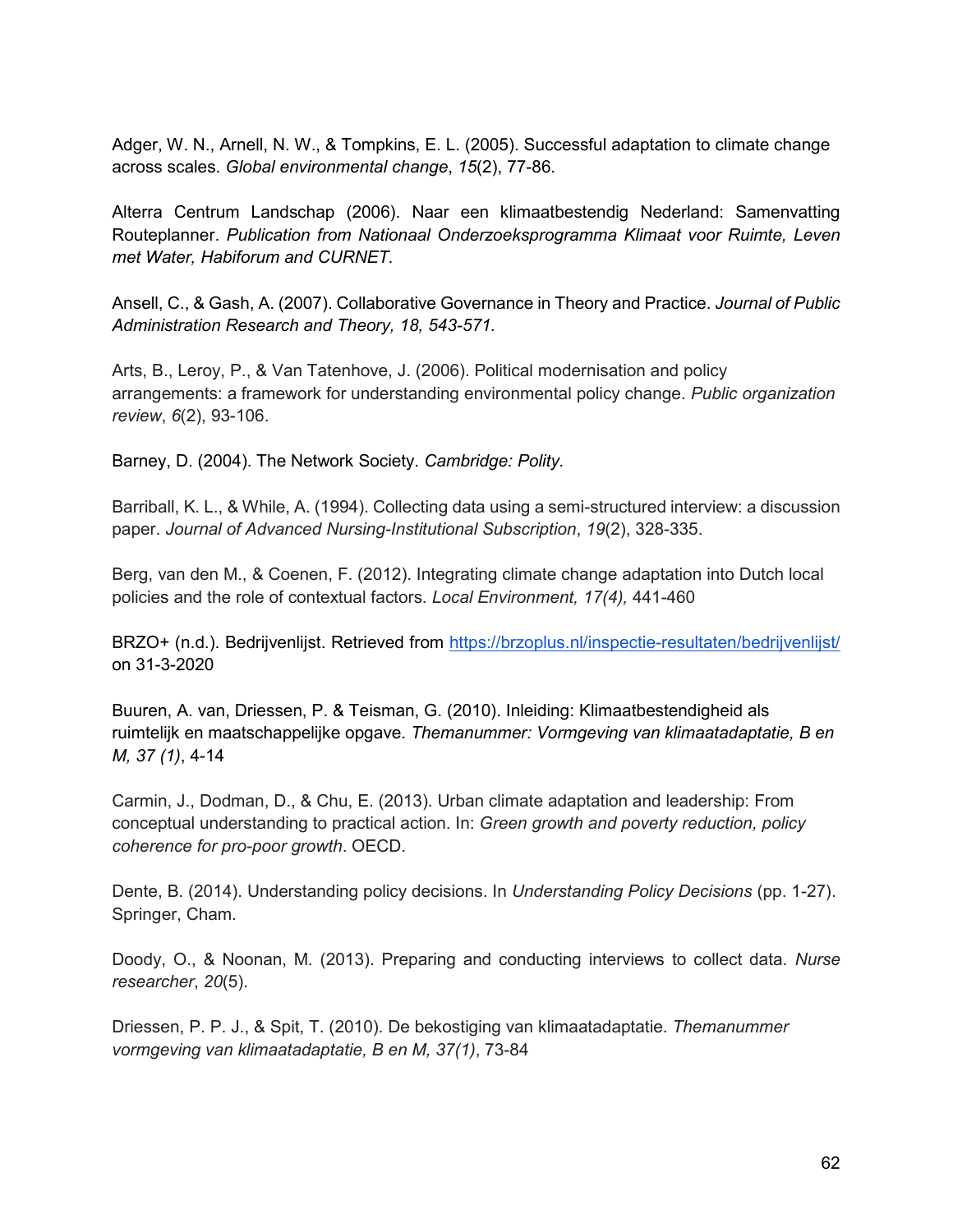Adger, W. N., Arnell, N. W., & Tompkins, E. L. (2005). Successful adaptation to climate change across scales. *Global environmental change*, *15*(2), 77-86.

Alterra Centrum Landschap (2006). Naar een klimaatbestendig Nederland: Samenvatting Routeplanner. *Publication from Nationaal Onderzoeksprogramma Klimaat voor Ruimte, Leven met Water, Habiforum and CURNET.* 

Ansell, C., & Gash, A. (2007). Collaborative Governance in Theory and Practice. *Journal of Public Administration Research and Theory, 18, 543-571.*

Arts, B., Leroy, P., & Van Tatenhove, J. (2006). Political modernisation and policy arrangements: a framework for understanding environmental policy change. *Public organization review*, *6*(2), 93-106.

Barney, D. (2004). The Network Society. *Cambridge: Polity.*

Barriball, K. L., & While, A. (1994). Collecting data using a semi-structured interview: a discussion paper. *Journal of Advanced Nursing-Institutional Subscription*, *19*(2), 328-335.

Berg, van den M., & Coenen, F. (2012). Integrating climate change adaptation into Dutch local policies and the role of contextual factors. *Local Environment, 17(4),* 441-460

BRZO+ (n.d.). Bedrijvenlijst. Retrieved from<https://brzoplus.nl/inspectie-resultaten/bedrijvenlijst/> on 31-3-2020

Buuren, A. van, Driessen, P. & Teisman, G. (2010). Inleiding: Klimaatbestendigheid als ruimtelijk en maatschappelijke opgave. *Themanummer: Vormgeving van klimaatadaptatie, B en M, 37 (1)*, 4-14

Carmin, J., Dodman, D., & Chu, E. (2013). Urban climate adaptation and leadership: From conceptual understanding to practical action. In: *Green growth and poverty reduction, policy coherence for pro-poor growth*. OECD.

Dente, B. (2014). Understanding policy decisions. In *Understanding Policy Decisions* (pp. 1-27). Springer, Cham.

Doody, O., & Noonan, M. (2013). Preparing and conducting interviews to collect data. *Nurse researcher*, *20*(5).

Driessen, P. P. J., & Spit, T. (2010). De bekostiging van klimaatadaptatie. *Themanummer vormgeving van klimaatadaptatie, B en M, 37(1)*, 73-84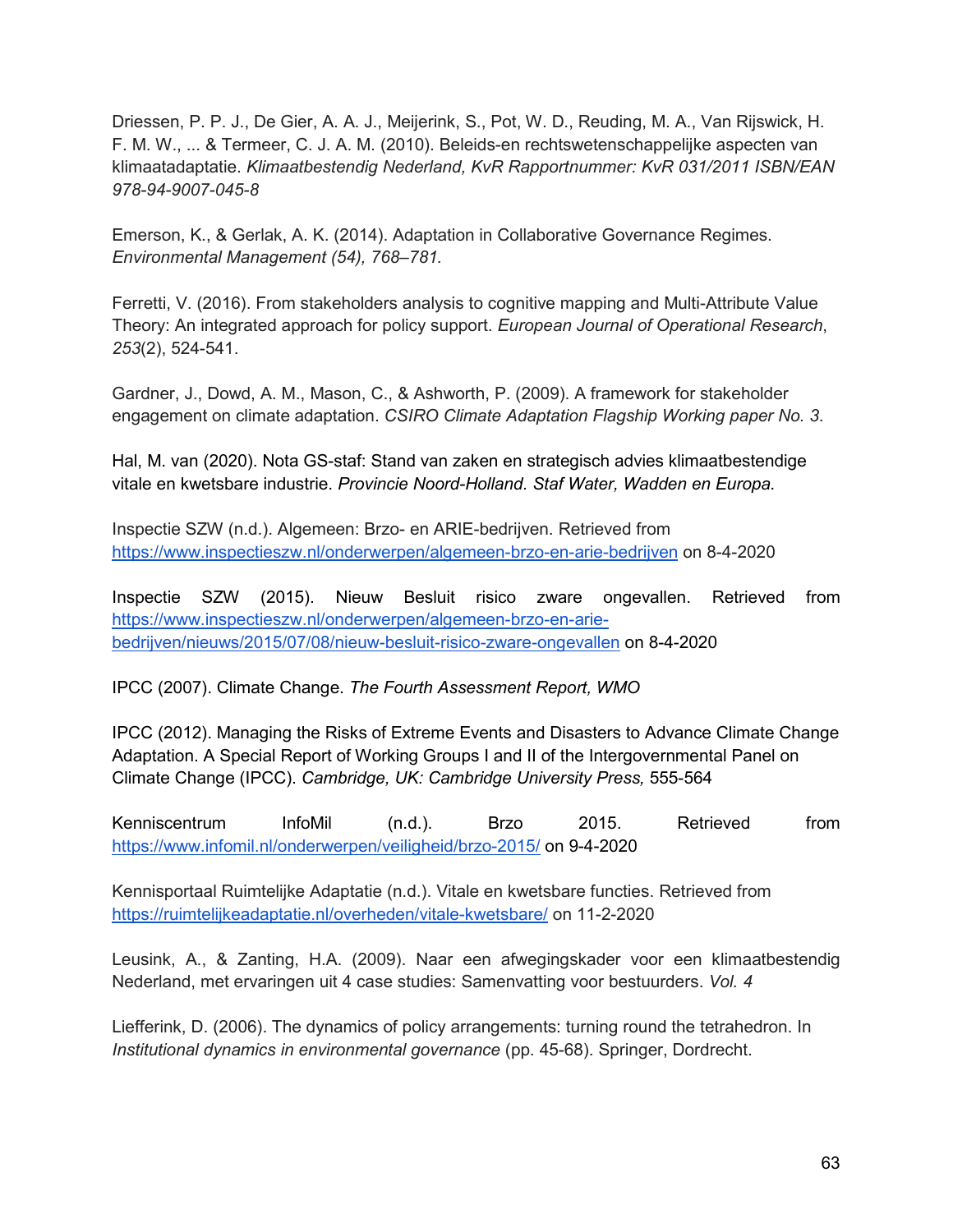Driessen, P. P. J., De Gier, A. A. J., Meijerink, S., Pot, W. D., Reuding, M. A., Van Rijswick, H. F. M. W., ... & Termeer, C. J. A. M. (2010). Beleids-en rechtswetenschappelijke aspecten van klimaatadaptatie. *Klimaatbestendig Nederland, KvR Rapportnummer: KvR 031/2011 ISBN/EAN 978-94-9007-045-8*

Emerson, K., & Gerlak, A. K. (2014). Adaptation in Collaborative Governance Regimes. *Environmental Management (54), 768–781.*

Ferretti, V. (2016). From stakeholders analysis to cognitive mapping and Multi-Attribute Value Theory: An integrated approach for policy support. *European Journal of Operational Research*, *253*(2), 524-541.

Gardner, J., Dowd, A. M., Mason, C., & Ashworth, P. (2009). A framework for stakeholder engagement on climate adaptation. *CSIRO Climate Adaptation Flagship Working paper No. 3*.

Hal, M. van (2020). Nota GS-staf: Stand van zaken en strategisch advies klimaatbestendige vitale en kwetsbare industrie. *Provincie Noord-Holland. Staf Water, Wadden en Europa.* 

Inspectie SZW (n.d.). Algemeen: Brzo- en ARIE-bedrijven. Retrieved from <https://www.inspectieszw.nl/onderwerpen/algemeen-brzo-en-arie-bedrijven> on 8-4-2020

Inspectie SZW (2015). Nieuw Besluit risico zware ongevallen. Retrieved from [https://www.inspectieszw.nl/onderwerpen/algemeen-brzo-en-arie](https://www.inspectieszw.nl/onderwerpen/algemeen-brzo-en-arie-bedrijven/nieuws/2015/07/08/nieuw-besluit-risico-zware-ongevallen)[bedrijven/nieuws/2015/07/08/nieuw-besluit-risico-zware-ongevallen](https://www.inspectieszw.nl/onderwerpen/algemeen-brzo-en-arie-bedrijven/nieuws/2015/07/08/nieuw-besluit-risico-zware-ongevallen) on 8-4-2020

IPCC (2007). Climate Change. *The Fourth Assessment Report, WMO*

IPCC (2012). Managing the Risks of Extreme Events and Disasters to Advance Climate Change Adaptation. A Special Report of Working Groups I and II of the Intergovernmental Panel on Climate Change (IPCC). *Cambridge, UK: Cambridge University Press,* 555-564

Kenniscentrum InfoMil (n.d.). Brzo 2015. Retrieved from <https://www.infomil.nl/onderwerpen/veiligheid/brzo-2015/> on 9-4-2020

Kennisportaal Ruimtelijke Adaptatie (n.d.). Vitale en kwetsbare functies. Retrieved from <https://ruimtelijkeadaptatie.nl/overheden/vitale-kwetsbare/> on 11-2-2020

Leusink, A., & Zanting, H.A. (2009). Naar een afwegingskader voor een klimaatbestendig Nederland, met ervaringen uit 4 case studies: Samenvatting voor bestuurders. *Vol. 4*

Liefferink, D. (2006). The dynamics of policy arrangements: turning round the tetrahedron. In *Institutional dynamics in environmental governance* (pp. 45-68). Springer, Dordrecht.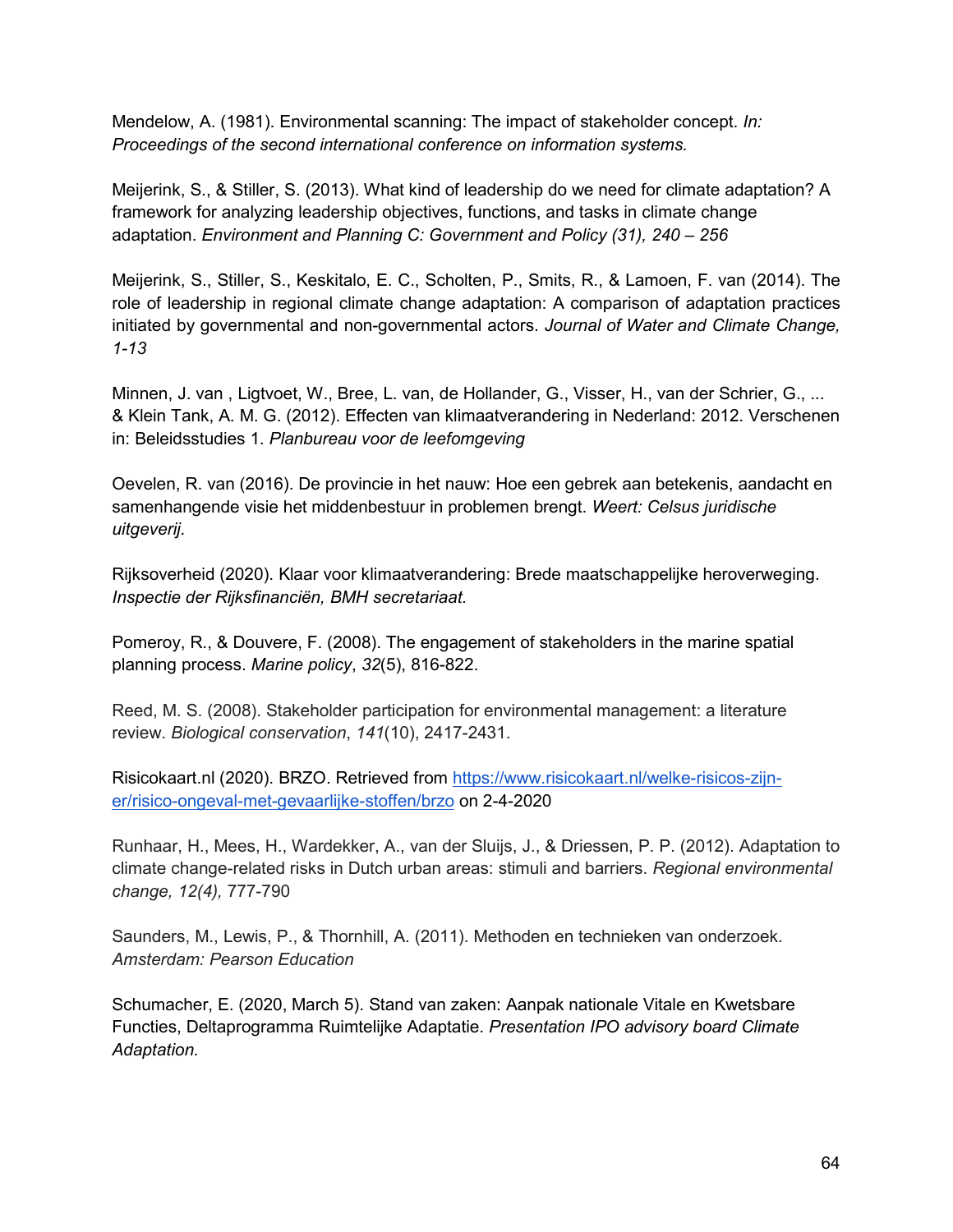Mendelow, A. (1981). Environmental scanning: The impact of stakeholder concept. *In: Proceedings of the second international conference on information systems.*

Meijerink, S., & Stiller, S. (2013). What kind of leadership do we need for climate adaptation? A framework for analyzing leadership objectives, functions, and tasks in climate change adaptation. *Environment and Planning C: Government and Policy (31), 240 – 256*

Meijerink, S., Stiller, S., Keskitalo, E. C., Scholten, P., Smits, R., & Lamoen, F. van (2014). The role of leadership in regional climate change adaptation: A comparison of adaptation practices initiated by governmental and non-governmental actors. *Journal of Water and Climate Change, 1-13*

Minnen, J. van , Ligtvoet, W., Bree, L. van, de Hollander, G., Visser, H., van der Schrier, G., ... & Klein Tank, A. M. G. (2012). Effecten van klimaatverandering in Nederland: 2012. Verschenen in: Beleidsstudies 1. *Planbureau voor de leefomgeving*

Oevelen, R. van (2016). De provincie in het nauw: Hoe een gebrek aan betekenis, aandacht en samenhangende visie het middenbestuur in problemen brengt. *Weert: Celsus juridische uitgeverij.*

Rijksoverheid (2020). Klaar voor klimaatverandering: Brede maatschappelijke heroverweging. *Inspectie der Rijksfinanciën, BMH secretariaat.* 

Pomeroy, R., & Douvere, F. (2008). The engagement of stakeholders in the marine spatial planning process. *Marine policy*, *32*(5), 816-822.

Reed, M. S. (2008). Stakeholder participation for environmental management: a literature review. *Biological conservation*, *141*(10), 2417-2431.

Risicokaart.nl (2020). BRZO. Retrieved from [https://www.risicokaart.nl/welke-risicos-zijn](https://www.risicokaart.nl/welke-risicos-zijn-er/risico-ongeval-met-gevaarlijke-stoffen/brzo)[er/risico-ongeval-met-gevaarlijke-stoffen/brzo](https://www.risicokaart.nl/welke-risicos-zijn-er/risico-ongeval-met-gevaarlijke-stoffen/brzo) on 2-4-2020

Runhaar, H., Mees, H., Wardekker, A., van der Sluijs, J., & Driessen, P. P. (2012). Adaptation to climate change-related risks in Dutch urban areas: stimuli and barriers. *Regional environmental change, 12(4),* 777-790

Saunders, M., Lewis, P., & Thornhill, A. (2011). Methoden en technieken van onderzoek. *Amsterdam: Pearson Education*

Schumacher, E. (2020, March 5). Stand van zaken: Aanpak nationale Vitale en Kwetsbare Functies, Deltaprogramma Ruimtelijke Adaptatie. *Presentation IPO advisory board Climate Adaptation.*